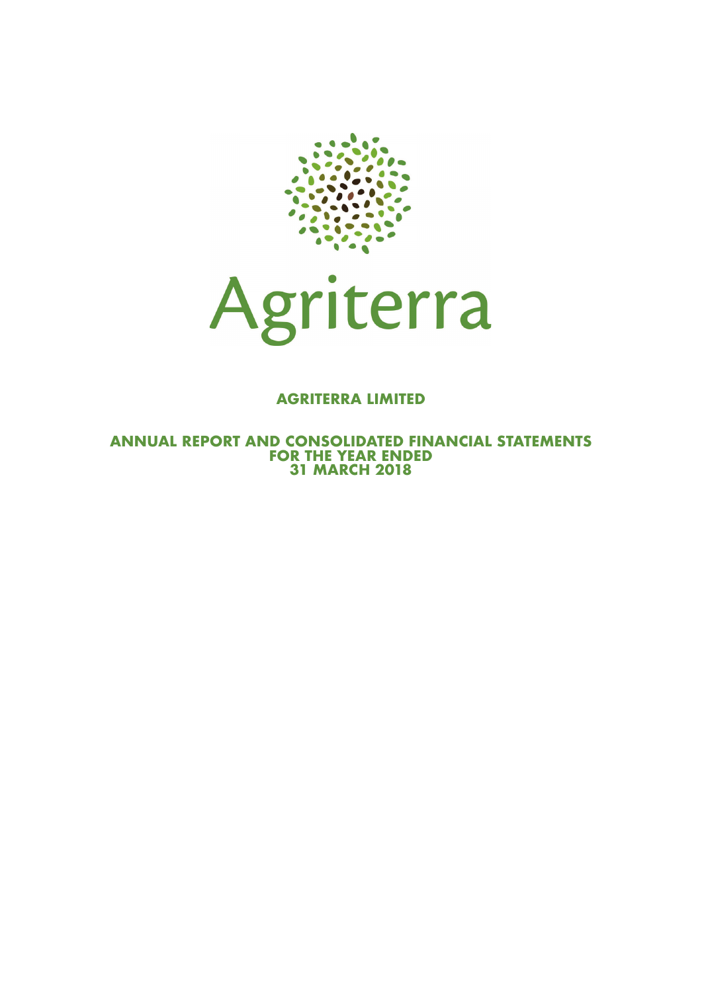



### **AGRITERRA LIMITED**

**ANNUAL REPORT AND CONSOLIDATED FINANCIAL STATEMENTS FOR THE YEAR ENDED 31 MARCH 2018**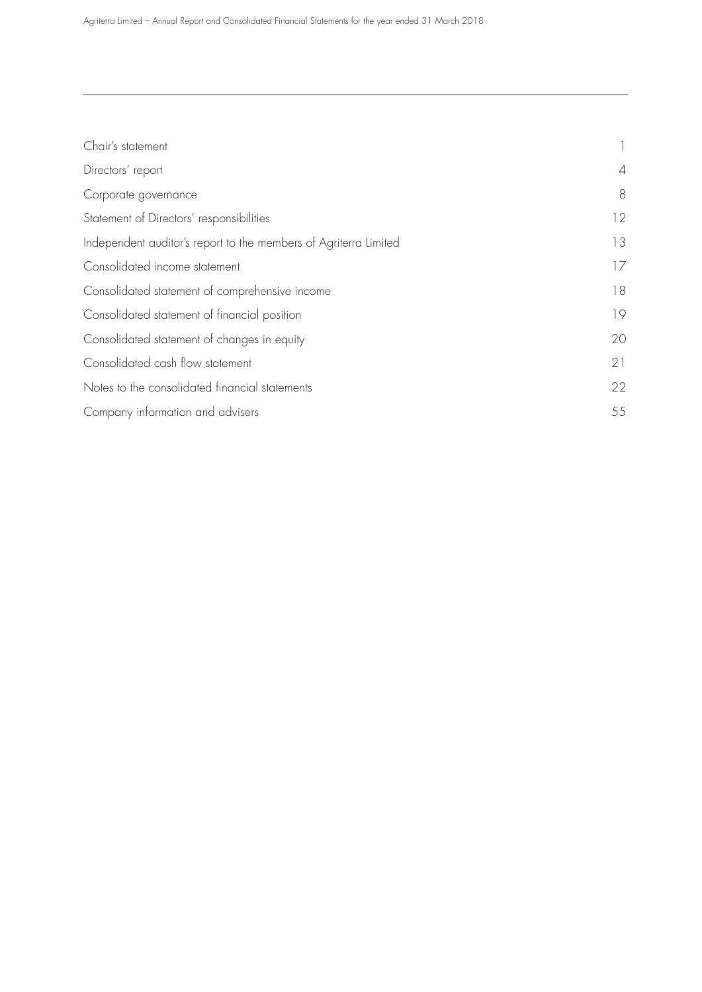| Chair's statement                                                |                |
|------------------------------------------------------------------|----------------|
| Directors' report                                                | $\overline{4}$ |
| Corporate governance                                             | 8              |
| Statement of Directors' responsibilities                         | 12             |
| Independent auditor's report to the members of Agriterra Limited | 13             |
| Consolidated income statement                                    | 17             |
| Consolidated statement of comprehensive income                   | 18             |
| Consolidated statement of financial position                     | 19             |
| Consolidated statement of changes in equity                      | 20             |
| Consolidated cash flow statement                                 | 21             |
| Notes to the consolidated financial statements                   | 22             |
| Company information and advisers                                 | 55             |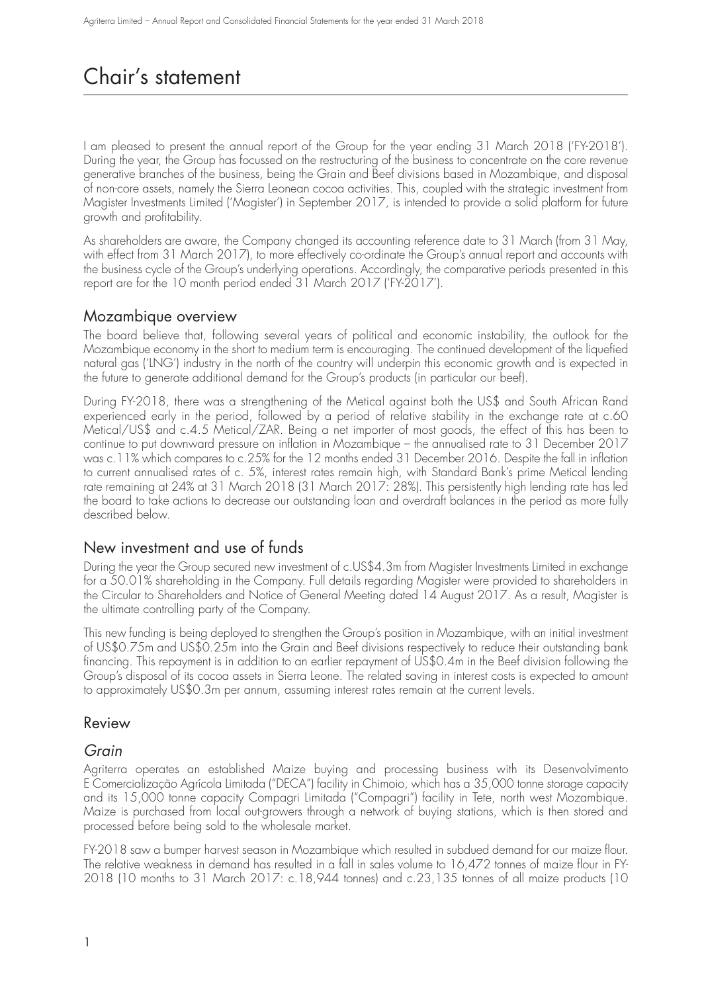## Chair's statement

I am pleased to present the annual report of the Group for the year ending 31 March 2018 ('FY-2018'). During the year, the Group has focussed on the restructuring of the business to concentrate on the core revenue generative branches of the business, being the Grain and Beef divisions based in Mozambique, and disposal of non-core assets, namely the Sierra Leonean cocoa activities. This, coupled with the strategic investment from Magister Investments Limited ('Magister') in September 2017, is intended to provide a solid platform for future growth and profitability.

As shareholders are aware, the Company changed its accounting reference date to 31 March (from 31 May, with effect from 31 March 2017), to more effectively co-ordinate the Group's annual report and accounts with the business cycle of the Group's underlying operations. Accordingly, the comparative periods presented in this report are for the 10 month period ended 31 March 2017 ('FY-2017').

### Mozambique overview

The board believe that, following several years of political and economic instability, the outlook for the Mozambique economy in the short to medium term is encouraging. The continued development of the liquefied natural gas ('LNG') industry in the north of the country will underpin this economic growth and is expected in the future to generate additional demand for the Group's products (in particular our beef).

During FY-2018, there was a strengthening of the Metical against both the US\$ and South African Rand experienced early in the period, followed by a period of relative stability in the exchange rate at c.60 Metical/US\$ and c.4.5 Metical/ZAR. Being a net importer of most goods, the effect of this has been to continue to put downward pressure on inflation in Mozambique – the annualised rate to 31 December 2017 was c.11% which compares to c.25% for the 12 months ended 31 December 2016. Despite the fall in inflation to current annualised rates of c. 5%, interest rates remain high, with Standard Bank's prime Metical lending rate remaining at 24% at 31 March 2018 (31 March 2017: 28%). This persistently high lending rate has led the board to take actions to decrease our outstanding loan and overdraft balances in the period as more fully described below.

### New investment and use of funds

During the year the Group secured new investment of c.US\$4.3m from Magister Investments Limited in exchange for a 50.01% shareholding in the Company. Full details regarding Magister were provided to shareholders in the Circular to Shareholders and Notice of General Meeting dated 14 August 2017. As a result, Magister is the ultimate controlling party of the Company.

This new funding is being deployed to strengthen the Group's position in Mozambique, with an initial investment of US\$0.75m and US\$0.25m into the Grain and Beef divisions respectively to reduce their outstanding bank financing. This repayment is in addition to an earlier repayment of US\$0.4m in the Beef division following the Group's disposal of its cocoa assets in Sierra Leone. The related saving in interest costs is expected to amount to approximately US\$0.3m per annum, assuming interest rates remain at the current levels.

### Review

### Grain

Agriterra operates an established Maize buying and processing business with its Desenvolvimento E Comercialização Agrícola Limitada ("DECA") facility in Chimoio, which has a 35,000 tonne storage capacity and its 15,000 tonne capacity Compagri Limitada ("Compagri") facility in Tete, north west Mozambique. Maize is purchased from local out-growers through a network of buying stations, which is then stored and processed before being sold to the wholesale market.

FY-2018 saw a bumper harvest season in Mozambique which resulted in subdued demand for our maize flour. The relative weakness in demand has resulted in a fall in sales volume to 16,472 tonnes of maize flour in FY-2018 (10 months to 31 March 2017: c.18,944 tonnes) and c.23,135 tonnes of all maize products (10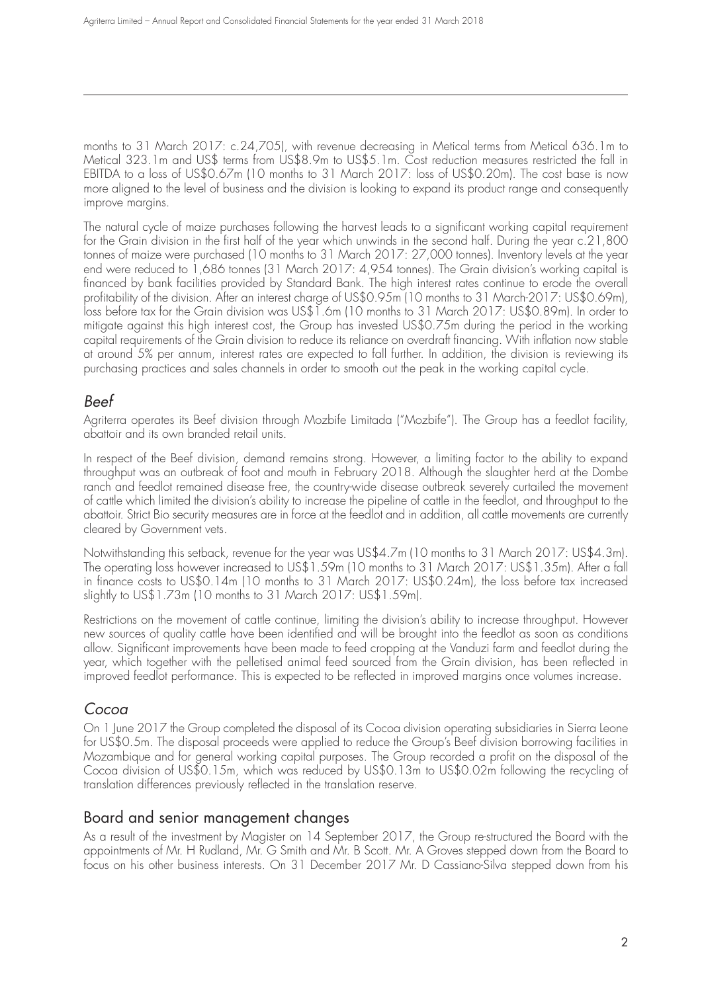months to 31 March 2017: c.24,705), with revenue decreasing in Metical terms from Metical 636.1m to Metical 323.1m and US\$ terms from US\$8.9m to US\$5.1m. Cost reduction measures restricted the fall in EBITDA to a loss of US\$0.67m (10 months to 31 March 2017: loss of US\$0.20m). The cost base is now more aligned to the level of business and the division is looking to expand its product range and consequently improve margins.

The natural cycle of maize purchases following the harvest leads to a significant working capital requirement for the Grain division in the first half of the year which unwinds in the second half. During the year c.21,800 tonnes of maize were purchased (10 months to 31 March 2017: 27,000 tonnes). Inventory levels at the year end were reduced to 1,686 tonnes (31 March 2017: 4,954 tonnes). The Grain division's working capital is financed by bank facilities provided by Standard Bank. The high interest rates continue to erode the overall profitability of the division. After an interest charge of US\$0.95m (10 months to 31 March-2017: US\$0.69m), loss before tax for the Grain division was US\$1.6m (10 months to 31 March 2017: US\$0.89m). In order to mitigate against this high interest cost, the Group has invested US\$0.75m during the period in the working capital requirements of the Grain division to reduce its reliance on overdraft financing. With inflation now stable at around 5% per annum, interest rates are expected to fall further. In addition, the division is reviewing its purchasing practices and sales channels in order to smooth out the peak in the working capital cycle.

### Beef

Agriterra operates its Beef division through Mozbife Limitada ("Mozbife"). The Group has a feedlot facility, abattoir and its own branded retail units.

In respect of the Beef division, demand remains strong. However, a limiting factor to the ability to expand throughput was an outbreak of foot and mouth in February 2018. Although the slaughter herd at the Dombe ranch and feedlot remained disease free, the country-wide disease outbreak severely curtailed the movement of cattle which limited the division's ability to increase the pipeline of cattle in the feedlot, and throughput to the abattoir. Strict Bio security measures are in force at the feedlot and in addition, all cattle movements are currently cleared by Government vets.

Notwithstanding this setback, revenue for the year was US\$4.7m (10 months to 31 March 2017: US\$4.3m). The operating loss however increased to US\$1.59m (10 months to 31 March 2017: US\$1.35m). After a fall in finance costs to US\$0.14m (10 months to 31 March 2017: US\$0.24m), the loss before tax increased slightly to US\$1.73m (10 months to 31 March 2017: US\$1.59m).

Restrictions on the movement of cattle continue, limiting the division's ability to increase throughput. However new sources of quality cattle have been identified and will be brought into the feedlot as soon as conditions allow. Significant improvements have been made to feed cropping at the Vanduzi farm and feedlot during the year, which together with the pelletised animal feed sourced from the Grain division, has been reflected in improved feedlot performance. This is expected to be reflected in improved margins once volumes increase.

### Cocoa

On 1 June 2017 the Group completed the disposal of its Cocoa division operating subsidiaries in Sierra Leone for US\$0.5m. The disposal proceeds were applied to reduce the Group's Beef division borrowing facilities in Mozambique and for general working capital purposes. The Group recorded a profit on the disposal of the Cocoa division of US\$0.15m, which was reduced by US\$0.13m to US\$0.02m following the recycling of translation differences previously reflected in the translation reserve.

### Board and senior management changes

As a result of the investment by Magister on 14 September 2017, the Group re-structured the Board with the appointments of Mr. H Rudland, Mr. G Smith and Mr. B Scott. Mr. A Groves stepped down from the Board to focus on his other business interests. On 31 December 2017 Mr. D Cassiano-Silva stepped down from his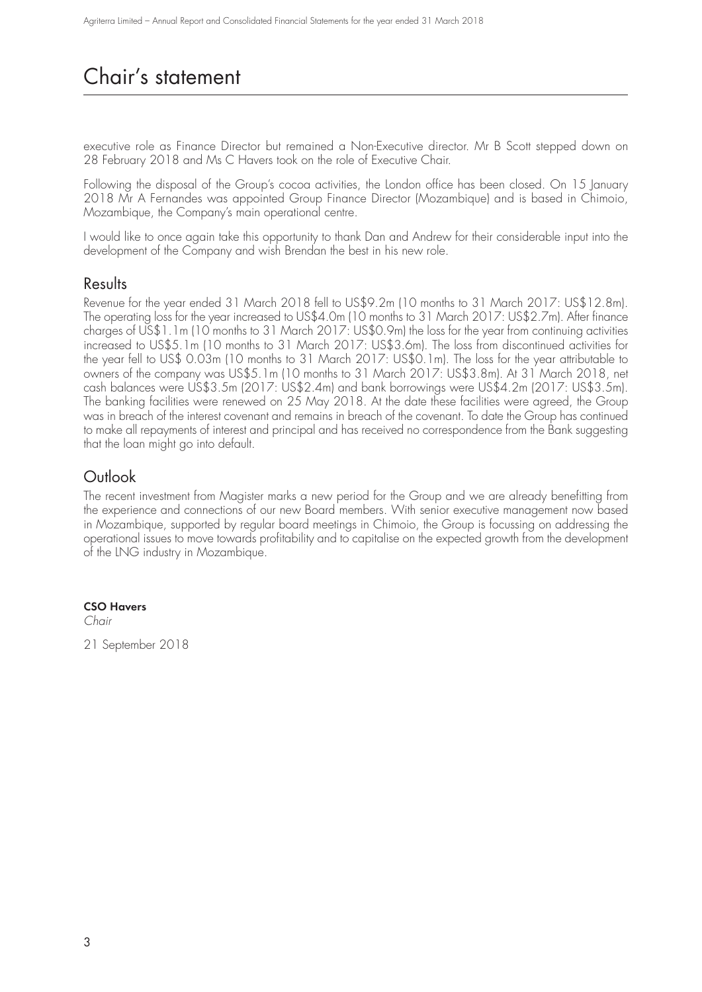## Chair's statement

executive role as Finance Director but remained a Non-Executive director. Mr B Scott stepped down on 28 February 2018 and Ms C Havers took on the role of Executive Chair.

Following the disposal of the Group's cocoa activities, the London office has been closed. On 15 January 2018 Mr A Fernandes was appointed Group Finance Director (Mozambique) and is based in Chimoio, Mozambique, the Company's main operational centre.

I would like to once again take this opportunity to thank Dan and Andrew for their considerable input into the development of the Company and wish Brendan the best in his new role.

### Results

Revenue for the year ended 31 March 2018 fell to US\$9.2m (10 months to 31 March 2017: US\$12.8m). The operating loss for the year increased to US\$4.0m (10 months to 31 March 2017: US\$2.7m). After finance charges of US\$1.1m (10 months to 31 March 2017: US\$0.9m) the loss for the year from continuing activities increased to US\$5.1m (10 months to 31 March 2017: US\$3.6m). The loss from discontinued activities for the year fell to US\$ 0.03m (10 months to 31 March 2017: US\$0.1m). The loss for the year attributable to owners of the company was US\$5.1m (10 months to 31 March 2017: US\$3.8m). At 31 March 2018, net cash balances were US\$3.5m (2017: US\$2.4m) and bank borrowings were US\$4.2m (2017: US\$3.5m). The banking facilities were renewed on 25 May 2018. At the date these facilities were agreed, the Group was in breach of the interest covenant and remains in breach of the covenant. To date the Group has continued to make all repayments of interest and principal and has received no correspondence from the Bank suggesting that the loan might go into default.

## Outlook

The recent investment from Magister marks a new period for the Group and we are already benefitting from the experience and connections of our new Board members. With senior executive management now based in Mozambique, supported by regular board meetings in Chimoio, the Group is focussing on addressing the operational issues to move towards profitability and to capitalise on the expected growth from the development of the LNG industry in Mozambique.

### **CSO Havers**

Chair

21 September 2018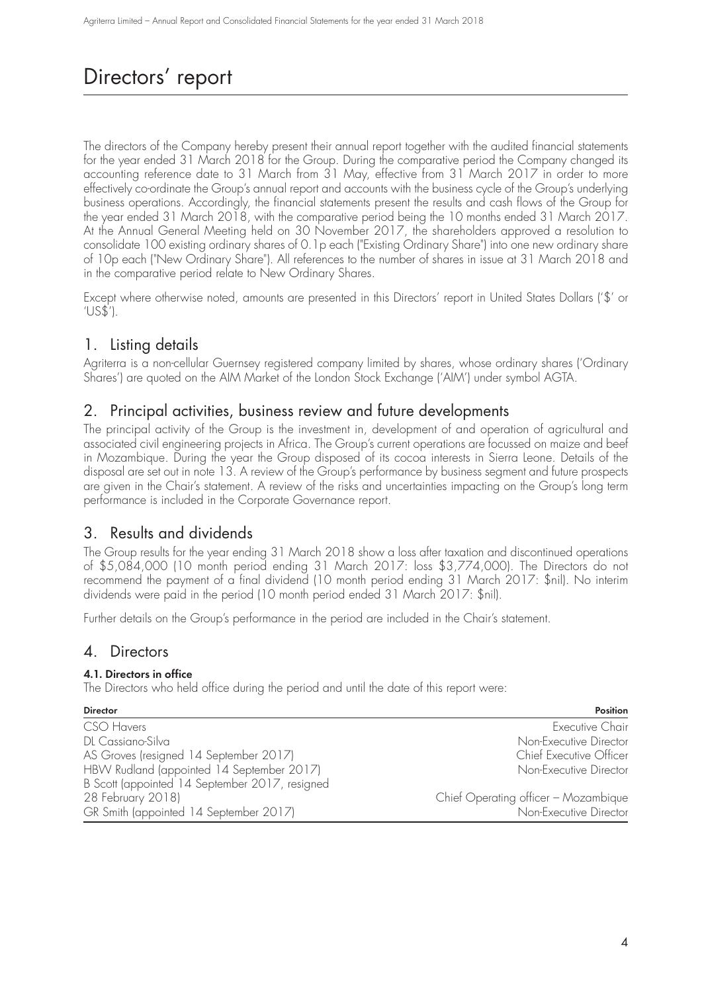## Directors' report

The directors of the Company hereby present their annual report together with the audited financial statements for the year ended 31 March 2018 for the Group. During the comparative period the Company changed its accounting reference date to 31 March from 31 May, effective from 31 March 2017 in order to more effectively co-ordinate the Group's annual report and accounts with the business cycle of the Group's underlying business operations. Accordingly, the financial statements present the results and cash flows of the Group for the year ended 31 March 2018, with the comparative period being the 10 months ended 31 March 2017. At the Annual General Meeting held on 30 November 2017, the shareholders approved a resolution to consolidate 100 existing ordinary shares of 0.1p each ("Existing Ordinary Share") into one new ordinary share of 10p each ("New Ordinary Share"). All references to the number of shares in issue at 31 March 2018 and in the comparative period relate to New Ordinary Shares.

Except where otherwise noted, amounts are presented in this Directors' report in United States Dollars ('\$' or 'US\$').

## 1. Listing details

Agriterra is a non-cellular Guernsey registered company limited by shares, whose ordinary shares ('Ordinary Shares') are quoted on the AIM Market of the London Stock Exchange ('AIM') under symbol AGTA.

### 2. Principal activities, business review and future developments

The principal activity of the Group is the investment in, development of and operation of agricultural and associated civil engineering projects in Africa. The Group's current operations are focussed on maize and beef in Mozambique. During the year the Group disposed of its cocoa interests in Sierra Leone. Details of the disposal are set out in note 13. A review of the Group's performance by business segment and future prospects are given in the Chair's statement. A review of the risks and uncertainties impacting on the Group's long term performance is included in the Corporate Governance report.

## 3. Results and dividends

The Group results for the year ending 31 March 2018 show a loss after taxation and discontinued operations of \$5,084,000 (10 month period ending 31 March 2017: loss \$3,774,000). The Directors do not recommend the payment of a final dividend (10 month period ending 31 March 2017: \$nil). No interim dividends were paid in the period (10 month period ended 31 March 2017: \$nil).

Further details on the Group's performance in the period are included in the Chair's statement.

### 4. Directors

### **4.1. Directors in office**

The Directors who held office during the period and until the date of this report were:

| <b>Director</b>                                | Position                             |
|------------------------------------------------|--------------------------------------|
| CSO Havers                                     | <b>Executive Chair</b>               |
| DL Cassiano-Silva                              | Non-Executive Director               |
| AS Groves (resigned 14 September 2017)         | Chief Executive Officer              |
| HBW Rudland (appointed 14 September 2017)      | Non-Executive Director               |
| B Scott (appointed 14 September 2017, resigned |                                      |
| 28 February 2018)                              | Chief Operating officer - Mozambique |
| GR Smith (appointed 14 September 2017)         | Non-Executive Director               |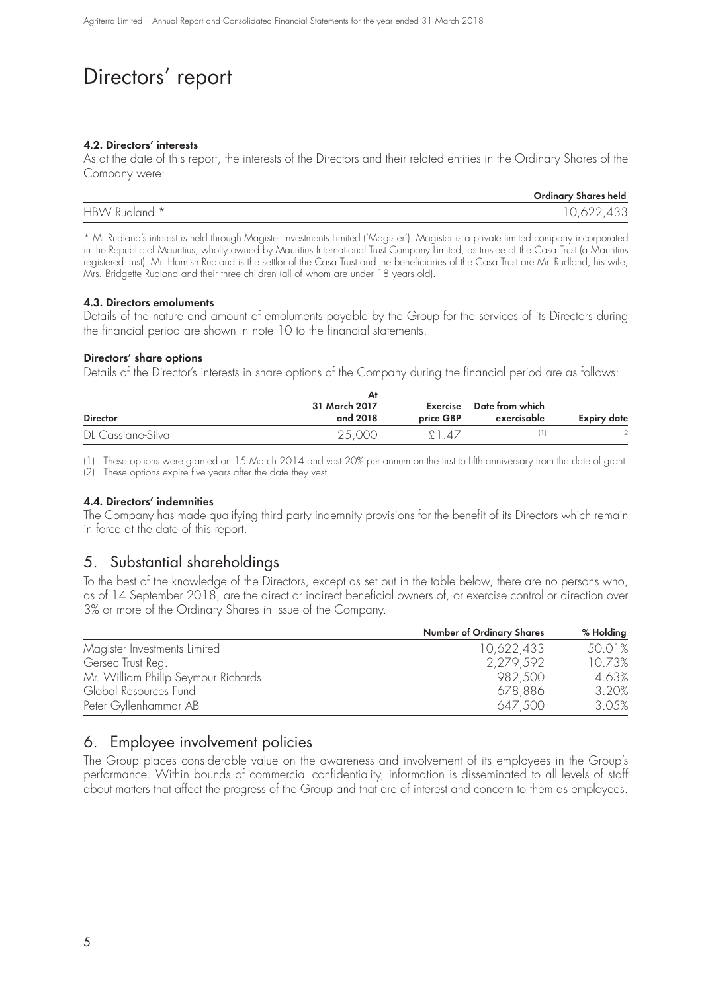## Directors' report

### **4.2. Directors' interests**

As at the date of this report, the interests of the Directors and their related entities in the Ordinary Shares of the Company were:

|               | <b>Ordinary Shares held</b> |
|---------------|-----------------------------|
| HBW Rudland * | ` 622,433                   |

\* Mr Rudland's interest is held through Magister Investments Limited ('Magister'). Magister is a private limited company incorporated in the Republic of Mauritius, wholly owned by Mauritius International Trust Company Limited, as trustee of the Casa Trust (a Mauritius registered trust). Mr. Hamish Rudland is the settlor of the Casa Trust and the beneficiaries of the Casa Trust are Mr. Rudland, his wife, Mrs. Bridgette Rudland and their three children (all of whom are under 18 years old).

### **4.3. Directors emoluments**

Details of the nature and amount of emoluments payable by the Group for the services of its Directors during the financial period are shown in note 10 to the financial statements.

### **Directors' share options**

Details of the Director's interests in share options of the Company during the financial period are as follows:

|                   | Αt            |           |                 |                    |
|-------------------|---------------|-----------|-----------------|--------------------|
|                   | 31 March 2017 | Exercise  | Date from which |                    |
| <b>Director</b>   | and 2018      | price GBP | exercisable     | <b>Expiry date</b> |
| DL Cassiano-Silva | 25,000        | £1.47     |                 | (2)                |

(1) These options were granted on 15 March 2014 and vest 20% per annum on the first to fifth anniversary from the date of grant. (2) These options expire five years after the date they vest.

### **4.4. Directors' indemnities**

The Company has made qualifying third party indemnity provisions for the benefit of its Directors which remain in force at the date of this report.

## 5. Substantial shareholdings

To the best of the knowledge of the Directors, except as set out in the table below, there are no persons who, as of 14 September 2018, are the direct or indirect beneficial owners of, or exercise control or direction over 3% or more of the Ordinary Shares in issue of the Company.

|                                     | <b>Number of Ordinary Shares</b> | % Holding |
|-------------------------------------|----------------------------------|-----------|
| Magister Investments Limited        | 10,622,433                       | 50.01%    |
| Gersec Trust Reg.                   | 2,279,592                        | 10.73%    |
| Mr. William Philip Seymour Richards | 982.500                          | 4.63%     |
| Global Resources Fund               | 678,886                          | 3.20%     |
| Peter Gyllenhammar AB               | 647.500                          | 3.05%     |

## 6. Employee involvement policies

The Group places considerable value on the awareness and involvement of its employees in the Group's performance. Within bounds of commercial confidentiality, information is disseminated to all levels of staff about matters that affect the progress of the Group and that are of interest and concern to them as employees.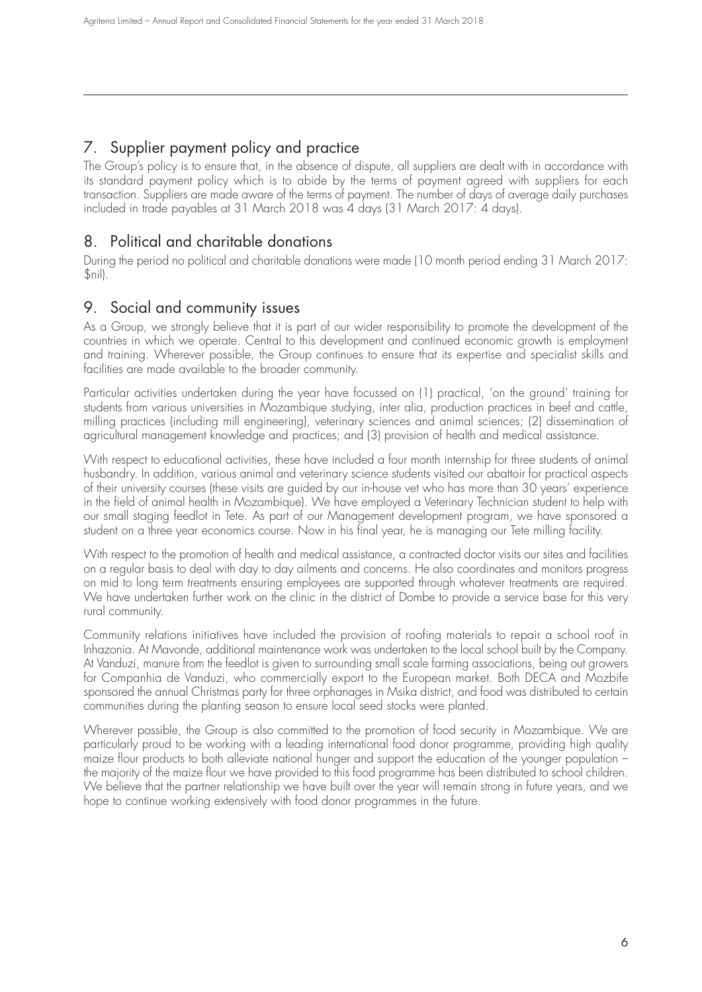## 7. Supplier payment policy and practice

The Group's policy is to ensure that, in the absence of dispute, all suppliers are dealt with in accordance with its standard payment policy which is to abide by the terms of payment agreed with suppliers for each transaction. Suppliers are made aware of the terms of payment. The number of days of average daily purchases included in trade payables at 31 March 2018 was 4 days (31 March 2017: 4 days).

## 8. Political and charitable donations

During the period no political and charitable donations were made (10 month period ending 31 March 2017: \$nil).

## 9. Social and community issues

As a Group, we strongly believe that it is part of our wider responsibility to promote the development of the countries in which we operate. Central to this development and continued economic growth is employment and training. Wherever possible, the Group continues to ensure that its expertise and specialist skills and facilities are made available to the broader community.

Particular activities undertaken during the year have focussed on (1) practical, 'on the ground' training for students from various universities in Mozambique studying, inter alia, production practices in beef and cattle, milling practices (including mill engineering), veterinary sciences and animal sciences; (2) dissemination of agricultural management knowledge and practices; and (3) provision of health and medical assistance.

With respect to educational activities, these have included a four month internship for three students of animal husbandry. In addition, various animal and veterinary science students visited our abattoir for practical aspects of their university courses (these visits are guided by our in-house vet who has more than 30 years' experience in the field of animal health in Mozambique). We have employed a Veterinary Technician student to help with our small staging feedlot in Tete. As part of our Management development program, we have sponsored a student on a three year economics course. Now in his final year, he is managing our Tete milling facility.

With respect to the promotion of health and medical assistance, a contracted doctor visits our sites and facilities on a regular basis to deal with day to day ailments and concerns. He also coordinates and monitors progress on mid to long term treatments ensuring employees are supported through whatever treatments are required. We have undertaken further work on the clinic in the district of Dombe to provide a service base for this very rural community.

Community relations initiatives have included the provision of roofing materials to repair a school roof in Inhazonia. At Mavonde, additional maintenance work was undertaken to the local school built by the Company. At Vanduzi, manure from the feedlot is given to surrounding small scale farming associations, being out growers for Companhia de Vanduzi, who commercially export to the European market. Both DECA and Mozbife sponsored the annual Christmas party for three orphanages in Msika district, and food was distributed to certain communities during the planting season to ensure local seed stocks were planted.

Wherever possible, the Group is also committed to the promotion of food security in Mozambique. We are particularly proud to be working with a leading international food donor programme, providing high quality maize flour products to both alleviate national hunger and support the education of the younger population – the majority of the maize flour we have provided to this food programme has been distributed to school children. We believe that the partner relationship we have built over the year will remain strong in future years, and we hope to continue working extensively with food donor programmes in the future.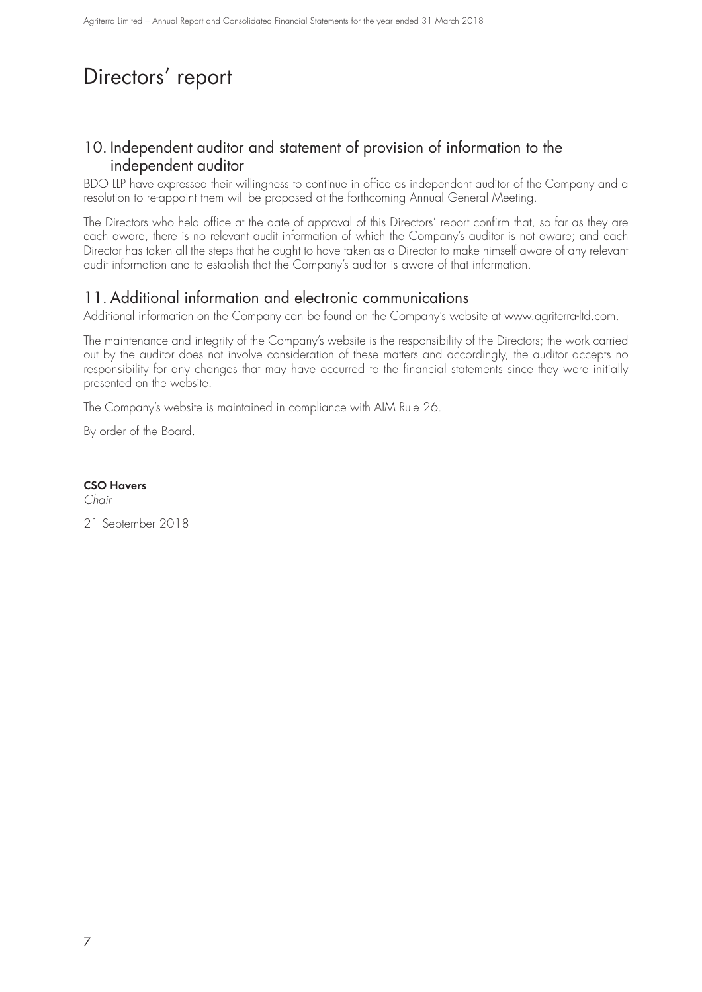## Directors' report

## 10. Independent auditor and statement of provision of information to the independent auditor

BDO LLP have expressed their willingness to continue in office as independent auditor of the Company and a resolution to re-appoint them will be proposed at the forthcoming Annual General Meeting.

The Directors who held office at the date of approval of this Directors' report confirm that, so far as they are each aware, there is no relevant audit information of which the Company's auditor is not aware; and each Director has taken all the steps that he ought to have taken as a Director to make himself aware of any relevant audit information and to establish that the Company's auditor is aware of that information.

## 11. Additional information and electronic communications

Additional information on the Company can be found on the Company's website at www.agriterra-ltd.com.

The maintenance and integrity of the Company's website is the responsibility of the Directors; the work carried out by the auditor does not involve consideration of these matters and accordingly, the auditor accepts no responsibility for any changes that may have occurred to the financial statements since they were initially presented on the website.

The Company's website is maintained in compliance with AIM Rule 26.

By order of the Board.

**CSO Havers**

Chair

21 September 2018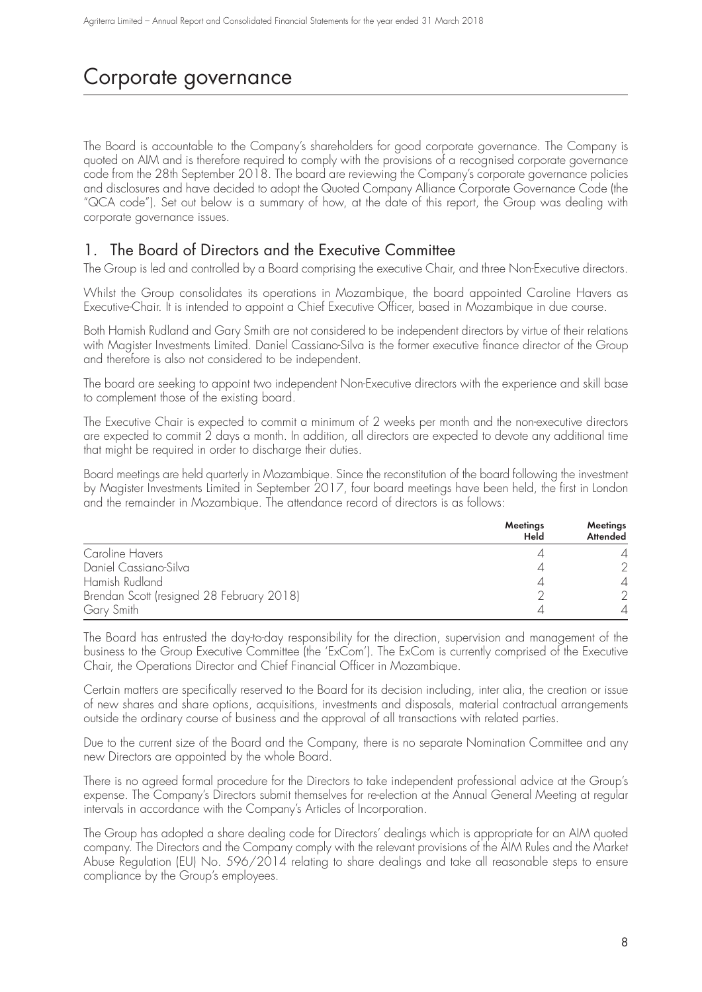## Corporate governance

The Board is accountable to the Company's shareholders for good corporate governance. The Company is quoted on AIM and is therefore required to comply with the provisions of a recognised corporate governance code from the 28th September 2018. The board are reviewing the Company's corporate governance policies and disclosures and have decided to adopt the Quoted Company Alliance Corporate Governance Code (the "QCA code"). Set out below is a summary of how, at the date of this report, the Group was dealing with corporate governance issues.

## 1. The Board of Directors and the Executive Committee

The Group is led and controlled by a Board comprising the executive Chair, and three Non-Executive directors.

Whilst the Group consolidates its operations in Mozambique, the board appointed Caroline Havers as Executive-Chair. It is intended to appoint a Chief Executive Officer, based in Mozambique in due course.

Both Hamish Rudland and Gary Smith are not considered to be independent directors by virtue of their relations with Magister Investments Limited. Daniel Cassiano-Silva is the former executive finance director of the Group and therefore is also not considered to be independent.

The board are seeking to appoint two independent Non-Executive directors with the experience and skill base to complement those of the existing board.

The Executive Chair is expected to commit a minimum of 2 weeks per month and the non-executive directors are expected to commit 2 days a month. In addition, all directors are expected to devote any additional time that might be required in order to discharge their duties.

Board meetings are held quarterly in Mozambique. Since the reconstitution of the board following the investment by Magister Investments Limited in September 2017, four board meetings have been held, the first in London and the remainder in Mozambique. The attendance record of directors is as follows:

|                                           | Meetings<br>Held | Meetings<br>Attended |
|-------------------------------------------|------------------|----------------------|
| Caroline Havers                           |                  |                      |
| Daniel Cassiano-Silva                     |                  |                      |
| Hamish Rudland                            |                  |                      |
| Brendan Scott (resigned 28 February 2018) |                  |                      |
| Gary Smith                                |                  |                      |

The Board has entrusted the day-to-day responsibility for the direction, supervision and management of the business to the Group Executive Committee (the 'ExCom'). The ExCom is currently comprised of the Executive Chair, the Operations Director and Chief Financial Officer in Mozambique.

Certain matters are specifically reserved to the Board for its decision including, inter alia, the creation or issue of new shares and share options, acquisitions, investments and disposals, material contractual arrangements outside the ordinary course of business and the approval of all transactions with related parties.

Due to the current size of the Board and the Company, there is no separate Nomination Committee and any new Directors are appointed by the whole Board.

There is no agreed formal procedure for the Directors to take independent professional advice at the Group's expense. The Company's Directors submit themselves for re-election at the Annual General Meeting at regular intervals in accordance with the Company's Articles of Incorporation.

The Group has adopted a share dealing code for Directors' dealings which is appropriate for an AIM quoted company. The Directors and the Company comply with the relevant provisions of the AIM Rules and the Market Abuse Regulation (EU) No. 596/2014 relating to share dealings and take all reasonable steps to ensure compliance by the Group's employees.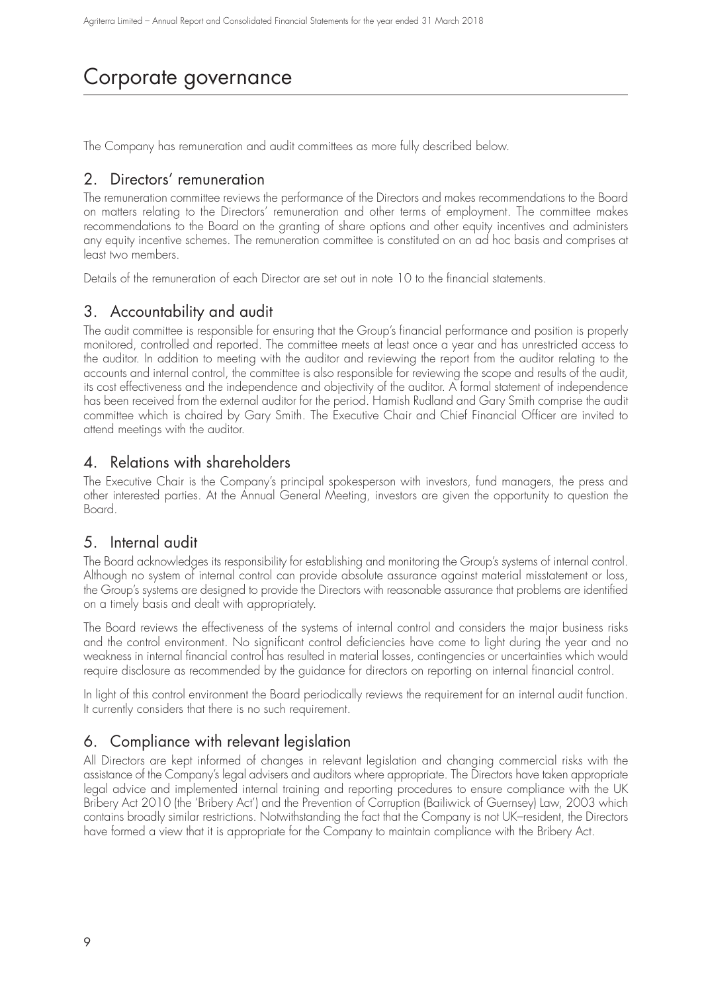## Corporate governance

The Company has remuneration and audit committees as more fully described below.

### 2. Directors' remuneration

The remuneration committee reviews the performance of the Directors and makes recommendations to the Board on matters relating to the Directors' remuneration and other terms of employment. The committee makes recommendations to the Board on the granting of share options and other equity incentives and administers any equity incentive schemes. The remuneration committee is constituted on an ad hoc basis and comprises at least two members.

Details of the remuneration of each Director are set out in note 10 to the financial statements.

## 3. Accountability and audit

The audit committee is responsible for ensuring that the Group's financial performance and position is properly monitored, controlled and reported. The committee meets at least once a year and has unrestricted access to the auditor. In addition to meeting with the auditor and reviewing the report from the auditor relating to the accounts and internal control, the committee is also responsible for reviewing the scope and results of the audit, its cost effectiveness and the independence and objectivity of the auditor. A formal statement of independence has been received from the external auditor for the period. Hamish Rudland and Gary Smith comprise the audit committee which is chaired by Gary Smith. The Executive Chair and Chief Financial Officer are invited to attend meetings with the auditor.

### 4. Relations with shareholders

The Executive Chair is the Company's principal spokesperson with investors, fund managers, the press and other interested parties. At the Annual General Meeting, investors are given the opportunity to question the Board.

### 5. Internal audit

The Board acknowledges its responsibility for establishing and monitoring the Group's systems of internal control. Although no system of internal control can provide absolute assurance against material misstatement or loss, the Group's systems are designed to provide the Directors with reasonable assurance that problems are identified on a timely basis and dealt with appropriately.

The Board reviews the effectiveness of the systems of internal control and considers the major business risks and the control environment. No significant control deficiencies have come to light during the year and no weakness in internal financial control has resulted in material losses, contingencies or uncertainties which would require disclosure as recommended by the guidance for directors on reporting on internal financial control.

In light of this control environment the Board periodically reviews the requirement for an internal audit function. It currently considers that there is no such requirement.

## 6. Compliance with relevant legislation

All Directors are kept informed of changes in relevant legislation and changing commercial risks with the assistance of the Company's legal advisers and auditors where appropriate. The Directors have taken appropriate legal advice and implemented internal training and reporting procedures to ensure compliance with the UK Bribery Act 2010 (the 'Bribery Act') and the Prevention of Corruption (Bailiwick of Guernsey) Law, 2003 which contains broadly similar restrictions. Notwithstanding the fact that the Company is not UK–resident, the Directors have formed a view that it is appropriate for the Company to maintain compliance with the Bribery Act.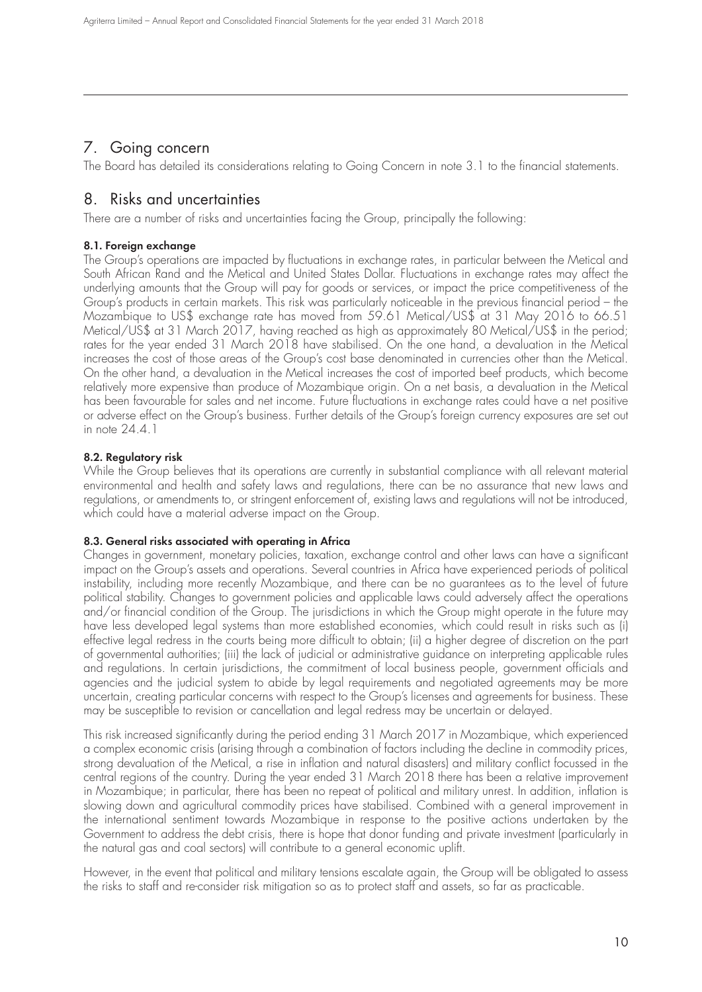## 7. Going concern

The Board has detailed its considerations relating to Going Concern in note 3.1 to the financial statements.

## 8. Risks and uncertainties

There are a number of risks and uncertainties facing the Group, principally the following:

### **8.1. Foreign exchange**

The Group's operations are impacted by fluctuations in exchange rates, in particular between the Metical and South African Rand and the Metical and United States Dollar. Fluctuations in exchange rates may affect the underlying amounts that the Group will pay for goods or services, or impact the price competitiveness of the Group's products in certain markets. This risk was particularly noticeable in the previous financial period – the Mozambique to US\$ exchange rate has moved from 59.61 Metical/US\$ at 31 May 2016 to 66.51 Metical/US\$ at 31 March 2017, having reached as high as approximately 80 Metical/US\$ in the period; rates for the year ended 31 March 2018 have stabilised. On the one hand, a devaluation in the Metical increases the cost of those areas of the Group's cost base denominated in currencies other than the Metical. On the other hand, a devaluation in the Metical increases the cost of imported beef products, which become relatively more expensive than produce of Mozambique origin. On a net basis, a devaluation in the Metical has been favourable for sales and net income. Future fluctuations in exchange rates could have a net positive or adverse effect on the Group's business. Further details of the Group's foreign currency exposures are set out in note 24.4.1

### **8.2. Regulatory risk**

While the Group believes that its operations are currently in substantial compliance with all relevant material environmental and health and safety laws and regulations, there can be no assurance that new laws and regulations, or amendments to, or stringent enforcement of, existing laws and regulations will not be introduced, which could have a material adverse impact on the Group.

### **8.3. General risks associated with operating in Africa**

Changes in government, monetary policies, taxation, exchange control and other laws can have a significant impact on the Group's assets and operations. Several countries in Africa have experienced periods of political instability, including more recently Mozambique, and there can be no guarantees as to the level of future political stability. Changes to government policies and applicable laws could adversely affect the operations and/or financial condition of the Group. The jurisdictions in which the Group might operate in the future may have less developed legal systems than more established economies, which could result in risks such as (i) effective legal redress in the courts being more difficult to obtain; (ii) a higher degree of discretion on the part of governmental authorities; (iii) the lack of judicial or administrative guidance on interpreting applicable rules and regulations. In certain jurisdictions, the commitment of local business people, government officials and agencies and the judicial system to abide by legal requirements and negotiated agreements may be more uncertain, creating particular concerns with respect to the Group's licenses and agreements for business. These may be susceptible to revision or cancellation and legal redress may be uncertain or delayed.

This risk increased significantly during the period ending 31 March 2017 in Mozambique, which experienced a complex economic crisis (arising through a combination of factors including the decline in commodity prices, strong devaluation of the Metical, a rise in inflation and natural disasters) and military conflict focussed in the central regions of the country. During the year ended 31 March 2018 there has been a relative improvement in Mozambique; in particular, there has been no repeat of political and military unrest. In addition, inflation is slowing down and agricultural commodity prices have stabilised. Combined with a general improvement in the international sentiment towards Mozambique in response to the positive actions undertaken by the Government to address the debt crisis, there is hope that donor funding and private investment (particularly in the natural gas and coal sectors) will contribute to a general economic uplift.

However, in the event that political and military tensions escalate again, the Group will be obligated to assess the risks to staff and re-consider risk mitigation so as to protect staff and assets, so far as practicable.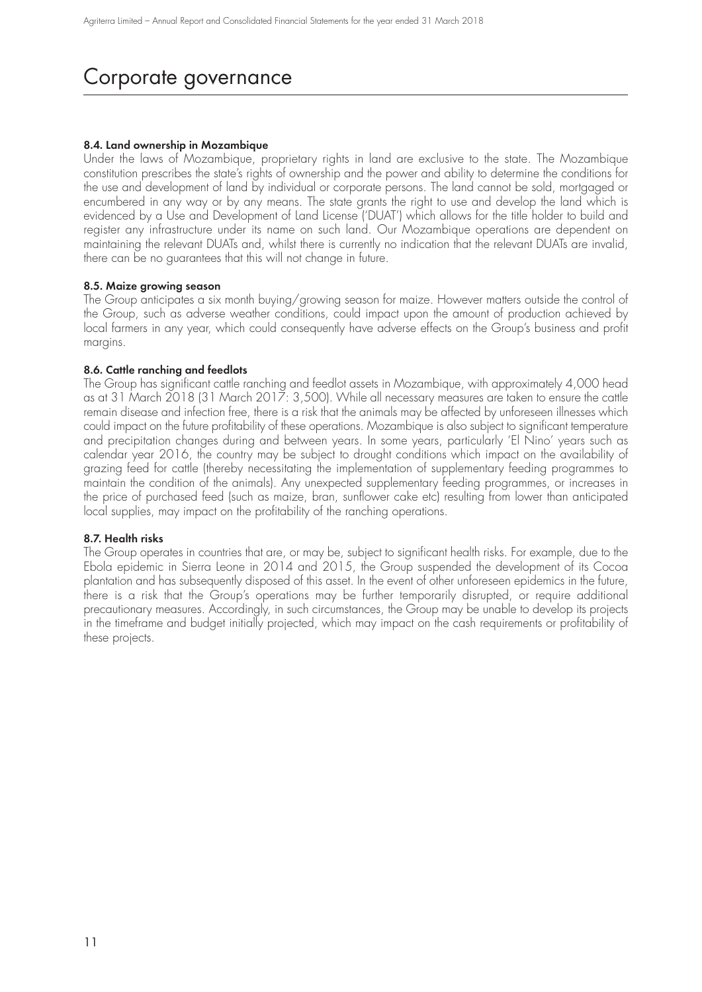## Corporate governance

### **8.4. Land ownership in Mozambique**

Under the laws of Mozambique, proprietary rights in land are exclusive to the state. The Mozambique constitution prescribes the state's rights of ownership and the power and ability to determine the conditions for the use and development of land by individual or corporate persons. The land cannot be sold, mortgaged or encumbered in any way or by any means. The state grants the right to use and develop the land which is evidenced by a Use and Development of Land License ('DUAT') which allows for the title holder to build and register any infrastructure under its name on such land. Our Mozambique operations are dependent on maintaining the relevant DUATs and, whilst there is currently no indication that the relevant DUATs are invalid, there can be no guarantees that this will not change in future.

### **8.5. Maize growing season**

The Group anticipates a six month buying/growing season for maize. However matters outside the control of the Group, such as adverse weather conditions, could impact upon the amount of production achieved by local farmers in any year, which could consequently have adverse effects on the Group's business and profit margins.

### **8.6. Cattle ranching and feedlots**

The Group has significant cattle ranching and feedlot assets in Mozambique, with approximately 4,000 head as at 31 March 2018 (31 March 2017: 3,500). While all necessary measures are taken to ensure the cattle remain disease and infection free, there is a risk that the animals may be affected by unforeseen illnesses which could impact on the future profitability of these operations. Mozambique is also subject to significant temperature and precipitation changes during and between years. In some years, particularly 'El Nino' years such as calendar year 2016, the country may be subject to drought conditions which impact on the availability of grazing feed for cattle (thereby necessitating the implementation of supplementary feeding programmes to maintain the condition of the animals). Any unexpected supplementary feeding programmes, or increases in the price of purchased feed (such as maize, bran, sunflower cake etc) resulting from lower than anticipated local supplies, may impact on the profitability of the ranching operations.

### **8.7. Health risks**

The Group operates in countries that are, or may be, subject to significant health risks. For example, due to the Ebola epidemic in Sierra Leone in 2014 and 2015, the Group suspended the development of its Cocoa plantation and has subsequently disposed of this asset. In the event of other unforeseen epidemics in the future, there is a risk that the Group's operations may be further temporarily disrupted, or require additional precautionary measures. Accordingly, in such circumstances, the Group may be unable to develop its projects in the timeframe and budget initially projected, which may impact on the cash requirements or profitability of these projects.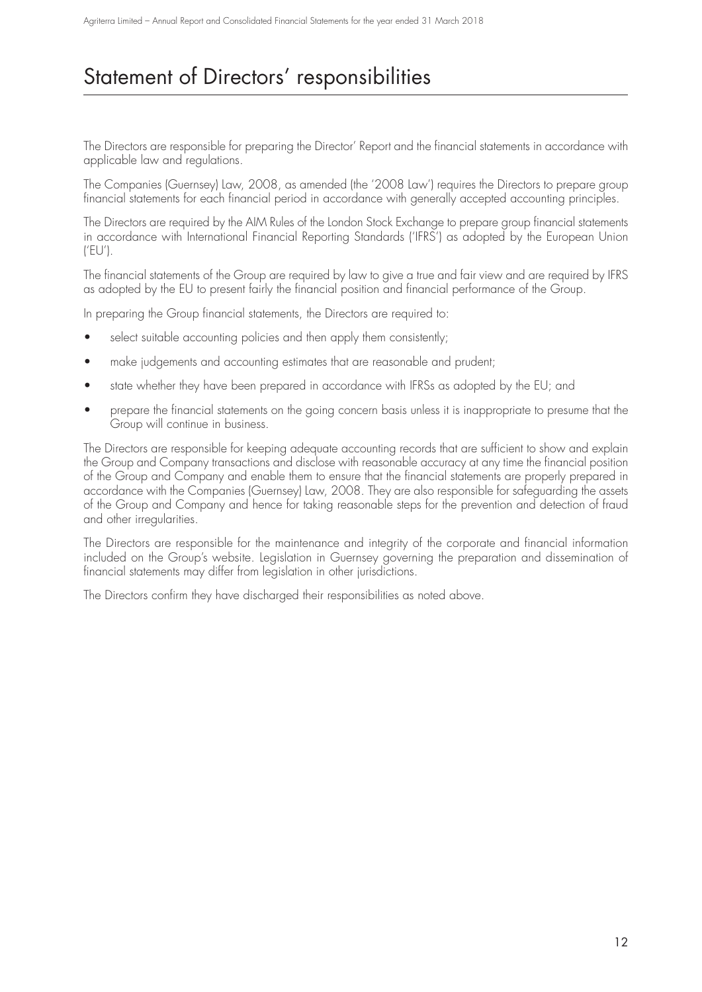## Statement of Directors' responsibilities

The Directors are responsible for preparing the Director' Report and the financial statements in accordance with applicable law and regulations.

The Companies (Guernsey) Law, 2008, as amended (the '2008 Law') requires the Directors to prepare group financial statements for each financial period in accordance with generally accepted accounting principles.

The Directors are required by the AIM Rules of the London Stock Exchange to prepare group financial statements in accordance with International Financial Reporting Standards ('IFRS') as adopted by the European Union ('EU').

The financial statements of the Group are required by law to give a true and fair view and are required by IFRS as adopted by the EU to present fairly the financial position and financial performance of the Group.

In preparing the Group financial statements, the Directors are required to:

- select suitable accounting policies and then apply them consistently;
- make judgements and accounting estimates that are reasonable and prudent;
- state whether they have been prepared in accordance with IFRSs as adopted by the EU; and
- prepare the financial statements on the going concern basis unless it is inappropriate to presume that the Group will continue in business.

The Directors are responsible for keeping adequate accounting records that are sufficient to show and explain the Group and Company transactions and disclose with reasonable accuracy at any time the financial position of the Group and Company and enable them to ensure that the financial statements are properly prepared in accordance with the Companies (Guernsey) Law, 2008. They are also responsible for safeguarding the assets of the Group and Company and hence for taking reasonable steps for the prevention and detection of fraud and other irregularities.

The Directors are responsible for the maintenance and integrity of the corporate and financial information included on the Group's website. Legislation in Guernsey governing the preparation and dissemination of financial statements may differ from legislation in other jurisdictions.

The Directors confirm they have discharged their responsibilities as noted above.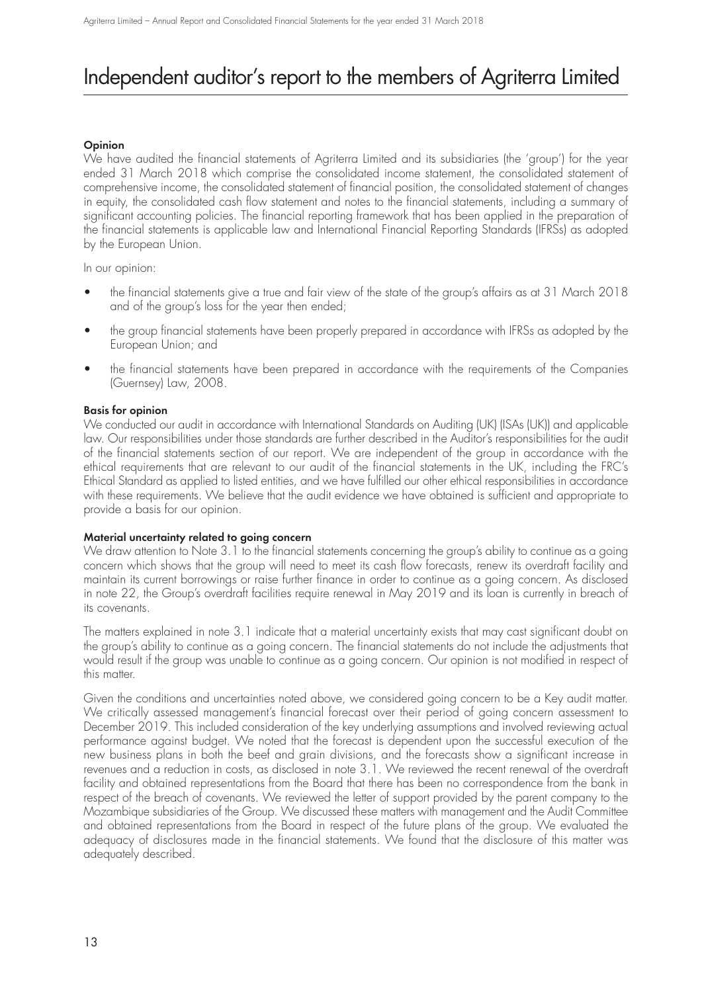## Independent auditor's report to the members of Agriterra Limited

### **Opinion**

We have audited the financial statements of Agriterra Limited and its subsidiaries (the 'group') for the year ended 31 March 2018 which comprise the consolidated income statement, the consolidated statement of comprehensive income, the consolidated statement of financial position, the consolidated statement of changes in equity, the consolidated cash flow statement and notes to the financial statements, including a summary of significant accounting policies. The financial reporting framework that has been applied in the preparation of the financial statements is applicable law and International Financial Reporting Standards (IFRSs) as adopted by the European Union.

In our opinion:

- the financial statements give a true and fair view of the state of the group's affairs as at 31 March 2018 and of the group's loss for the year then ended;
- the group financial statements have been properly prepared in accordance with IFRSs as adopted by the European Union; and
- the financial statements have been prepared in accordance with the requirements of the Companies (Guernsey) Law, 2008.

### **Basis for opinion**

We conducted our audit in accordance with International Standards on Auditing (UK) (ISAs (UK)) and applicable law. Our responsibilities under those standards are further described in the Auditor's responsibilities for the audit of the financial statements section of our report. We are independent of the group in accordance with the ethical requirements that are relevant to our audit of the financial statements in the UK, including the FRC's Ethical Standard as applied to listed entities, and we have fulfilled our other ethical responsibilities in accordance with these requirements. We believe that the audit evidence we have obtained is sufficient and appropriate to provide a basis for our opinion.

### **Material uncertainty related to going concern**

We draw attention to Note 3.1 to the financial statements concerning the group's ability to continue as a going concern which shows that the group will need to meet its cash flow forecasts, renew its overdraft facility and maintain its current borrowings or raise further finance in order to continue as a going concern. As disclosed in note 22, the Group's overdraft facilities require renewal in May 2019 and its loan is currently in breach of its covenants.

The matters explained in note 3.1 indicate that a material uncertainty exists that may cast significant doubt on the group's ability to continue as a going concern. The financial statements do not include the adjustments that would result if the group was unable to continue as a going concern. Our opinion is not modified in respect of this matter.

Given the conditions and uncertainties noted above, we considered going concern to be a Key audit matter. We critically assessed management's financial forecast over their period of going concern assessment to December 2019. This included consideration of the key underlying assumptions and involved reviewing actual performance against budget. We noted that the forecast is dependent upon the successful execution of the new business plans in both the beef and grain divisions, and the forecasts show a significant increase in revenues and a reduction in costs, as disclosed in note 3.1. We reviewed the recent renewal of the overdraft facility and obtained representations from the Board that there has been no correspondence from the bank in respect of the breach of covenants. We reviewed the letter of support provided by the parent company to the Mozambique subsidiaries of the Group. We discussed these matters with management and the Audit Committee and obtained representations from the Board in respect of the future plans of the group. We evaluated the adequacy of disclosures made in the financial statements. We found that the disclosure of this matter was adequately described.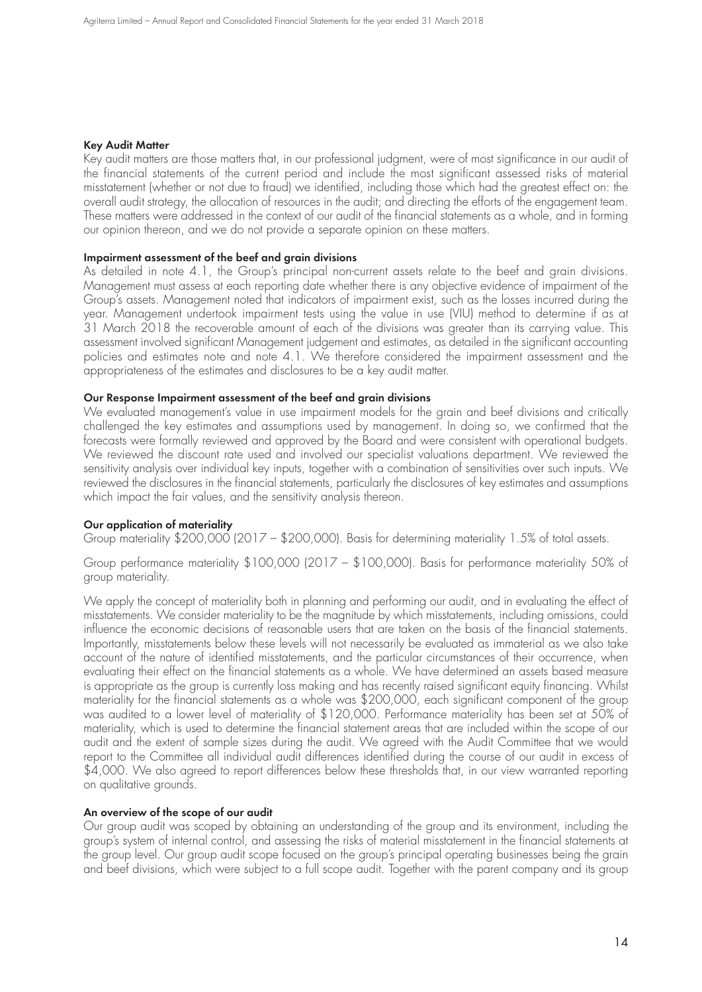#### **Key Audit Matter**

Key audit matters are those matters that, in our professional judgment, were of most significance in our audit of the financial statements of the current period and include the most significant assessed risks of material misstatement (whether or not due to fraud) we identified, including those which had the greatest effect on: the overall audit strategy, the allocation of resources in the audit; and directing the efforts of the engagement team. These matters were addressed in the context of our audit of the financial statements as a whole, and in forming our opinion thereon, and we do not provide a separate opinion on these matters.

#### **Impairment assessment of the beef and grain divisions**

As detailed in note 4.1, the Group's principal non-current assets relate to the beef and grain divisions. Management must assess at each reporting date whether there is any objective evidence of impairment of the Group's assets. Management noted that indicators of impairment exist, such as the losses incurred during the year. Management undertook impairment tests using the value in use (VIU) method to determine if as at 31 March 2018 the recoverable amount of each of the divisions was greater than its carrying value. This assessment involved significant Management judgement and estimates, as detailed in the significant accounting policies and estimates note and note 4.1. We therefore considered the impairment assessment and the appropriateness of the estimates and disclosures to be a key audit matter.

#### **Our Response Impairment assessment of the beef and grain divisions**

We evaluated management's value in use impairment models for the grain and beef divisions and critically challenged the key estimates and assumptions used by management. In doing so, we confirmed that the forecasts were formally reviewed and approved by the Board and were consistent with operational budgets. We reviewed the discount rate used and involved our specialist valuations department. We reviewed the sensitivity analysis over individual key inputs, together with a combination of sensitivities over such inputs. We reviewed the disclosures in the financial statements, particularly the disclosures of key estimates and assumptions which impact the fair values, and the sensitivity analysis thereon.

#### **Our application of materiality**

Group materiality \$200,000 (2017 – \$200,000). Basis for determining materiality 1.5% of total assets.

Group performance materiality \$100,000 (2017 – \$100,000). Basis for performance materiality 50% of group materiality.

We apply the concept of materiality both in planning and performing our audit, and in evaluating the effect of misstatements. We consider materiality to be the magnitude by which misstatements, including omissions, could influence the economic decisions of reasonable users that are taken on the basis of the financial statements. Importantly, misstatements below these levels will not necessarily be evaluated as immaterial as we also take account of the nature of identified misstatements, and the particular circumstances of their occurrence, when evaluating their effect on the financial statements as a whole. We have determined an assets based measure is appropriate as the group is currently loss making and has recently raised significant equity financing. Whilst materiality for the financial statements as a whole was \$200,000, each significant component of the group was audited to a lower level of materiality of \$120,000. Performance materiality has been set at 50% of materiality, which is used to determine the financial statement areas that are included within the scope of our audit and the extent of sample sizes during the audit. We agreed with the Audit Committee that we would report to the Committee all individual audit differences identified during the course of our audit in excess of \$4,000. We also agreed to report differences below these thresholds that, in our view warranted reporting on qualitative grounds.

#### **An overview of the scope of our audit**

Our group audit was scoped by obtaining an understanding of the group and its environment, including the group's system of internal control, and assessing the risks of material misstatement in the financial statements at the group level. Our group audit scope focused on the group's principal operating businesses being the grain and beef divisions, which were subject to a full scope audit. Together with the parent company and its group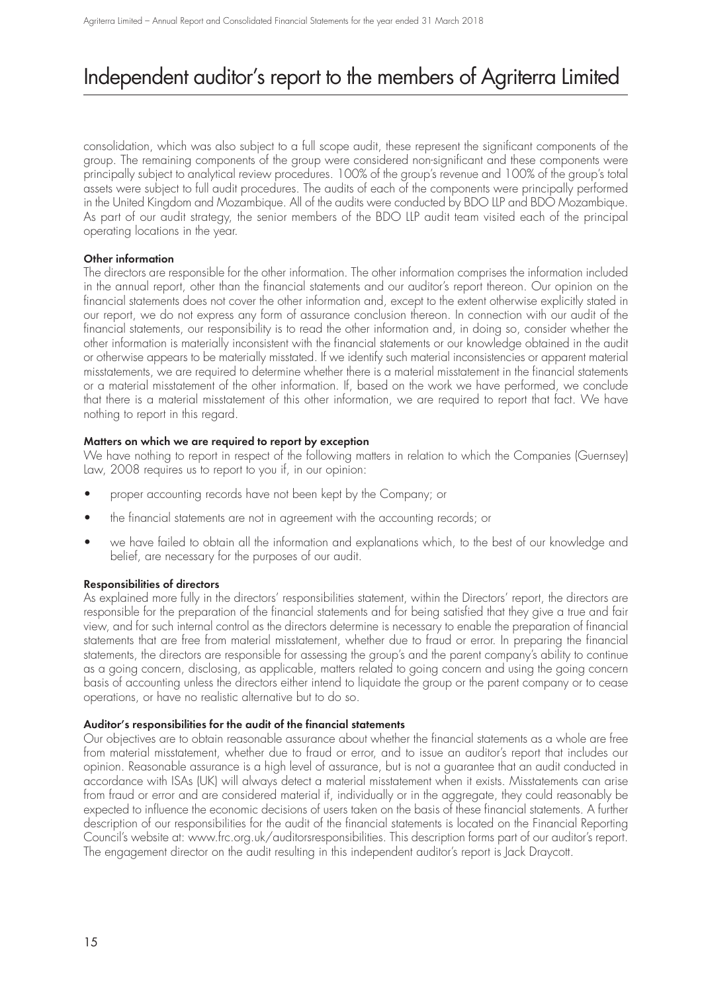## Independent auditor's report to the members of Agriterra Limited

consolidation, which was also subject to a full scope audit, these represent the significant components of the group. The remaining components of the group were considered non-significant and these components were principally subject to analytical review procedures. 100% of the group's revenue and 100% of the group's total assets were subject to full audit procedures. The audits of each of the components were principally performed in the United Kingdom and Mozambique. All of the audits were conducted by BDO LLP and BDO Mozambique. As part of our audit strategy, the senior members of the BDO LLP audit team visited each of the principal operating locations in the year.

### **Other information**

The directors are responsible for the other information. The other information comprises the information included in the annual report, other than the financial statements and our auditor's report thereon. Our opinion on the financial statements does not cover the other information and, except to the extent otherwise explicitly stated in our report, we do not express any form of assurance conclusion thereon. In connection with our audit of the financial statements, our responsibility is to read the other information and, in doing so, consider whether the other information is materially inconsistent with the financial statements or our knowledge obtained in the audit or otherwise appears to be materially misstated. If we identify such material inconsistencies or apparent material misstatements, we are required to determine whether there is a material misstatement in the financial statements or a material misstatement of the other information. If, based on the work we have performed, we conclude that there is a material misstatement of this other information, we are required to report that fact. We have nothing to report in this regard.

### **Matters on which we are required to report by exception**

We have nothing to report in respect of the following matters in relation to which the Companies (Guernsey) Law, 2008 requires us to report to you if, in our opinion:

- proper accounting records have not been kept by the Company; or
- the financial statements are not in agreement with the accounting records; or
- we have failed to obtain all the information and explanations which, to the best of our knowledge and belief, are necessary for the purposes of our audit.

### **Responsibilities of directors**

As explained more fully in the directors' responsibilities statement, within the Directors' report, the directors are responsible for the preparation of the financial statements and for being satisfied that they give a true and fair view, and for such internal control as the directors determine is necessary to enable the preparation of financial statements that are free from material misstatement, whether due to fraud or error. In preparing the financial statements, the directors are responsible for assessing the group's and the parent company's ability to continue as a going concern, disclosing, as applicable, matters related to going concern and using the going concern basis of accounting unless the directors either intend to liquidate the group or the parent company or to cease operations, or have no realistic alternative but to do so.

### **Auditor's responsibilities for the audit of the financial statements**

Our objectives are to obtain reasonable assurance about whether the financial statements as a whole are free from material misstatement, whether due to fraud or error, and to issue an auditor's report that includes our opinion. Reasonable assurance is a high level of assurance, but is not a guarantee that an audit conducted in accordance with ISAs (UK) will always detect a material misstatement when it exists. Misstatements can arise from fraud or error and are considered material if, individually or in the aggregate, they could reasonably be expected to influence the economic decisions of users taken on the basis of these financial statements. A further description of our responsibilities for the audit of the financial statements is located on the Financial Reporting Council's website at: www.frc.org.uk/auditorsresponsibilities. This description forms part of our auditor's report. The engagement director on the audit resulting in this independent auditor's report is Jack Draycott.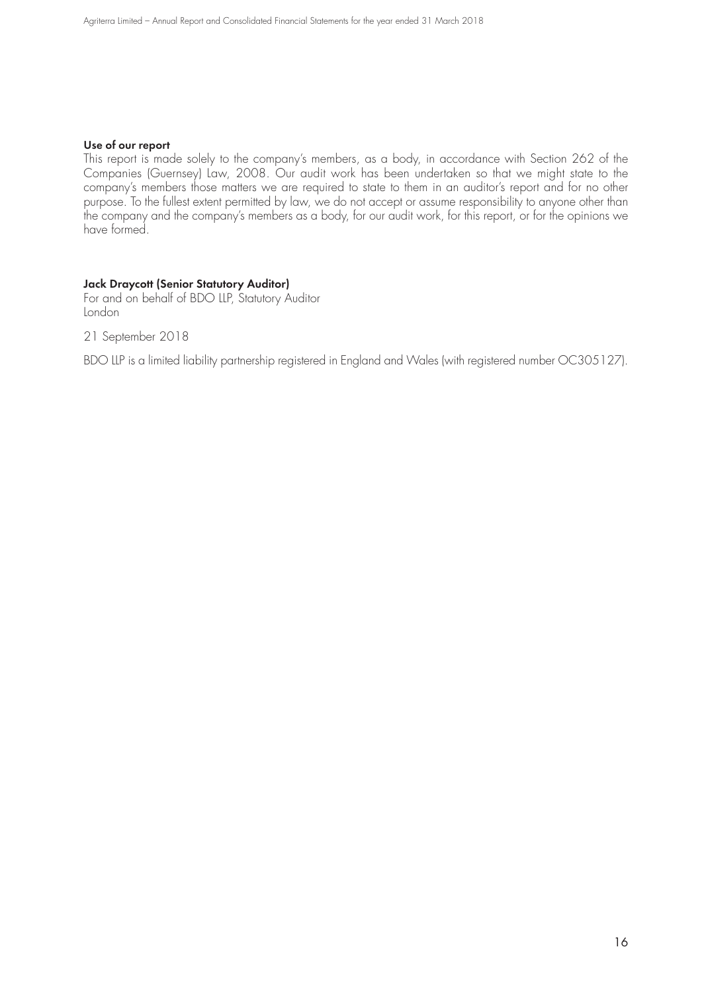#### **Use of our report**

This report is made solely to the company's members, as a body, in accordance with Section 262 of the Companies (Guernsey) Law, 2008. Our audit work has been undertaken so that we might state to the company's members those matters we are required to state to them in an auditor's report and for no other purpose. To the fullest extent permitted by law, we do not accept or assume responsibility to anyone other than the company and the company's members as a body, for our audit work, for this report, or for the opinions we have formed.

### **Jack Draycott (Senior Statutory Auditor)**

For and on behalf of BDO LLP, Statutory Auditor London

21 September 2018

BDO LLP is a limited liability partnership registered in England and Wales (with registered number OC305127).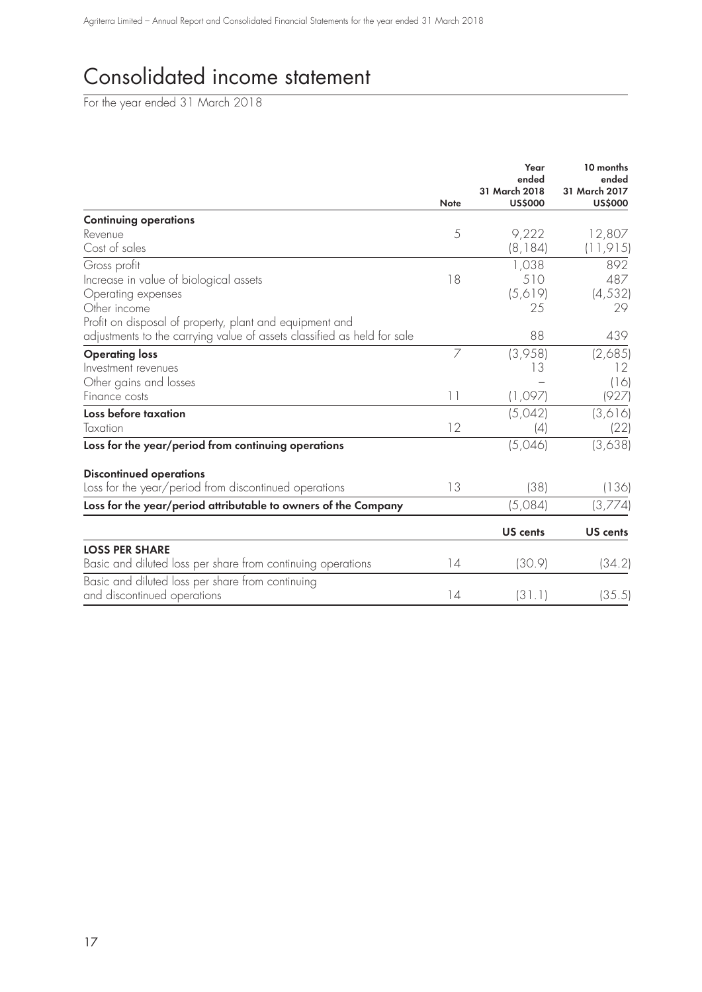# Consolidated income statement

For the year ended 31 March 2018

|                                                                         |               | Year<br>ended<br>31 March 2018 | 10 months<br>ended<br>31 March 2017 |
|-------------------------------------------------------------------------|---------------|--------------------------------|-------------------------------------|
|                                                                         | <b>Note</b>   | <b>US\$000</b>                 | <b>US\$000</b>                      |
| <b>Continuing operations</b>                                            |               |                                |                                     |
| Revenue                                                                 | 5             | 9,222                          | 12,807                              |
| Cost of sales                                                           |               | (8, 184)                       | (11, 915)                           |
| Gross profit                                                            |               | 1,038                          | 892                                 |
| Increase in value of biological assets                                  | 18            | 510                            | 487                                 |
| Operating expenses                                                      |               | (5,619)                        | (4, 532)                            |
| Other income                                                            |               | 25                             | 29                                  |
| Profit on disposal of property, plant and equipment and                 |               |                                |                                     |
| adjustments to the carrying value of assets classified as held for sale |               | 88                             | 439                                 |
| <b>Operating loss</b>                                                   | 7             | (3,958)                        | (2,685)                             |
| Investment revenues                                                     |               | 13                             | 12                                  |
| Other gains and losses                                                  |               |                                | (16)                                |
| Finance costs                                                           | $\vert \vert$ | (1,097)                        | (927)                               |
| Loss before taxation                                                    |               | (5,042)                        | (3,616)                             |
| Taxation                                                                | 12            | (4)                            | (22)                                |
| Loss for the year/period from continuing operations                     |               | (5,046)                        | (3,638)                             |
| <b>Discontinued operations</b>                                          |               |                                |                                     |
| Loss for the year/period from discontinued operations                   | 13            | (38)                           | (136)                               |
| Loss for the year/period attributable to owners of the Company          |               | (5,084)                        | (3,774)                             |
|                                                                         |               | <b>US</b> cents                | <b>US</b> cents                     |
| <b>LOSS PER SHARE</b>                                                   |               |                                |                                     |
| Basic and diluted loss per share from continuing operations             | 14            | (30.9)                         | (34.2)                              |
| Basic and diluted loss per share from continuing                        |               |                                |                                     |
| and discontinued operations                                             | 14            | (31.1)                         | (35.5)                              |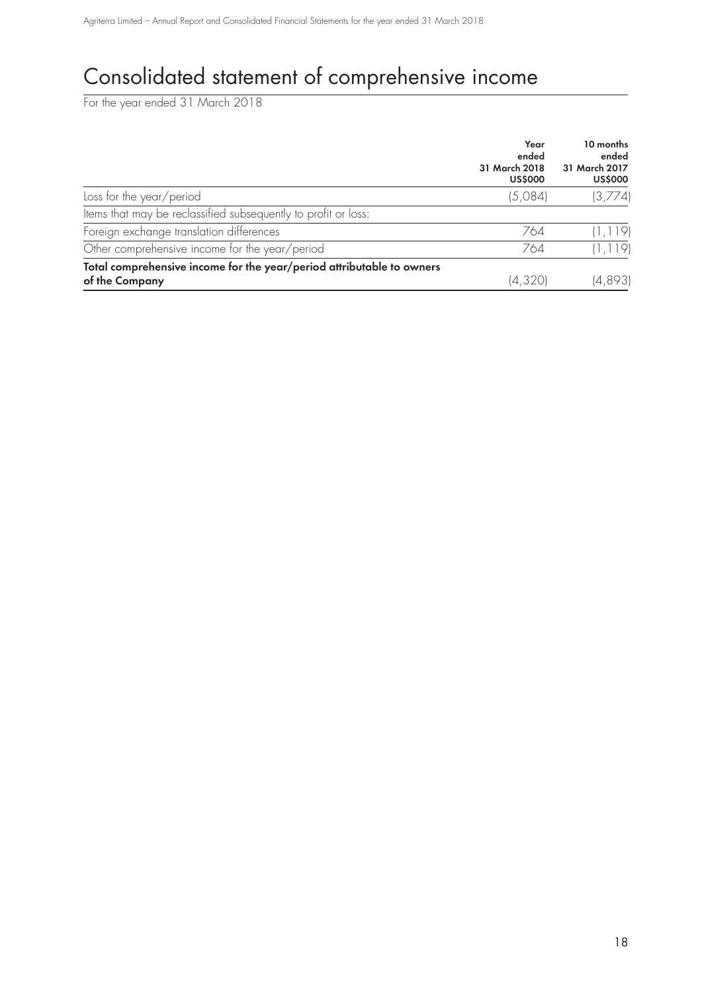# Consolidated statement of comprehensive income

For the year ended 31 March 2018

|                                                                       | Year<br>ended<br>31 March 2018<br><b>US\$000</b> | 10 months<br>ended<br>31 March 2017<br><b>US\$000</b> |
|-----------------------------------------------------------------------|--------------------------------------------------|-------------------------------------------------------|
| Loss for the year/period                                              | (5,084)                                          | (3,774)                                               |
| Items that may be reclassified subsequently to profit or loss:        |                                                  |                                                       |
| Foreign exchange translation differences                              | 764                                              | (1, 119)                                              |
| Other comprehensive income for the year/period                        | 764                                              | (1, 119)                                              |
| Total comprehensive income for the year/period attributable to owners |                                                  |                                                       |
| of the Company                                                        | (4,320)                                          | (4,893)                                               |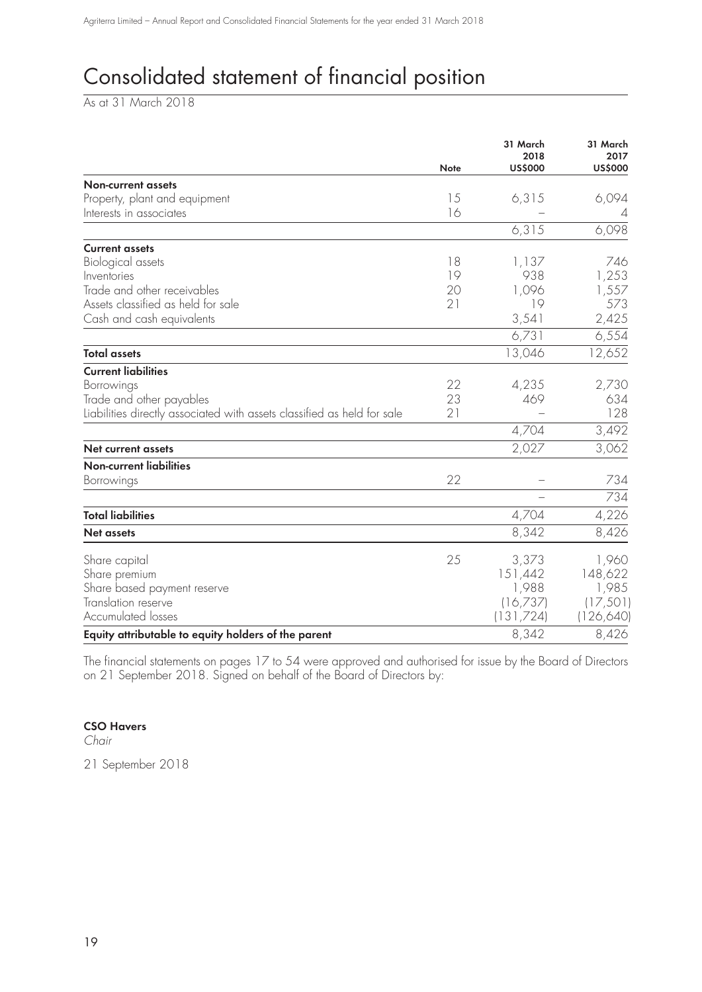# Consolidated statement of financial position

As at 31 March 2018

|                                                                         | <b>Note</b> | 31 March<br>2018<br><b>US\$000</b> | 31 March<br>2017 |
|-------------------------------------------------------------------------|-------------|------------------------------------|------------------|
|                                                                         |             |                                    | <b>US\$000</b>   |
| <b>Non-current assets</b><br>Property, plant and equipment              | 15          | 6,315                              | 6,094            |
| Interests in associates                                                 | 16          |                                    | 4                |
|                                                                         |             | 6,315                              | 6,098            |
|                                                                         |             |                                    |                  |
| <b>Current assets</b>                                                   |             |                                    |                  |
| Biological assets                                                       | 18          | 1,137                              | 746              |
| Inventories                                                             | 19          | 938                                | 1,253            |
| Trade and other receivables                                             | 20          | 1,096                              | 1,557            |
| Assets classified as held for sale                                      | 21          | 19                                 | 573              |
| Cash and cash equivalents                                               |             | 3,541                              | 2,425            |
|                                                                         |             | 6,731                              | 6,554            |
| <b>Total assets</b>                                                     |             | 13,046                             | 12,652           |
| <b>Current liabilities</b>                                              |             |                                    |                  |
| Borrowings                                                              | 22          | 4,235                              | 2,730            |
| Trade and other payables                                                | 23          | 469                                | 634              |
| Liabilities directly associated with assets classified as held for sale | 21          |                                    | 128              |
|                                                                         |             | 4,704                              | 3,492            |
| <b>Net current assets</b>                                               |             | 2,027                              | 3,062            |
| <b>Non-current liabilities</b>                                          |             |                                    |                  |
| Borrowings                                                              | 22          |                                    | 734              |
|                                                                         |             |                                    | 734              |
| <b>Total liabilities</b>                                                |             | 4,704                              | 4,226            |
| <b>Net assets</b>                                                       |             | 8,342                              | 8,426            |
| Share capital                                                           | 25          | 3,373                              | 1,960            |
| Share premium                                                           |             | 151,442                            | 148,622          |
| Share based payment reserve                                             |             | 1,988                              | 1,985            |
| Translation reserve                                                     |             | (16,737)                           | (17, 501)        |
| Accumulated losses                                                      |             | (131,724)                          | (126,640)        |
| Equity attributable to equity holders of the parent                     |             | 8,342                              | 8,426            |
|                                                                         |             |                                    |                  |

The financial statements on pages 17 to 54 were approved and authorised for issue by the Board of Directors on 21 September 2018. Signed on behalf of the Board of Directors by:

### **CSO Havers**

Chair

21 September 2018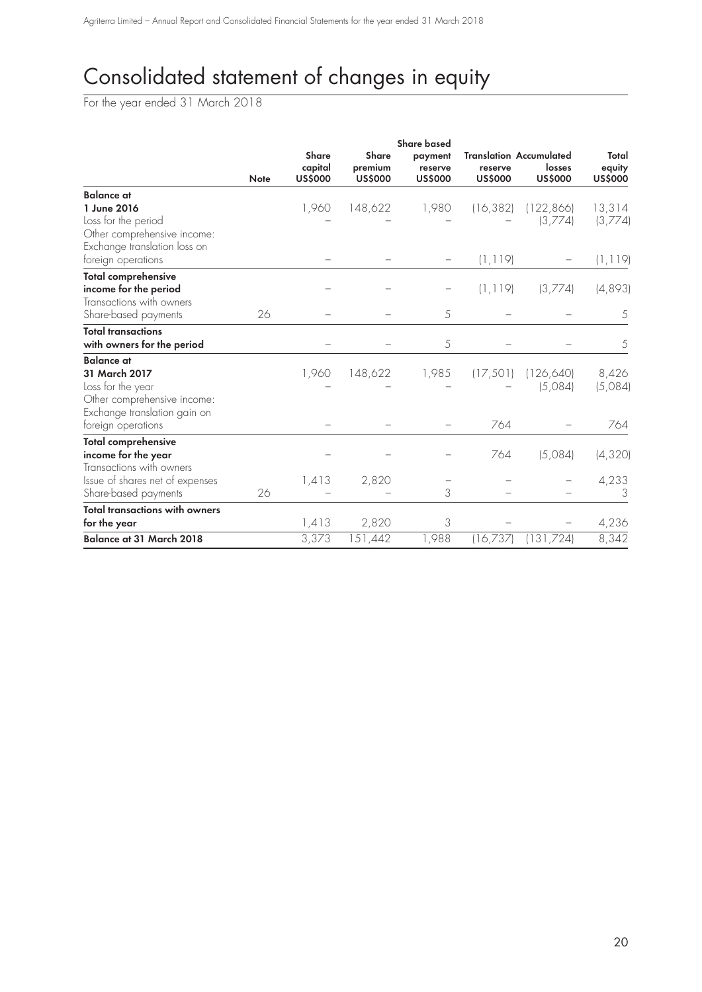# Consolidated statement of changes in equity

For the year ended 31 March 2018

|                                       |             | <b>Share based</b>                        |                                           |                                      |                           |                                                     |                                   |
|---------------------------------------|-------------|-------------------------------------------|-------------------------------------------|--------------------------------------|---------------------------|-----------------------------------------------------|-----------------------------------|
|                                       | <b>Note</b> | <b>Share</b><br>capital<br><b>US\$000</b> | <b>Share</b><br>premium<br><b>US\$000</b> | payment<br>reserve<br><b>US\$000</b> | reserve<br><b>US\$000</b> | Translation Accumulated<br>losses<br><b>US\$000</b> | Total<br>equity<br><b>US\$000</b> |
| <b>Balance</b> at                     |             |                                           |                                           |                                      |                           |                                                     |                                   |
| 1 June 2016                           |             | 1,960                                     | 148,622                                   | 1,980                                | (16, 382)                 | (122, 866)                                          | 13,314                            |
| Loss for the period                   |             |                                           |                                           |                                      |                           | (3,774)                                             | (3,774)                           |
| Other comprehensive income:           |             |                                           |                                           |                                      |                           |                                                     |                                   |
| Exchange translation loss on          |             |                                           |                                           |                                      |                           |                                                     |                                   |
| foreign operations                    |             |                                           |                                           |                                      | (1, 119)                  |                                                     | (1, 119)                          |
| <b>Total comprehensive</b>            |             |                                           |                                           |                                      |                           |                                                     |                                   |
| income for the period                 |             |                                           |                                           |                                      | (1, 119)                  | (3,774)                                             | (4,893)                           |
| Transactions with owners              |             |                                           |                                           |                                      |                           |                                                     |                                   |
| Share-based payments                  | 26          |                                           |                                           | 5                                    |                           |                                                     | 5                                 |
| <b>Total transactions</b>             |             |                                           |                                           |                                      |                           |                                                     |                                   |
| with owners for the period            |             |                                           |                                           | 5                                    |                           |                                                     | 5                                 |
| <b>Balance</b> at                     |             |                                           |                                           |                                      |                           |                                                     |                                   |
| 31 March 2017                         |             | 1,960                                     | 148,622                                   | 1,985                                | (17, 501)                 | (126, 640)                                          | 8,426                             |
| Loss for the year                     |             |                                           |                                           |                                      |                           | (5,084)                                             | (5,084)                           |
| Other comprehensive income:           |             |                                           |                                           |                                      |                           |                                                     |                                   |
| Exchange translation gain on          |             |                                           |                                           |                                      |                           |                                                     |                                   |
| foreign operations                    |             |                                           |                                           |                                      | 764                       |                                                     | 764                               |
| <b>Total comprehensive</b>            |             |                                           |                                           |                                      |                           |                                                     |                                   |
| income for the year                   |             |                                           |                                           |                                      | 764                       | (5,084)                                             | (4, 320)                          |
| Transactions with owners              |             |                                           |                                           |                                      |                           |                                                     |                                   |
| Issue of shares net of expenses       |             | 1,413                                     | 2,820                                     |                                      |                           |                                                     | 4,233                             |
| Share-based payments                  | 26          |                                           |                                           | 3                                    |                           |                                                     | 3                                 |
| <b>Total transactions with owners</b> |             |                                           |                                           |                                      |                           |                                                     |                                   |
| for the year                          |             | 1,413                                     | 2,820                                     | 3                                    |                           |                                                     | 4,236                             |
| <b>Balance at 31 March 2018</b>       |             | 3,373                                     | 151,442                                   | 1,988                                | (16,737)                  | (131,724)                                           | 8,342                             |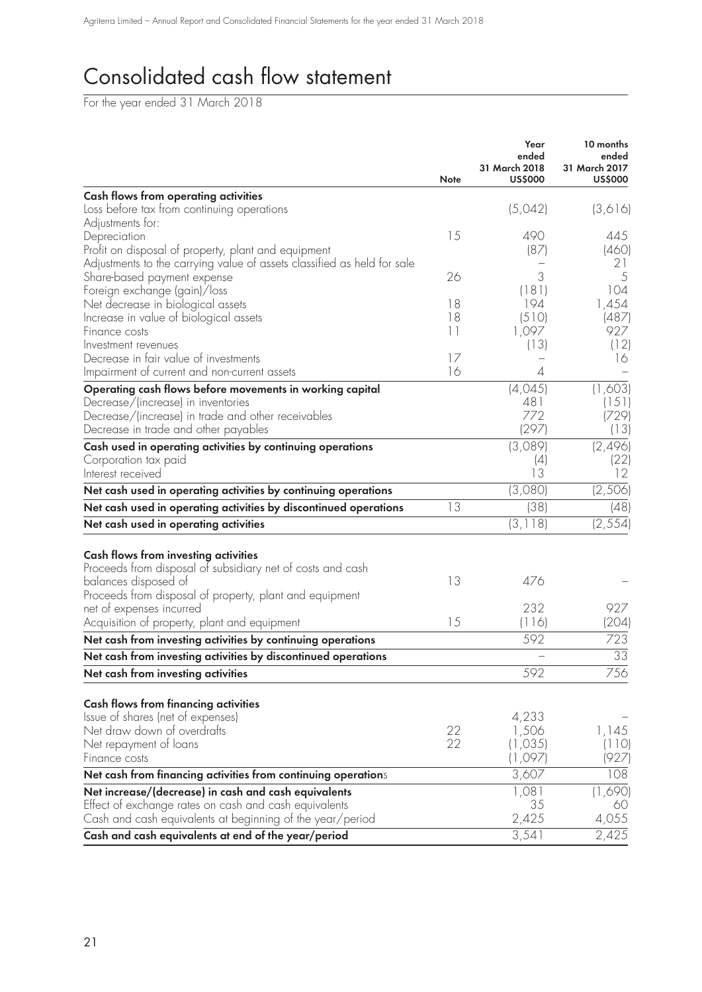# Consolidated cash flow statement

For the year ended 31 March 2018

|                                                                         | <b>Note</b> | Year<br>ended<br>31 March 2018<br><b>US\$000</b> | 10 months<br>ended<br>31 March 2017<br><b>US\$000</b> |
|-------------------------------------------------------------------------|-------------|--------------------------------------------------|-------------------------------------------------------|
| <b>Cash flows from operating activities</b>                             |             |                                                  |                                                       |
| Loss before tax from continuing operations                              |             | (5,042)                                          | (3,616)                                               |
| Adjustments for:                                                        |             |                                                  |                                                       |
| Depreciation                                                            | 15          | 490                                              | 445                                                   |
| Profit on disposal of property, plant and equipment                     |             | (87)                                             | (460)                                                 |
| Adjustments to the carrying value of assets classified as held for sale |             |                                                  | 21                                                    |
| Share-based payment expense                                             | 26          | 3                                                | 5                                                     |
| Foreign exchange (gain)/loss                                            |             | (181)                                            | 104                                                   |
| Net decrease in biological assets                                       | 18          | 194                                              | 1,454                                                 |
| Increase in value of biological assets                                  | 18          | (510)                                            | (487)                                                 |
| Finance costs                                                           | 11          | 1,097                                            | 927                                                   |
| Investment revenues                                                     |             | (13)                                             | (12)                                                  |
| Decrease in fair value of investments                                   | 17          |                                                  | 16                                                    |
| Impairment of current and non-current assets                            | 16          | 4                                                |                                                       |
| Operating cash flows before movements in working capital                |             | (4,045)                                          | (1,603)                                               |
| Decrease/(increase) in inventories                                      |             | 481                                              | (151)                                                 |
| Decrease/(increase) in trade and other receivables                      |             | 772                                              | (729)                                                 |
| Decrease in trade and other payables                                    |             | (297)                                            | (13)                                                  |
| Cash used in operating activities by continuing operations              |             | (3,089)                                          | (2, 496)                                              |
| Corporation tax paid                                                    |             | (4)                                              | (22)                                                  |
| Interest received                                                       |             | 13                                               | 12                                                    |
| Net cash used in operating activities by continuing operations          |             | (3,080)                                          | (2,506)                                               |
| Net cash used in operating activities by discontinued operations        | 13          | (38)                                             | (48)                                                  |
| Net cash used in operating activities                                   |             | (3, 118)                                         | (2, 554)                                              |
|                                                                         |             |                                                  |                                                       |
| <b>Cash flows from investing activities</b>                             |             |                                                  |                                                       |
| Proceeds from disposal of subsidiary net of costs and cash              |             |                                                  |                                                       |
| balances disposed of                                                    | 13          | 476                                              |                                                       |
| Proceeds from disposal of property, plant and equipment                 |             |                                                  |                                                       |
| net of expenses incurred                                                |             | 232                                              | 927                                                   |
| Acquisition of property, plant and equipment                            | 15          | (116)                                            | (204)                                                 |
| Net cash from investing activities by continuing operations             |             | 592                                              | 723                                                   |
| Net cash from investing activities by discontinued operations           |             | —                                                | $\overline{33}$                                       |
| Net cash from investing activities                                      |             | 592                                              | 756                                                   |
|                                                                         |             |                                                  |                                                       |
| <b>Cash flows from financing activities</b>                             |             |                                                  |                                                       |
| Issue of shares (net of expenses)                                       |             | 4,233                                            |                                                       |
| Net draw down of overdrafts                                             | 22          | 1,506                                            | 1,145                                                 |
| Net repayment of loans                                                  | 22          | (1,035)                                          | (110)                                                 |
| Finance costs                                                           |             | (1,097)                                          | (927)                                                 |
| Net cash from financing activities from continuing operations           |             | 3,607                                            | 108                                                   |
| Net increase/(decrease) in cash and cash equivalents                    |             | 1,081                                            | (1,690)                                               |
| Effect of exchange rates on cash and cash equivalents                   |             | 35                                               | 60                                                    |
| Cash and cash equivalents at beginning of the year/period               |             | 2,425                                            | 4,055                                                 |
| Cash and cash equivalents at end of the year/period                     |             | 3,541                                            | 2,425                                                 |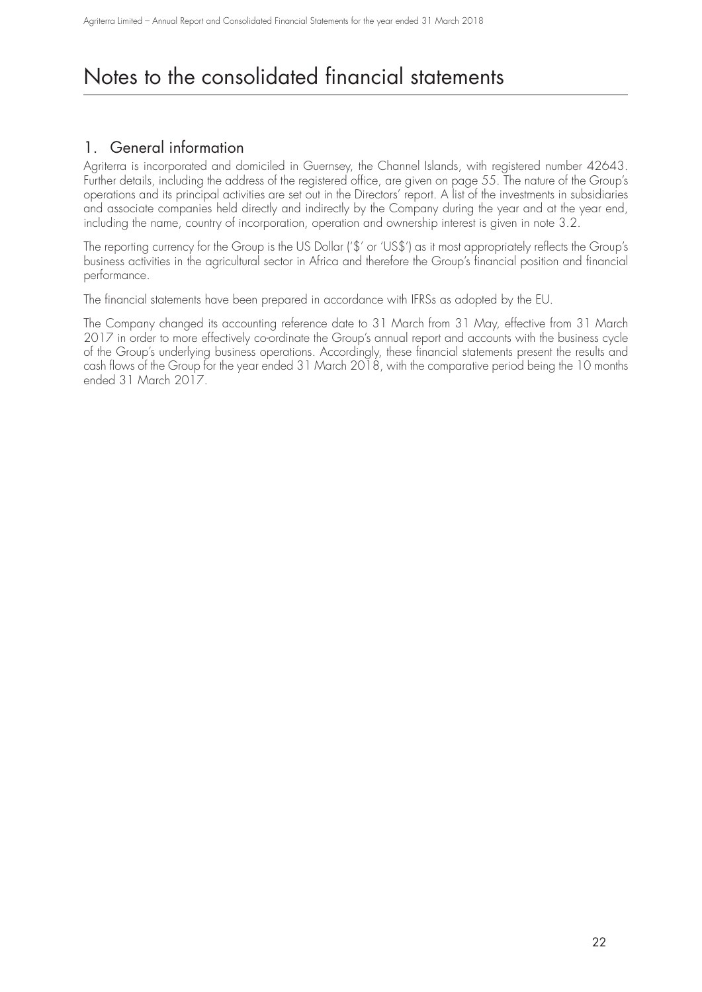## 1. General information

Agriterra is incorporated and domiciled in Guernsey, the Channel Islands, with registered number 42643. Further details, including the address of the registered office, are given on page 55. The nature of the Group's operations and its principal activities are set out in the Directors' report. A list of the investments in subsidiaries and associate companies held directly and indirectly by the Company during the year and at the year end, including the name, country of incorporation, operation and ownership interest is given in note 3.2.

The reporting currency for the Group is the US Dollar ('\$' or 'US\$') as it most appropriately reflects the Group's business activities in the agricultural sector in Africa and therefore the Group's financial position and financial performance.

The financial statements have been prepared in accordance with IFRSs as adopted by the EU.

The Company changed its accounting reference date to 31 March from 31 May, effective from 31 March 2017 in order to more effectively co-ordinate the Group's annual report and accounts with the business cycle of the Group's underlying business operations. Accordingly, these financial statements present the results and cash flows of the Group for the year ended 31 March 2018, with the comparative period being the 10 months ended 31 March 2017.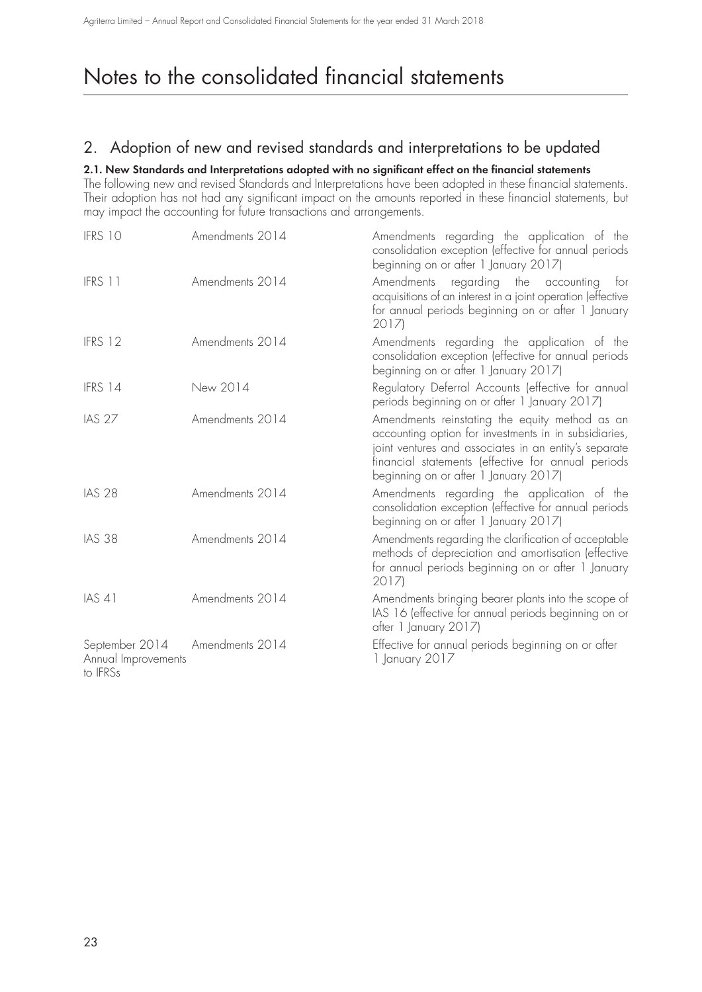## 2. Adoption of new and revised standards and interpretations to be updated

### **2.1. New Standards and Interpretations adopted with no significant effect on the financial statements**

The following new and revised Standards and Interpretations have been adopted in these financial statements. Their adoption has not had any significant impact on the amounts reported in these financial statements, but may impact the accounting for future transactions and arrangements.

| IFRS 10                                           | Amendments 2014 | Amendments regarding the application of the<br>consolidation exception (effective for annual periods<br>beginning on or after 1 January 2017)                                                                                                                   |
|---------------------------------------------------|-----------------|-----------------------------------------------------------------------------------------------------------------------------------------------------------------------------------------------------------------------------------------------------------------|
| IFRS 11                                           | Amendments 2014 | regarding<br>the<br>Amendments<br>accounting<br>tor<br>acquisitions of an interest in a joint operation (effective<br>for annual periods beginning on or after 1 January<br>2017)                                                                               |
| IFRS 12                                           | Amendments 2014 | Amendments regarding the application of the<br>consolidation exception (effective for annual periods<br>beginning on or after 1 January 2017)                                                                                                                   |
| IFRS 14                                           | New 2014        | Regulatory Deferral Accounts (effective for annual<br>periods beginning on or after 1 January 2017)                                                                                                                                                             |
| <b>IAS 27</b>                                     | Amendments 2014 | Amendments reinstating the equity method as an<br>accounting option for investments in in subsidiaries,<br>joint ventures and associates in an entity's separate<br>financial statements (effective for annual periods<br>beginning on or after 1 January 2017) |
| <b>IAS 28</b>                                     | Amendments 2014 | Amendments regarding the application of the<br>consolidation exception (effective for annual periods<br>beginning on or after 1 January 2017)                                                                                                                   |
| <b>IAS 38</b>                                     | Amendments 2014 | Amendments regarding the clarification of acceptable<br>methods of depreciation and amortisation (effective<br>for annual periods beginning on or after 1 January<br>2017)                                                                                      |
| <b>IAS 41</b>                                     | Amendments 2014 | Amendments bringing bearer plants into the scope of<br>IAS 16 (effective for annual periods beginning on or<br>after 1 January 2017)                                                                                                                            |
| September 2014<br>Annual Improvements<br>to IFRSs | Amendments 2014 | Effective for annual periods beginning on or after<br>1 January 2017                                                                                                                                                                                            |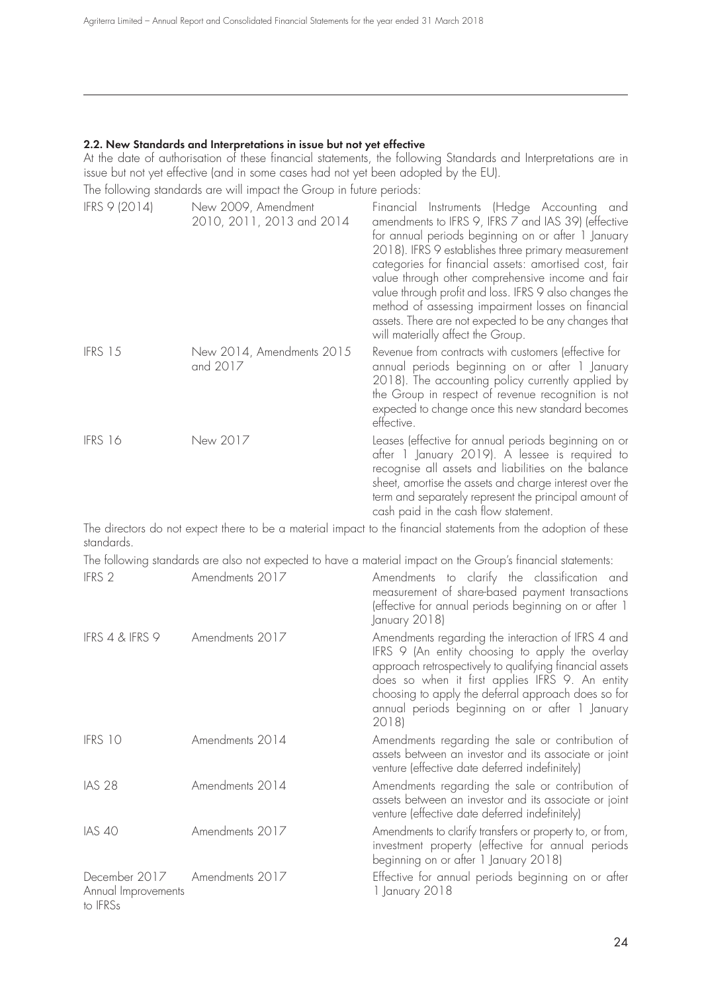#### **2.2. New Standards and Interpretations in issue but not yet effective**

At the date of authorisation of these financial statements, the following Standards and Interpretations are in issue but not yet effective (and in some cases had not yet been adopted by the EU).

The following standards are will impact the Group in future periods:

| IFRS 9 (2014) | New 2009, Amendment<br>2010, 2011, 2013 and 2014 | Financial Instruments (Hedge Accounting and<br>amendments to IFRS 9, IFRS 7 and IAS 39) (effective<br>for annual periods beginning on or after 1 January<br>2018). IFRS 9 establishes three primary measurement<br>categories for financial assets: amortised cost, fair<br>value through other comprehensive income and fair<br>value through profit and loss. IFRS 9 also changes the<br>method of assessing impairment losses on financial<br>assets. There are not expected to be any changes that<br>will materially affect the Group. |
|---------------|--------------------------------------------------|---------------------------------------------------------------------------------------------------------------------------------------------------------------------------------------------------------------------------------------------------------------------------------------------------------------------------------------------------------------------------------------------------------------------------------------------------------------------------------------------------------------------------------------------|
| IFRS 15       | New 2014, Amendments 2015<br>and 2017            | Revenue from contracts with customers (effective for<br>annual periods beginning on or after 1 January<br>2018). The accounting policy currently applied by<br>the Group in respect of revenue recognition is not<br>expected to change once this new standard becomes<br>effective.                                                                                                                                                                                                                                                        |
| IFRS 16       | New 2017                                         | Leases (effective for annual periods beginning on or<br>after 1 January 2019). A lessee is required to<br>recognise all assets and liabilities on the balance<br>sheet, amortise the assets and charge interest over the<br>term and separately represent the principal amount of<br>cash paid in the cash flow statement.                                                                                                                                                                                                                  |

The directors do not expect there to be a material impact to the financial statements from the adoption of these standards.

The following standards are also not expected to have a material impact on the Group's financial statements:

| IFRS 2                                                           | Amendments 2017 | Amendments to clarify the classification and<br>measurement of share-based payment transactions<br>(effective for annual periods beginning on or after 1<br>January 2018)                                                                                                                                                             |
|------------------------------------------------------------------|-----------------|---------------------------------------------------------------------------------------------------------------------------------------------------------------------------------------------------------------------------------------------------------------------------------------------------------------------------------------|
| IFRS 4 & IFRS 9                                                  | Amendments 2017 | Amendments regarding the interaction of IFRS 4 and<br>IFRS 9 (An entity choosing to apply the overlay<br>approach retrospectively to qualifying financial assets<br>does so when it first applies IFRS 9. An entity<br>choosing to apply the deferral approach does so for<br>annual periods beginning on or after 1 January<br>2018) |
| IFRS 10                                                          | Amendments 2014 | Amendments regarding the sale or contribution of<br>assets between an investor and its associate or joint<br>venture (effective date deferred indefinitely)                                                                                                                                                                           |
| <b>IAS 28</b>                                                    | Amendments 2014 | Amendments regarding the sale or contribution of<br>assets between an investor and its associate or joint<br>venture (effective date deferred indefinitely)                                                                                                                                                                           |
| <b>IAS 40</b>                                                    | Amendments 2017 | Amendments to clarify transfers or property to, or from,<br>investment property (effective for annual periods<br>beginning on or after 1 January 2018)                                                                                                                                                                                |
| December 2017 Amendments 2017<br>Annual Improvements<br>to IFRSs |                 | Effective for annual periods beginning on or after<br>1 January 2018                                                                                                                                                                                                                                                                  |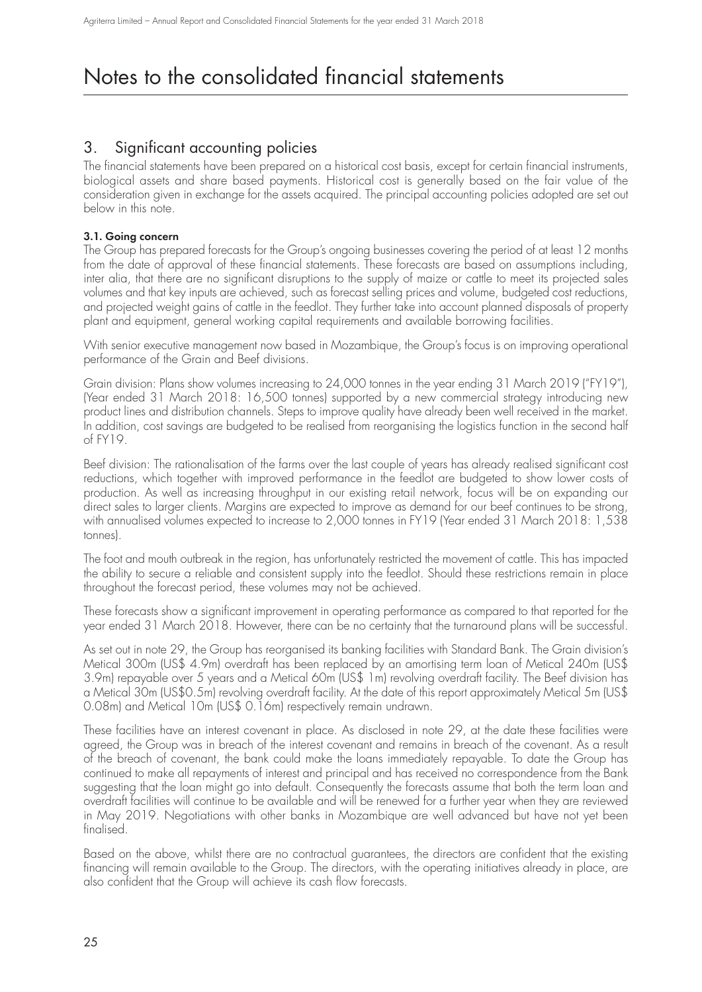## 3. Significant accounting policies

The financial statements have been prepared on a historical cost basis, except for certain financial instruments, biological assets and share based payments. Historical cost is generally based on the fair value of the consideration given in exchange for the assets acquired. The principal accounting policies adopted are set out below in this note.

### **3.1. Going concern**

The Group has prepared forecasts for the Group's ongoing businesses covering the period of at least 12 months from the date of approval of these financial statements. These forecasts are based on assumptions including, inter alia, that there are no significant disruptions to the supply of maize or cattle to meet its projected sales volumes and that key inputs are achieved, such as forecast selling prices and volume, budgeted cost reductions, and projected weight gains of cattle in the feedlot. They further take into account planned disposals of property plant and equipment, general working capital requirements and available borrowing facilities.

With senior executive management now based in Mozambique, the Group's focus is on improving operational performance of the Grain and Beef divisions.

Grain division: Plans show volumes increasing to 24,000 tonnes in the year ending 31 March 2019 ("FY19"), (Year ended 31 March 2018: 16,500 tonnes) supported by a new commercial strategy introducing new product lines and distribution channels. Steps to improve quality have already been well received in the market. In addition, cost savings are budgeted to be realised from reorganising the logistics function in the second half of FY19.

Beef division: The rationalisation of the farms over the last couple of years has already realised significant cost reductions, which together with improved performance in the feedlot are budgeted to show lower costs of production. As well as increasing throughput in our existing retail network, focus will be on expanding our direct sales to larger clients. Margins are expected to improve as demand for our beef continues to be strong, with annualised volumes expected to increase to 2,000 tonnes in FY19 (Year ended 31 March 2018: 1,538 tonnes).

The foot and mouth outbreak in the region, has unfortunately restricted the movement of cattle. This has impacted the ability to secure a reliable and consistent supply into the feedlot. Should these restrictions remain in place throughout the forecast period, these volumes may not be achieved.

These forecasts show a significant improvement in operating performance as compared to that reported for the year ended 31 March 2018. However, there can be no certainty that the turnaround plans will be successful.

As set out in note 29, the Group has reorganised its banking facilities with Standard Bank. The Grain division's Metical 300m (US\$ 4.9m) overdraft has been replaced by an amortising term loan of Metical 240m (US\$ 3.9m) repayable over 5 years and a Metical 60m (US\$ 1m) revolving overdraft facility. The Beef division has a Metical 30m (US\$0.5m) revolving overdraft facility. At the date of this report approximately Metical 5m (US\$ 0.08m) and Metical 10m (US\$ 0.16m) respectively remain undrawn.

These facilities have an interest covenant in place. As disclosed in note 29, at the date these facilities were agreed, the Group was in breach of the interest covenant and remains in breach of the covenant. As a result of the breach of covenant, the bank could make the loans immediately repayable. To date the Group has continued to make all repayments of interest and principal and has received no correspondence from the Bank suggesting that the loan might go into default. Consequently the forecasts assume that both the term loan and overdraft facilities will continue to be available and will be renewed for a further year when they are reviewed in May 2019. Negotiations with other banks in Mozambique are well advanced but have not yet been finalised.

Based on the above, whilst there are no contractual guarantees, the directors are confident that the existing financing will remain available to the Group. The directors, with the operating initiatives already in place, are also confident that the Group will achieve its cash flow forecasts.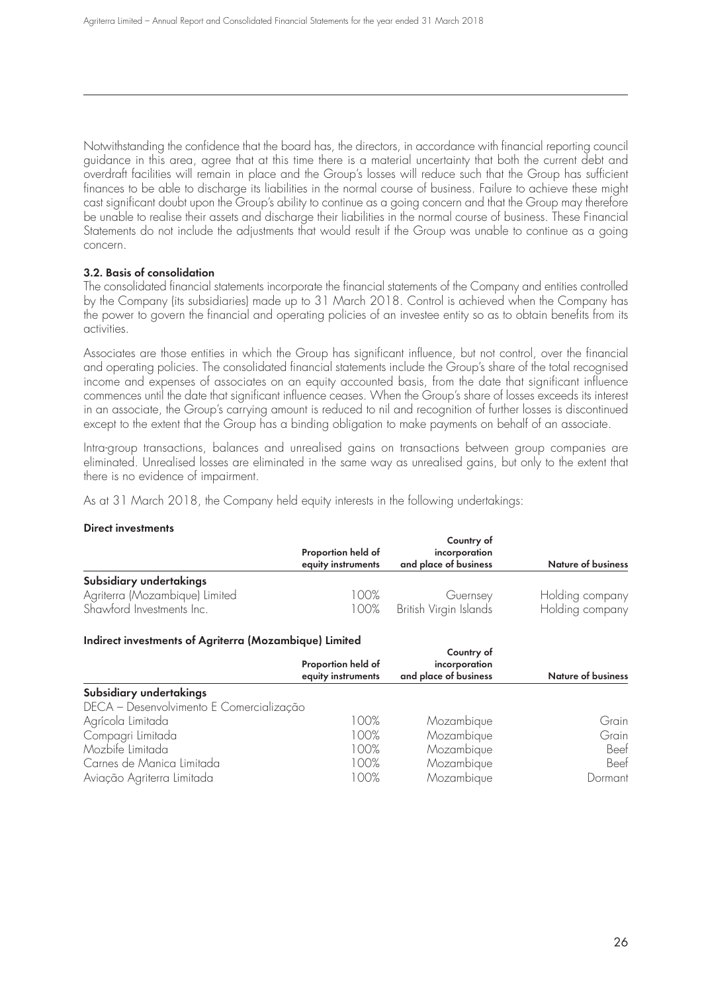Notwithstanding the confidence that the board has, the directors, in accordance with financial reporting council guidance in this area, agree that at this time there is a material uncertainty that both the current debt and overdraft facilities will remain in place and the Group's losses will reduce such that the Group has sufficient finances to be able to discharge its liabilities in the normal course of business. Failure to achieve these might cast significant doubt upon the Group's ability to continue as a going concern and that the Group may therefore be unable to realise their assets and discharge their liabilities in the normal course of business. These Financial Statements do not include the adjustments that would result if the Group was unable to continue as a going concern.

### **3.2. Basis of consolidation**

The consolidated financial statements incorporate the financial statements of the Company and entities controlled by the Company (its subsidiaries) made up to 31 March 2018. Control is achieved when the Company has the power to govern the financial and operating policies of an investee entity so as to obtain benefits from its activities.

Associates are those entities in which the Group has significant influence, but not control, over the financial and operating policies. The consolidated financial statements include the Group's share of the total recognised income and expenses of associates on an equity accounted basis, from the date that significant influence commences until the date that significant influence ceases. When the Group's share of losses exceeds its interest in an associate, the Group's carrying amount is reduced to nil and recognition of further losses is discontinued except to the extent that the Group has a binding obligation to make payments on behalf of an associate.

Intra-group transactions, balances and unrealised gains on transactions between group companies are eliminated. Unrealised losses are eliminated in the same way as unrealised gains, but only to the extent that there is no evidence of impairment.

As at 31 March 2018, the Company held equity interests in the following undertakings:

### **Direct investments**

|                                | Proportion held of<br>equity instruments | Country of<br>incorporation<br>and place of business | <b>Nature of business</b> |  |
|--------------------------------|------------------------------------------|------------------------------------------------------|---------------------------|--|
| Subsidiary undertakings        |                                          |                                                      |                           |  |
| Agriterra (Mozambique) Limited | 100%                                     | Guernsey                                             | Holding company           |  |
| Shawford Investments Inc.      | 100%                                     | British Virgin Islands                               | Holding company           |  |

### **Indirect investments of Agriterra (Mozambique) Limited**

|                                          | Proportion held of<br>equity instruments | Country of<br>incorporation<br>and place of business | <b>Nature of business</b> |
|------------------------------------------|------------------------------------------|------------------------------------------------------|---------------------------|
| Subsidiary undertakings                  |                                          |                                                      |                           |
| DECA - Desenvolvimento E Comercialização |                                          |                                                      |                           |
| Agrícola Limitada                        | 100%                                     | Mozambique                                           | Grain                     |
| Compagri Limitada                        | 100%                                     | Mozambique                                           | Grain                     |
| Mozbife Limitada                         | 100%                                     | Mozambique                                           | Beef                      |
| Carnes de Manica Limitada                | 100%                                     | Mozambique                                           | Beef                      |
| Aviação Agriterra Limitada               | 100%                                     | Mozambique                                           | Dormant                   |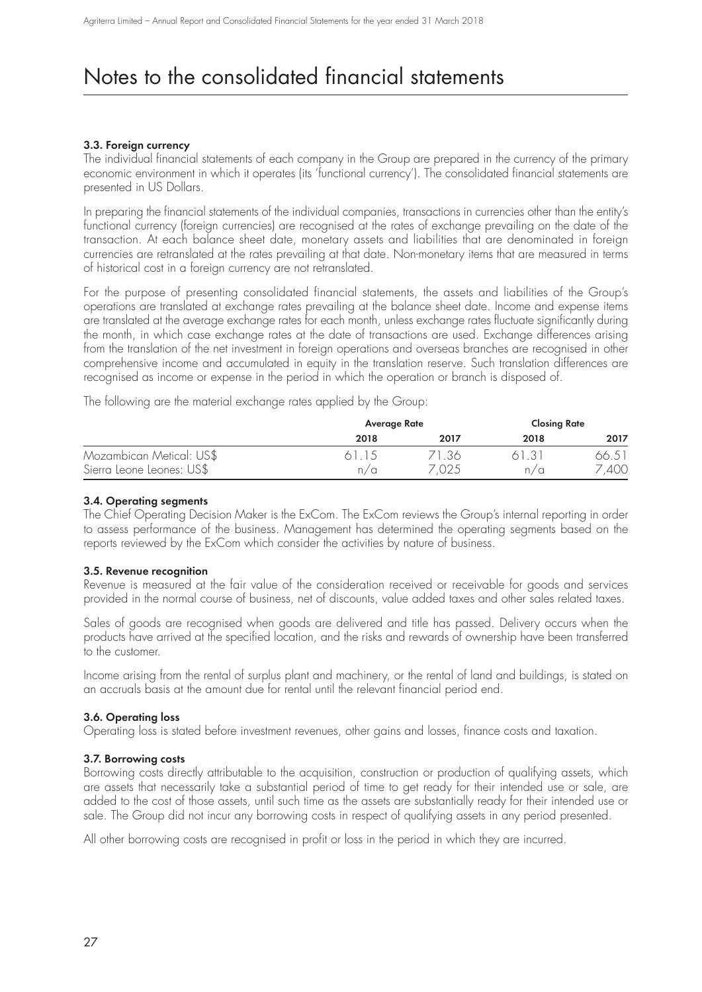### **3.3. Foreign currency**

The individual financial statements of each company in the Group are prepared in the currency of the primary economic environment in which it operates (its 'functional currency'). The consolidated financial statements are presented in US Dollars.

In preparing the financial statements of the individual companies, transactions in currencies other than the entity's functional currency (foreign currencies) are recognised at the rates of exchange prevailing on the date of the transaction. At each balance sheet date, monetary assets and liabilities that are denominated in foreign currencies are retranslated at the rates prevailing at that date. Non-monetary items that are measured in terms of historical cost in a foreign currency are not retranslated.

For the purpose of presenting consolidated financial statements, the assets and liabilities of the Group's operations are translated at exchange rates prevailing at the balance sheet date. Income and expense items are translated at the average exchange rates for each month, unless exchange rates fluctuate significantly during the month, in which case exchange rates at the date of transactions are used. Exchange differences arising from the translation of the net investment in foreign operations and overseas branches are recognised in other comprehensive income and accumulated in equity in the translation reserve. Such translation differences are recognised as income or expense in the period in which the operation or branch is disposed of.

The following are the material exchange rates applied by the Group:

|                           | Average Rate |      |      | <b>Closing Rate</b> |
|---------------------------|--------------|------|------|---------------------|
|                           | 2018         | 2017 | 2018 | 2017                |
| Mozambican Metical: US\$  | 61 15        | .36  |      | 66.5 I              |
| Sierra Leone Leones: US\$ | n/a          | 7025 | n/a  | 400                 |

### **3.4. Operating segments**

The Chief Operating Decision Maker is the ExCom. The ExCom reviews the Group's internal reporting in order to assess performance of the business. Management has determined the operating segments based on the reports reviewed by the ExCom which consider the activities by nature of business.

#### **3.5. Revenue recognition**

Revenue is measured at the fair value of the consideration received or receivable for goods and services provided in the normal course of business, net of discounts, value added taxes and other sales related taxes.

Sales of goods are recognised when goods are delivered and title has passed. Delivery occurs when the products have arrived at the specified location, and the risks and rewards of ownership have been transferred to the customer.

Income arising from the rental of surplus plant and machinery, or the rental of land and buildings, is stated on an accruals basis at the amount due for rental until the relevant financial period end.

#### **3.6. Operating loss**

Operating loss is stated before investment revenues, other gains and losses, finance costs and taxation.

#### **3.7. Borrowing costs**

Borrowing costs directly attributable to the acquisition, construction or production of qualifying assets, which are assets that necessarily take a substantial period of time to get ready for their intended use or sale, are added to the cost of those assets, until such time as the assets are substantially ready for their intended use or sale. The Group did not incur any borrowing costs in respect of qualifying assets in any period presented.

All other borrowing costs are recognised in profit or loss in the period in which they are incurred.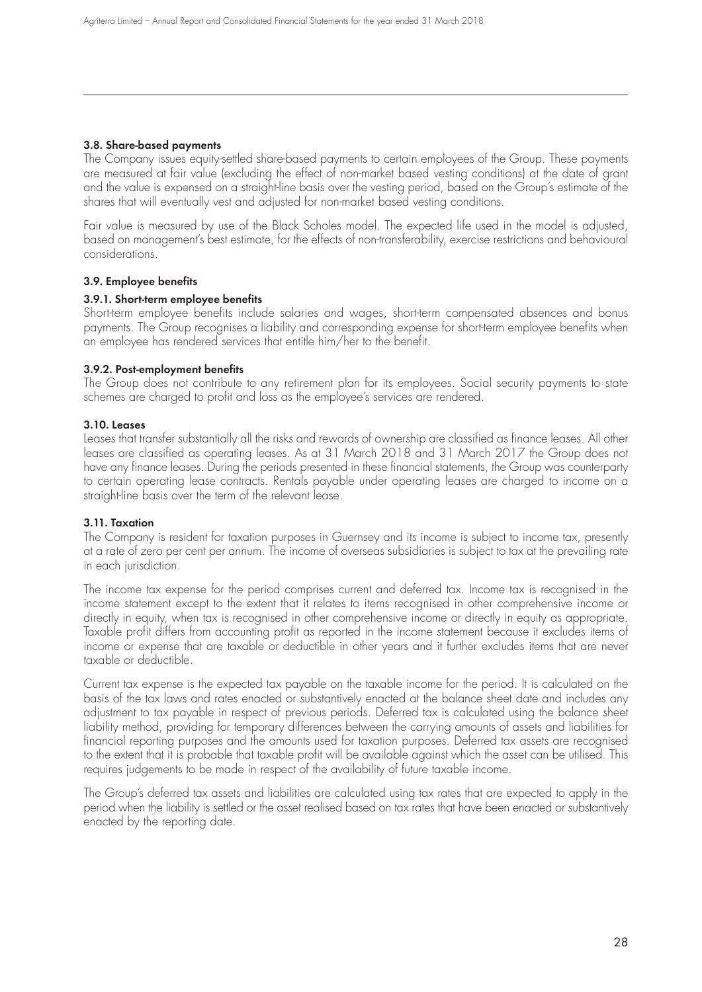### **3.8. Share-based payments**

The Company issues equity-settled share-based payments to certain employees of the Group. These payments are measured at fair value (excluding the effect of non-market based vesting conditions) at the date of grant and the value is expensed on a straight-line basis over the vesting period, based on the Group's estimate of the shares that will eventually vest and adjusted for non-market based vesting conditions.

Fair value is measured by use of the Black Scholes model. The expected life used in the model is adjusted, based on management's best estimate, for the effects of non-transferability, exercise restrictions and behavioural considerations.

### **3.9. Employee benefits**

#### **3.9.1. Short-term employee benefits**

Short-term employee benefits include salaries and wages, short-term compensated absences and bonus payments. The Group recognises a liability and corresponding expense for short-term employee benefits when an employee has rendered services that entitle him/her to the benefit.

#### **3.9.2. Post-employment benefits**

The Group does not contribute to any retirement plan for its employees. Social security payments to state schemes are charged to profit and loss as the employee's services are rendered.

### **3.10. Leases**

Leases that transfer substantially all the risks and rewards of ownership are classified as finance leases. All other leases are classified as operating leases. As at 31 March 2018 and 31 March 2017 the Group does not have any finance leases. During the periods presented in these financial statements, the Group was counterparty to certain operating lease contracts. Rentals payable under operating leases are charged to income on a straight-line basis over the term of the relevant lease.

### **3.11. Taxation**

The Company is resident for taxation purposes in Guernsey and its income is subject to income tax, presently at a rate of zero per cent per annum. The income of overseas subsidiaries is subject to tax at the prevailing rate in each jurisdiction.

The income tax expense for the period comprises current and deferred tax. Income tax is recognised in the income statement except to the extent that it relates to items recognised in other comprehensive income or directly in equity, when tax is recognised in other comprehensive income or directly in equity as appropriate. Taxable profit differs from accounting profit as reported in the income statement because it excludes items of income or expense that are taxable or deductible in other years and it further excludes items that are never taxable or deductible.

Current tax expense is the expected tax payable on the taxable income for the period. It is calculated on the basis of the tax laws and rates enacted or substantively enacted at the balance sheet date and includes any adjustment to tax payable in respect of previous periods. Deferred tax is calculated using the balance sheet liability method, providing for temporary differences between the carrying amounts of assets and liabilities for financial reporting purposes and the amounts used for taxation purposes. Deferred tax assets are recognised to the extent that it is probable that taxable profit will be available against which the asset can be utilised. This requires judgements to be made in respect of the availability of future taxable income.

The Group's deferred tax assets and liabilities are calculated using tax rates that are expected to apply in the period when the liability is settled or the asset realised based on tax rates that have been enacted or substantively enacted by the reporting date.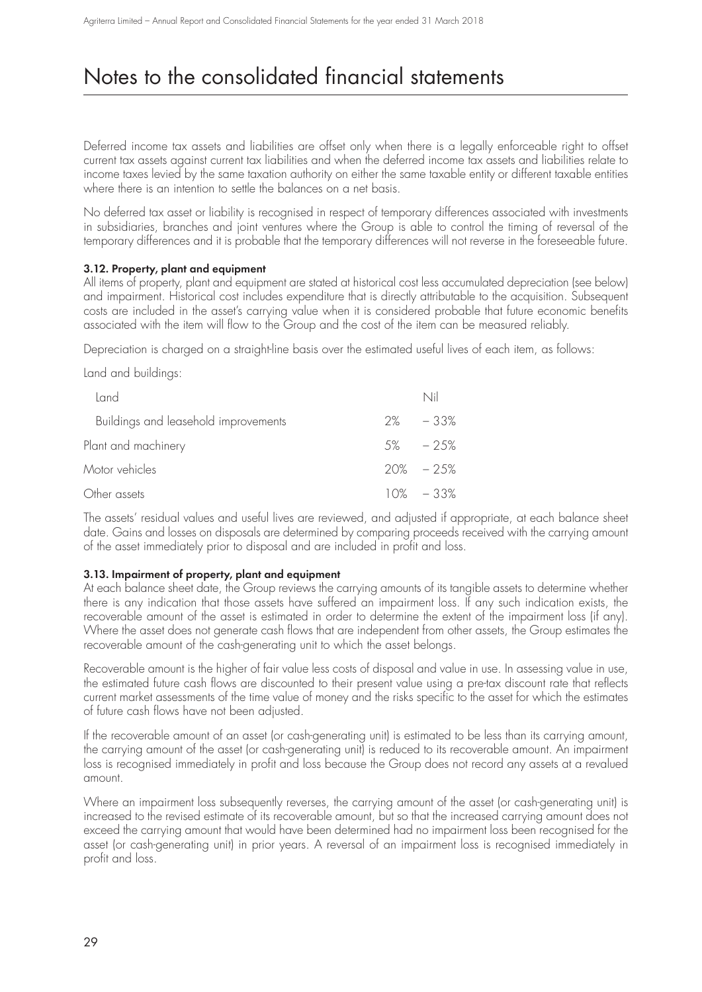Deferred income tax assets and liabilities are offset only when there is a legally enforceable right to offset current tax assets against current tax liabilities and when the deferred income tax assets and liabilities relate to income taxes levied by the same taxation authority on either the same taxable entity or different taxable entities where there is an intention to settle the balances on a net basis.

No deferred tax asset or liability is recognised in respect of temporary differences associated with investments in subsidiaries, branches and joint ventures where the Group is able to control the timing of reversal of the temporary differences and it is probable that the temporary differences will not reverse in the foreseeable future.

### **3.12. Property, plant and equipment**

All items of property, plant and equipment are stated at historical cost less accumulated depreciation (see below) and impairment. Historical cost includes expenditure that is directly attributable to the acquisition. Subsequent costs are included in the asset's carrying value when it is considered probable that future economic benefits associated with the item will flow to the Group and the cost of the item can be measured reliably.

Depreciation is charged on a straight-line basis over the estimated useful lives of each item, as follows:

Land and buildings:

| Land                                 | Nil           |
|--------------------------------------|---------------|
| Buildings and leasehold improvements | $2\% - 33\%$  |
| Plant and machinery                  | $5\% - 25\%$  |
| Motor vehicles                       | $20\% - 25\%$ |
| Other assets                         | $10\% - 33\%$ |

The assets' residual values and useful lives are reviewed, and adjusted if appropriate, at each balance sheet date. Gains and losses on disposals are determined by comparing proceeds received with the carrying amount of the asset immediately prior to disposal and are included in profit and loss.

### **3.13. Impairment of property, plant and equipment**

At each balance sheet date, the Group reviews the carrying amounts of its tangible assets to determine whether there is any indication that those assets have suffered an impairment loss. If any such indication exists, the recoverable amount of the asset is estimated in order to determine the extent of the impairment loss (if any). Where the asset does not generate cash flows that are independent from other assets, the Group estimates the recoverable amount of the cash-generating unit to which the asset belongs.

Recoverable amount is the higher of fair value less costs of disposal and value in use. In assessing value in use, the estimated future cash flows are discounted to their present value using a pre-tax discount rate that reflects current market assessments of the time value of money and the risks specific to the asset for which the estimates of future cash flows have not been adjusted.

If the recoverable amount of an asset (or cash-generating unit) is estimated to be less than its carrying amount, the carrying amount of the asset (or cash-generating unit) is reduced to its recoverable amount. An impairment loss is recognised immediately in profit and loss because the Group does not record any assets at a revalued amount.

Where an impairment loss subsequently reverses, the carrying amount of the asset (or cash-generating unit) is increased to the revised estimate of its recoverable amount, but so that the increased carrying amount does not exceed the carrying amount that would have been determined had no impairment loss been recognised for the asset (or cash-generating unit) in prior years. A reversal of an impairment loss is recognised immediately in profit and loss.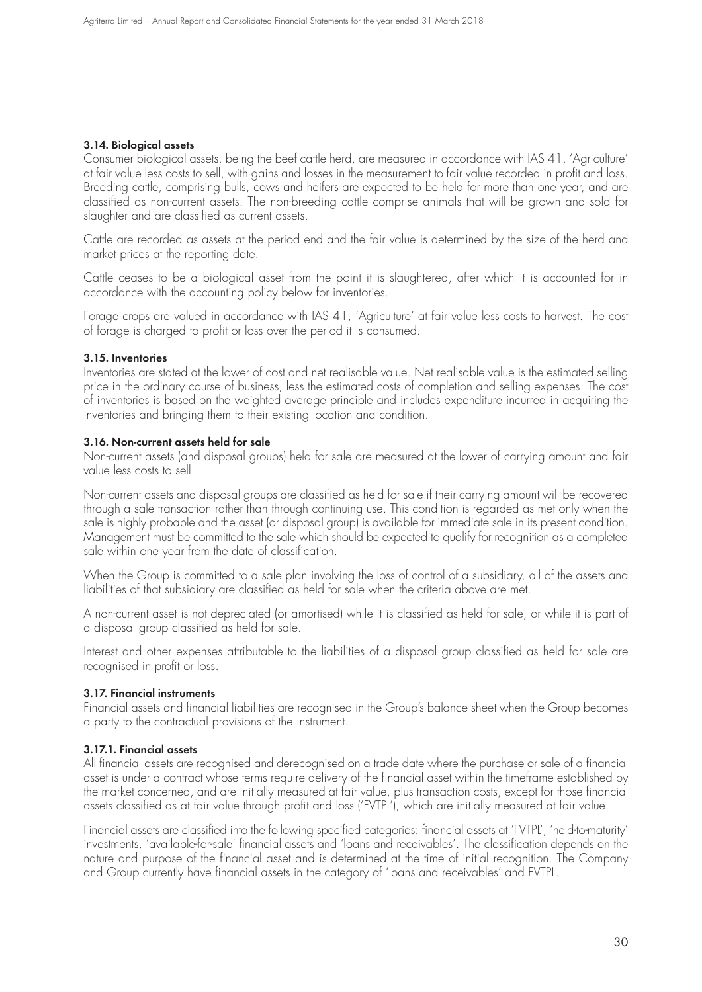### **3.14. Biological assets**

Consumer biological assets, being the beef cattle herd, are measured in accordance with IAS 41, 'Agriculture' at fair value less costs to sell, with gains and losses in the measurement to fair value recorded in profit and loss. Breeding cattle, comprising bulls, cows and heifers are expected to be held for more than one year, and are classified as non-current assets. The non-breeding cattle comprise animals that will be grown and sold for slaughter and are classified as current assets.

Cattle are recorded as assets at the period end and the fair value is determined by the size of the herd and market prices at the reporting date.

Cattle ceases to be a biological asset from the point it is slaughtered, after which it is accounted for in accordance with the accounting policy below for inventories.

Forage crops are valued in accordance with IAS 41, 'Agriculture' at fair value less costs to harvest. The cost of forage is charged to profit or loss over the period it is consumed.

#### **3.15. Inventories**

Inventories are stated at the lower of cost and net realisable value. Net realisable value is the estimated selling price in the ordinary course of business, less the estimated costs of completion and selling expenses. The cost of inventories is based on the weighted average principle and includes expenditure incurred in acquiring the inventories and bringing them to their existing location and condition.

#### **3.16. Non-current assets held for sale**

Non-current assets (and disposal groups) held for sale are measured at the lower of carrying amount and fair value less costs to sell.

Non-current assets and disposal groups are classified as held for sale if their carrying amount will be recovered through a sale transaction rather than through continuing use. This condition is regarded as met only when the sale is highly probable and the asset (or disposal group) is available for immediate sale in its present condition. Management must be committed to the sale which should be expected to qualify for recognition as a completed sale within one year from the date of classification.

When the Group is committed to a sale plan involving the loss of control of a subsidiary, all of the assets and liabilities of that subsidiary are classified as held for sale when the criteria above are met.

A non-current asset is not depreciated (or amortised) while it is classified as held for sale, or while it is part of a disposal group classified as held for sale.

Interest and other expenses attributable to the liabilities of a disposal group classified as held for sale are recognised in profit or loss.

#### **3.17. Financial instruments**

Financial assets and financial liabilities are recognised in the Group's balance sheet when the Group becomes a party to the contractual provisions of the instrument.

#### **3.17.1. Financial assets**

All financial assets are recognised and derecognised on a trade date where the purchase or sale of a financial asset is under a contract whose terms require delivery of the financial asset within the timeframe established by the market concerned, and are initially measured at fair value, plus transaction costs, except for those financial assets classified as at fair value through profit and loss ('FVTPL'), which are initially measured at fair value.

Financial assets are classified into the following specified categories: financial assets at 'FVTPL', 'held-to-maturity' investments, 'available-for-sale' financial assets and 'loans and receivables'. The classification depends on the nature and purpose of the financial asset and is determined at the time of initial recognition. The Company and Group currently have financial assets in the category of 'loans and receivables' and FVTPL.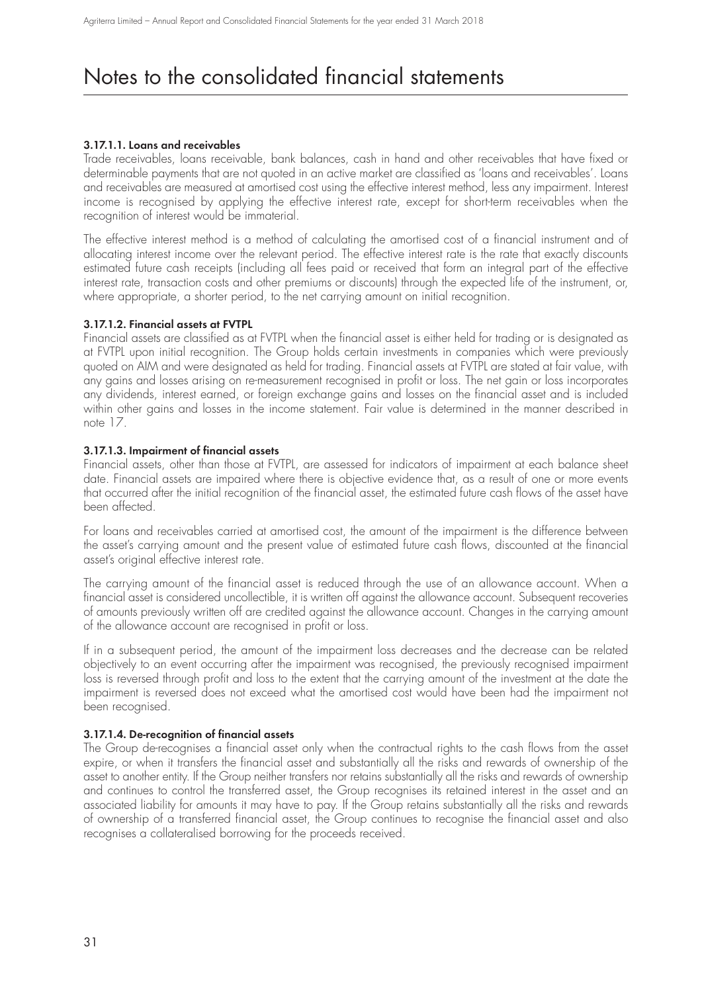### **3.17.1.1. Loans and receivables**

Trade receivables, loans receivable, bank balances, cash in hand and other receivables that have fixed or determinable payments that are not quoted in an active market are classified as 'loans and receivables'. Loans and receivables are measured at amortised cost using the effective interest method, less any impairment. Interest income is recognised by applying the effective interest rate, except for short-term receivables when the recognition of interest would be immaterial.

The effective interest method is a method of calculating the amortised cost of a financial instrument and of allocating interest income over the relevant period. The effective interest rate is the rate that exactly discounts estimated future cash receipts (including all fees paid or received that form an integral part of the effective interest rate, transaction costs and other premiums or discounts) through the expected life of the instrument, or, where appropriate, a shorter period, to the net carrying amount on initial recognition.

### **3.17.1.2. Financial assets at FVTPL**

Financial assets are classified as at FVTPL when the financial asset is either held for trading or is designated as at FVTPL upon initial recognition. The Group holds certain investments in companies which were previously quoted on AIM and were designated as held for trading. Financial assets at FVTPL are stated at fair value, with any gains and losses arising on re-measurement recognised in profit or loss. The net gain or loss incorporates any dividends, interest earned, or foreign exchange gains and losses on the financial asset and is included within other gains and losses in the income statement. Fair value is determined in the manner described in note 17.

### **3.17.1.3. Impairment of financial assets**

Financial assets, other than those at FVTPL, are assessed for indicators of impairment at each balance sheet date. Financial assets are impaired where there is objective evidence that, as a result of one or more events that occurred after the initial recognition of the financial asset, the estimated future cash flows of the asset have been affected.

For loans and receivables carried at amortised cost, the amount of the impairment is the difference between the asset's carrying amount and the present value of estimated future cash flows, discounted at the financial asset's original effective interest rate.

The carrying amount of the financial asset is reduced through the use of an allowance account. When a financial asset is considered uncollectible, it is written off against the allowance account. Subsequent recoveries of amounts previously written off are credited against the allowance account. Changes in the carrying amount of the allowance account are recognised in profit or loss.

If in a subsequent period, the amount of the impairment loss decreases and the decrease can be related objectively to an event occurring after the impairment was recognised, the previously recognised impairment loss is reversed through profit and loss to the extent that the carrying amount of the investment at the date the impairment is reversed does not exceed what the amortised cost would have been had the impairment not been recognised.

### **3.17.1.4. De-recognition of financial assets**

The Group de-recognises a financial asset only when the contractual rights to the cash flows from the asset expire, or when it transfers the financial asset and substantially all the risks and rewards of ownership of the asset to another entity. If the Group neither transfers nor retains substantially all the risks and rewards of ownership and continues to control the transferred asset, the Group recognises its retained interest in the asset and an associated liability for amounts it may have to pay. If the Group retains substantially all the risks and rewards of ownership of a transferred financial asset, the Group continues to recognise the financial asset and also recognises a collateralised borrowing for the proceeds received.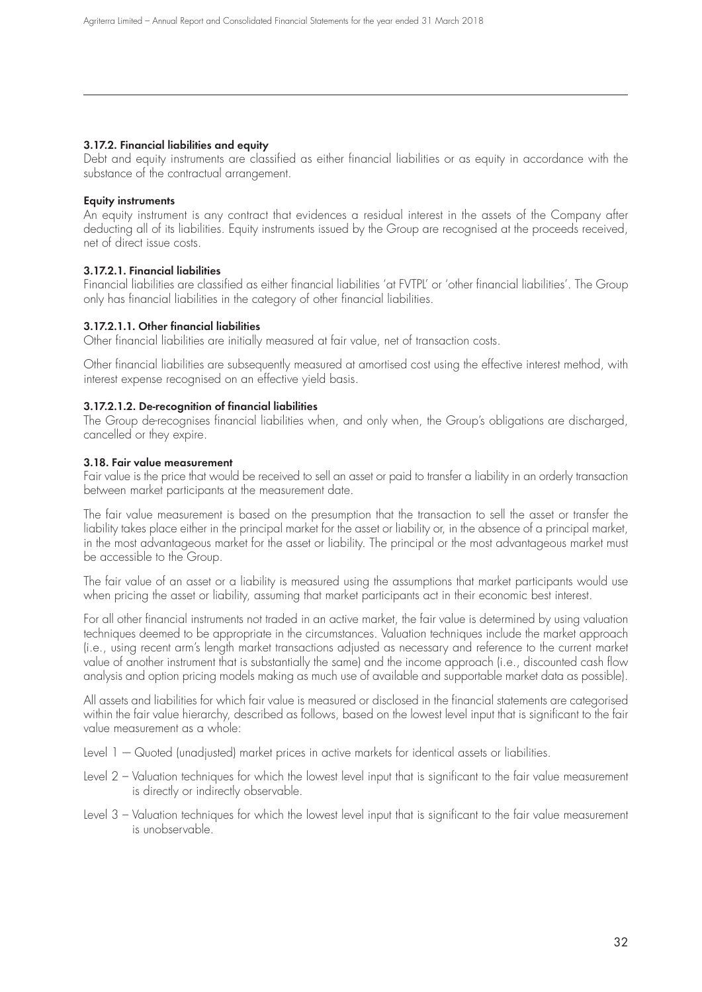#### **3.17.2. Financial liabilities and equity**

Debt and equity instruments are classified as either financial liabilities or as equity in accordance with the substance of the contractual arrangement.

### **Equity instruments**

An equity instrument is any contract that evidences a residual interest in the assets of the Company after deducting all of its liabilities. Equity instruments issued by the Group are recognised at the proceeds received, net of direct issue costs.

### **3.17.2.1. Financial liabilities**

Financial liabilities are classified as either financial liabilities 'at FVTPL' or 'other financial liabilities'. The Group only has financial liabilities in the category of other financial liabilities.

### **3.17.2.1.1. Other financial liabilities**

Other financial liabilities are initially measured at fair value, net of transaction costs.

Other financial liabilities are subsequently measured at amortised cost using the effective interest method, with interest expense recognised on an effective yield basis.

#### **3.17.2.1.2. De-recognition of financial liabilities**

The Group de-recognises financial liabilities when, and only when, the Group's obligations are discharged, cancelled or they expire.

#### **3.18. Fair value measurement**

Fair value is the price that would be received to sell an asset or paid to transfer a liability in an orderly transaction between market participants at the measurement date.

The fair value measurement is based on the presumption that the transaction to sell the asset or transfer the liability takes place either in the principal market for the asset or liability or, in the absence of a principal market, in the most advantageous market for the asset or liability. The principal or the most advantageous market must be accessible to the Group.

The fair value of an asset or a liability is measured using the assumptions that market participants would use when pricing the asset or liability, assuming that market participants act in their economic best interest.

For all other financial instruments not traded in an active market, the fair value is determined by using valuation techniques deemed to be appropriate in the circumstances. Valuation techniques include the market approach (i.e., using recent arm's length market transactions adjusted as necessary and reference to the current market value of another instrument that is substantially the same) and the income approach (i.e., discounted cash flow analysis and option pricing models making as much use of available and supportable market data as possible).

All assets and liabilities for which fair value is measured or disclosed in the financial statements are categorised within the fair value hierarchy, described as follows, based on the lowest level input that is significant to the fair value measurement as a whole:

Level  $1 -$  Quoted (unadjusted) market prices in active markets for identical assets or liabilities.

- Level 2 Valuation techniques for which the lowest level input that is significant to the fair value measurement is directly or indirectly observable.
- Level 3 Valuation techniques for which the lowest level input that is significant to the fair value measurement is unobservable.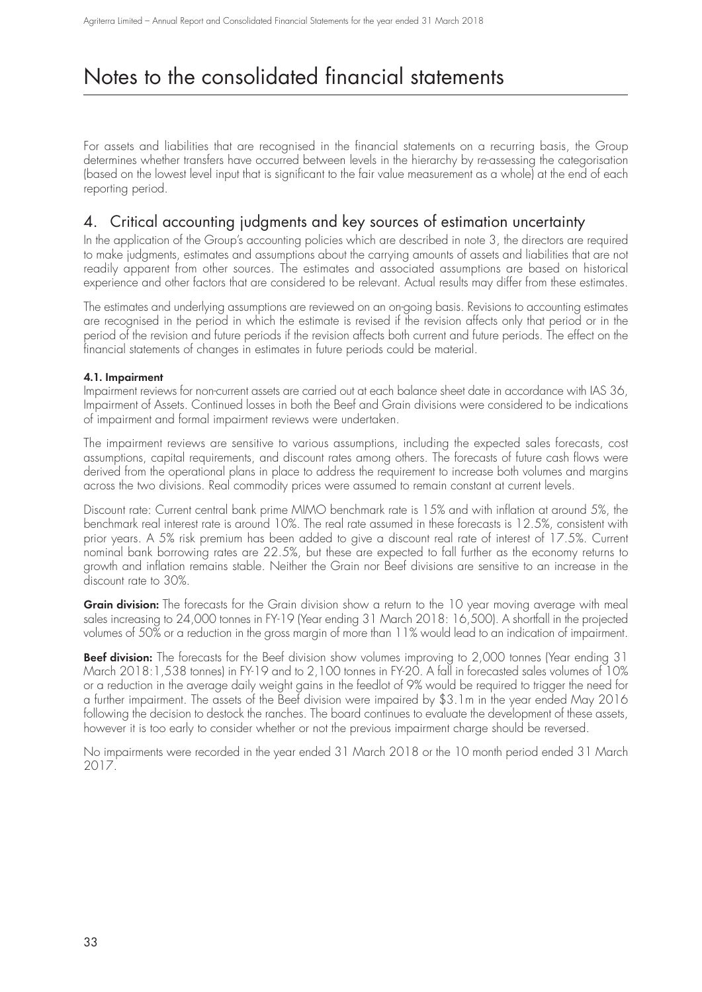For assets and liabilities that are recognised in the financial statements on a recurring basis, the Group determines whether transfers have occurred between levels in the hierarchy by re-assessing the categorisation (based on the lowest level input that is significant to the fair value measurement as a whole) at the end of each reporting period.

### 4. Critical accounting judgments and key sources of estimation uncertainty

In the application of the Group's accounting policies which are described in note 3, the directors are required to make judgments, estimates and assumptions about the carrying amounts of assets and liabilities that are not readily apparent from other sources. The estimates and associated assumptions are based on historical experience and other factors that are considered to be relevant. Actual results may differ from these estimates.

The estimates and underlying assumptions are reviewed on an on-going basis. Revisions to accounting estimates are recognised in the period in which the estimate is revised if the revision affects only that period or in the period of the revision and future periods if the revision affects both current and future periods. The effect on the financial statements of changes in estimates in future periods could be material.

### **4.1. Impairment**

Impairment reviews for non-current assets are carried out at each balance sheet date in accordance with IAS 36, Impairment of Assets. Continued losses in both the Beef and Grain divisions were considered to be indications of impairment and formal impairment reviews were undertaken.

The impairment reviews are sensitive to various assumptions, including the expected sales forecasts, cost assumptions, capital requirements, and discount rates among others. The forecasts of future cash flows were derived from the operational plans in place to address the requirement to increase both volumes and margins across the two divisions. Real commodity prices were assumed to remain constant at current levels.

Discount rate: Current central bank prime MIMO benchmark rate is 15% and with inflation at around 5%, the benchmark real interest rate is around 10%. The real rate assumed in these forecasts is 12.5%, consistent with prior years. A 5% risk premium has been added to give a discount real rate of interest of 17.5%. Current nominal bank borrowing rates are 22.5%, but these are expected to fall further as the economy returns to growth and inflation remains stable. Neither the Grain nor Beef divisions are sensitive to an increase in the discount rate to 30%.

**Grain division:** The forecasts for the Grain division show a return to the 10 year moving average with meal sales increasing to 24,000 tonnes in FY-19 (Year ending 31 March 2018: 16,500). A shortfall in the projected volumes of 50% or a reduction in the gross margin of more than 11% would lead to an indication of impairment.

**Beef division:** The forecasts for the Beef division show volumes improving to 2,000 tonnes (Year ending 31 March 2018:1,538 tonnes) in FY-19 and to 2,100 tonnes in FY-20. A fall in forecasted sales volumes of 10% or a reduction in the average daily weight gains in the feedlot of 9% would be required to trigger the need for a further impairment. The assets of the Beef division were impaired by \$3.1m in the year ended May 2016 following the decision to destock the ranches. The board continues to evaluate the development of these assets, however it is too early to consider whether or not the previous impairment charge should be reversed.

No impairments were recorded in the year ended 31 March 2018 or the 10 month period ended 31 March 2017.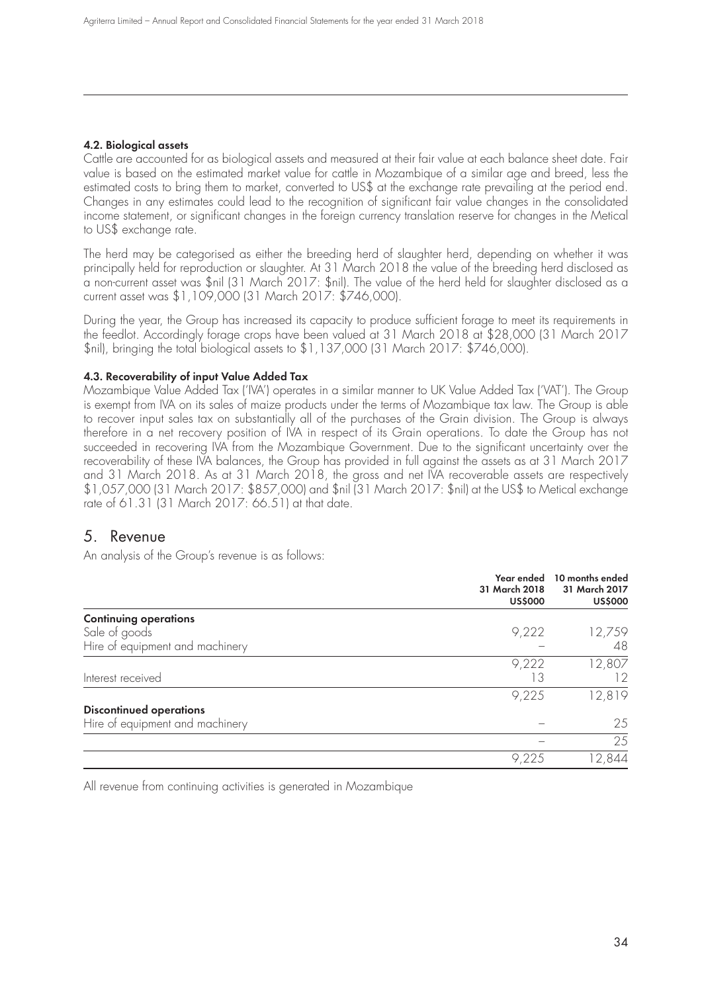### **4.2. Biological assets**

Cattle are accounted for as biological assets and measured at their fair value at each balance sheet date. Fair value is based on the estimated market value for cattle in Mozambique of a similar age and breed, less the estimated costs to bring them to market, converted to US\$ at the exchange rate prevailing at the period end. Changes in any estimates could lead to the recognition of significant fair value changes in the consolidated income statement, or significant changes in the foreign currency translation reserve for changes in the Metical to US\$ exchange rate.

The herd may be categorised as either the breeding herd of slaughter herd, depending on whether it was principally held for reproduction or slaughter. At 31 March 2018 the value of the breeding herd disclosed as a non-current asset was \$nil (31 March 2017: \$nil). The value of the herd held for slaughter disclosed as a current asset was \$1,109,000 (31 March 2017: \$746,000).

During the year, the Group has increased its capacity to produce sufficient forage to meet its requirements in the feedlot. Accordingly forage crops have been valued at 31 March 2018 at \$28,000 (31 March 2017 \$nil), bringing the total biological assets to \$1,137,000 (31 March 2017: \$746,000).

#### **4.3. Recoverability of input Value Added Tax**

Mozambique Value Added Tax ('IVA') operates in a similar manner to UK Value Added Tax ('VAT'). The Group is exempt from IVA on its sales of maize products under the terms of Mozambique tax law. The Group is able to recover input sales tax on substantially all of the purchases of the Grain division. The Group is always therefore in a net recovery position of IVA in respect of its Grain operations. To date the Group has not succeeded in recovering IVA from the Mozambique Government. Due to the significant uncertainty over the recoverability of these IVA balances, the Group has provided in full against the assets as at 31 March 2017 and 31 March 2018. As at 31 March 2018, the gross and net IVA recoverable assets are respectively \$1,057,000 (31 March 2017: \$857,000) and \$nil (31 March 2017: \$nil) at the US\$ to Metical exchange rate of 61.31 (31 March 2017: 66.51) at that date.

### 5. Revenue

An analysis of the Group's revenue is as follows:

|                                 | Year ended<br>31 March 2018<br><b>US\$000</b> | 10 months ended<br>31 March 2017<br><b>US\$000</b> |
|---------------------------------|-----------------------------------------------|----------------------------------------------------|
| <b>Continuing operations</b>    |                                               |                                                    |
| Sale of goods                   | 9,222                                         | 12,759                                             |
| Hire of equipment and machinery |                                               | 48                                                 |
|                                 | 9,222                                         | 12,807                                             |
| Interest received               | 13                                            | 12                                                 |
|                                 | 9,225                                         | 12,819                                             |
| <b>Discontinued operations</b>  |                                               |                                                    |
| Hire of equipment and machinery |                                               | 25                                                 |
|                                 |                                               | 25                                                 |
|                                 | 9.225                                         | 2,844                                              |

All revenue from continuing activities is generated in Mozambique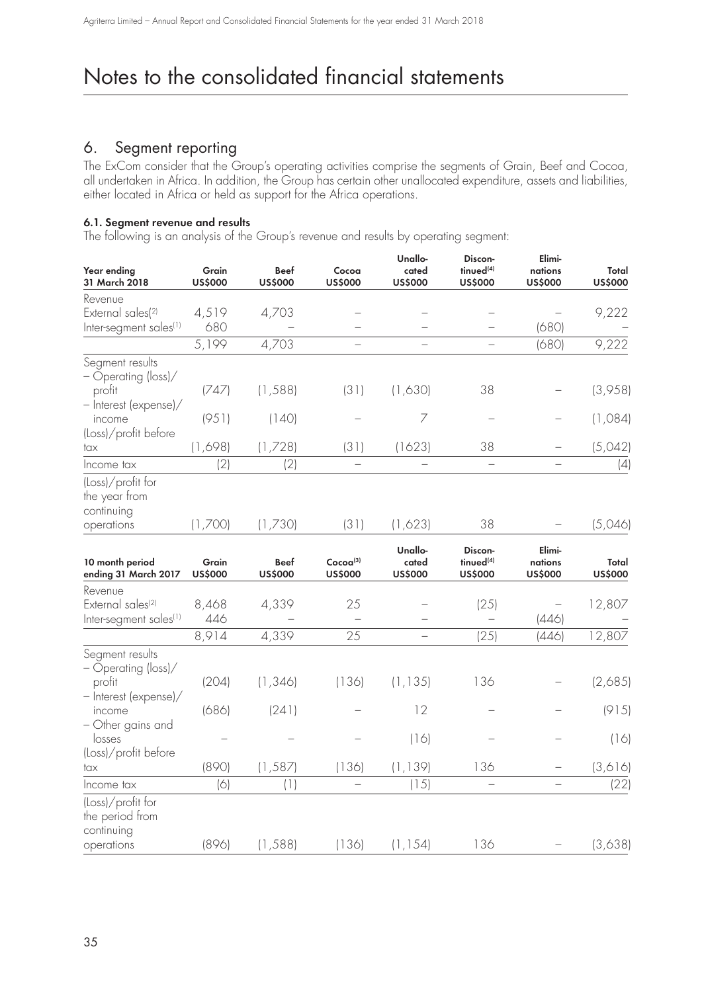### 6. Segment reporting

The ExCom consider that the Group's operating activities comprise the segments of Grain, Beef and Cocoa, all undertaken in Africa. In addition, the Group has certain other unallocated expenditure, assets and liabilities, either located in Africa or held as support for the Africa operations.

### **6.1. Segment revenue and results**

The following is an analysis of the Group's revenue and results by operating segment:

| Year ending<br>31 March 2018                                                   | Grain<br><b>US\$000</b> | <b>Beef</b><br><b>US\$000</b> | Cocoa<br><b>US\$000</b>        | Unallo-<br>cated<br><b>US\$000</b> | Discon-<br>tinued <sup>(4)</sup><br><b>US\$000</b> | Elimi-<br>nations<br><b>US\$000</b> | Total<br><b>US\$000</b> |
|--------------------------------------------------------------------------------|-------------------------|-------------------------------|--------------------------------|------------------------------------|----------------------------------------------------|-------------------------------------|-------------------------|
| Revenue                                                                        |                         |                               |                                |                                    |                                                    |                                     |                         |
| External sales(2)                                                              | 4,519                   | 4,703                         |                                |                                    |                                                    |                                     | 9,222                   |
| Inter-segment sales <sup>(1)</sup>                                             | 680                     |                               |                                |                                    |                                                    | (680)                               |                         |
|                                                                                | 5,199                   | 4,703                         |                                |                                    |                                                    | (680)                               | 9,222                   |
| Segment results<br>- Operating (loss)/<br>profit                               | (747)                   | (1, 588)                      | (31)                           | (1,630)                            | 38                                                 |                                     | (3,958)                 |
| - Interest (expense)/<br>income                                                | (951)                   | (140)                         |                                | $\overline{ }$                     |                                                    |                                     | (1,084)                 |
| (Loss)/profit before                                                           |                         |                               |                                |                                    | 38                                                 |                                     |                         |
| tax                                                                            | (1,698)                 | (1,728)                       | (31)                           | (1623)                             |                                                    |                                     | (5,042)                 |
| Income tax                                                                     | (2)                     | (2)                           | $\equiv$                       | $\equiv$                           | $\equiv$                                           |                                     | (4)                     |
| (Loss)/profit for<br>the year from<br>continuing                               |                         |                               |                                |                                    |                                                    |                                     |                         |
| operations                                                                     | (1,700)                 | (1,730)                       | (31)                           | (1,623)                            | 38                                                 |                                     | (5,046)                 |
| 10 month period<br>ending 31 March 2017                                        | Grain<br><b>US\$000</b> | <b>Beef</b><br><b>US\$000</b> | $Cocoa{(3)}$<br><b>US\$000</b> | Unallo-<br>cated<br><b>US\$000</b> | Discon-<br>tinued <sup>(4)</sup><br><b>US\$000</b> | Elimi-<br>nations<br><b>US\$000</b> | Total<br><b>US\$000</b> |
| Revenue<br>External sales <sup>(2)</sup><br>Inter-segment sales <sup>(1)</sup> | 8,468<br>446            | 4,339                         | 25                             |                                    | (25)                                               | (446)                               | 12,807                  |
|                                                                                | 8,914                   | 4,339                         | 25                             | $\overline{\phantom{0}}$           | (25)                                               | (446)                               | 12,807                  |
| Segment results<br>- Operating (loss)/<br>profit<br>- Interest (expense)/      | (204)                   | (1, 346)                      | (136)                          | (1, 135)                           | 136                                                |                                     | (2,685)                 |
| income                                                                         | (686)                   | (241)                         |                                | 12                                 |                                                    |                                     | (915)                   |
| - Other gains and<br>losses                                                    |                         |                               |                                | (16)                               |                                                    |                                     | (16)                    |
| (Loss)/profit before<br>tax                                                    | (890)                   | (1, 587)                      | (136)                          | (1, 139)                           | 136                                                |                                     | (3,616)                 |
| Income tax                                                                     | (6)                     | (1)                           |                                | (15)                               |                                                    |                                     | (22)                    |
| (Loss)/profit for<br>the period from<br>continuing<br>operations               | (896)                   | (1, 588)                      | (136)                          | (1, 154)                           | 136                                                |                                     | (3,638)                 |
|                                                                                |                         |                               |                                |                                    |                                                    |                                     |                         |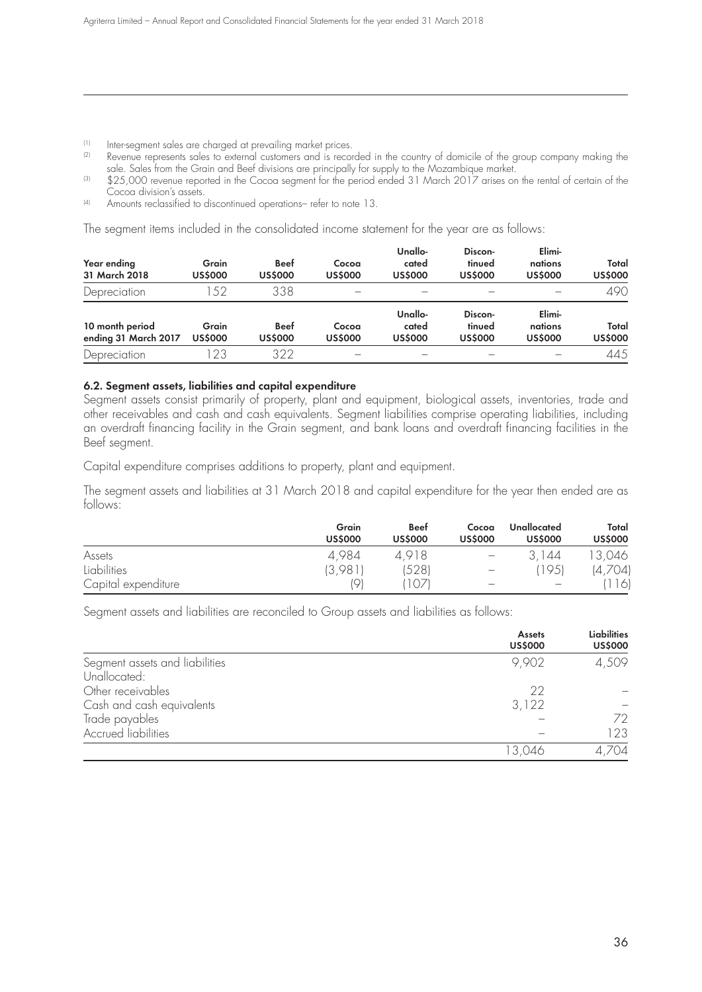(1) Inter-segment sales are charged at prevailing market prices.<br>(2) Revenue represents sales to external customers and is recorded

- Revenue represents sales to external customers and is recorded in the country of domicile of the group company making the sale. Sales from the Grain and Beef divisions are principally for supply to the Mozambique market.
- $^{(3)}$   $\,$  \$25,000 revenue reported in the Cocoa segment tor the period ended 31 March 2017 arises on the rental of certain of the Cocoa division's assets.
- (4) Amounts reclassified to discontinued operations– refer to note 13.

The segment items included in the consolidated income statement for the year are as follows:

| Year ending<br>31 March 2018            | Grain<br><b>US\$000</b> | <b>Beef</b><br><b>US\$000</b> | Cocoa<br><b>US\$000</b> | Unallo-<br>cated<br><b>US\$000</b> | Discon-<br>tinued<br><b>US\$000</b> | Elimi-<br>nations<br><b>US\$000</b> | Total<br><b>US\$000</b> |
|-----------------------------------------|-------------------------|-------------------------------|-------------------------|------------------------------------|-------------------------------------|-------------------------------------|-------------------------|
| Depreciation                            | .52                     | 338                           |                         |                                    |                                     |                                     | 490                     |
| 10 month period<br>ending 31 March 2017 | Grain<br><b>US\$000</b> | <b>Beef</b><br><b>US\$000</b> | Cocoa<br><b>US\$000</b> | Unallo-<br>cated<br><b>US\$000</b> | Discon-<br>tinued<br><b>US\$000</b> | Elimi-<br>nations<br><b>US\$000</b> | Total<br><b>US\$000</b> |
| Depreciation                            | 23                      | 322                           |                         |                                    |                                     |                                     | 445                     |

#### **6.2. Segment assets, liabilities and capital expenditure**

Segment assets consist primarily of property, plant and equipment, biological assets, inventories, trade and other receivables and cash and cash equivalents. Segment liabilities comprise operating liabilities, including an overdraft financing facility in the Grain segment, and bank loans and overdraft financing facilities in the Beef segment.

Capital expenditure comprises additions to property, plant and equipment.

The segment assets and liabilities at 31 March 2018 and capital expenditure for the year then ended are as follows:

|                     | Grain<br><b>US\$000</b> | <b>Beef</b><br><b>US\$000</b> | Cocoa<br><b>US\$000</b>         | Unallocated<br><b>US\$000</b> | Total<br><b>US\$000</b> |
|---------------------|-------------------------|-------------------------------|---------------------------------|-------------------------------|-------------------------|
| Assets              | 4,984                   | 4.918                         | $\overline{\phantom{m}}$        | 44                            | 13,046                  |
| <b>Liabilities</b>  | (3,98)                  | 528)                          | $\hspace{0.1mm}-\hspace{0.1mm}$ | (195)                         | (4,704)                 |
| Capital expenditure | 191                     |                               |                                 |                               | 116                     |

Segment assets and liabilities are reconciled to Group assets and liabilities as follows:

|                                | <b>Assets</b><br><b>US\$000</b> | <b>Liabilities</b><br><b>US\$000</b> |
|--------------------------------|---------------------------------|--------------------------------------|
| Segment assets and liabilities | 9,902                           | 4,509                                |
| Unallocated:                   |                                 |                                      |
| Other receivables              | 22                              |                                      |
| Cash and cash equivalents      | 3,122                           |                                      |
| Trade payables                 |                                 | 72                                   |
| <b>Accrued liabilities</b>     |                                 | 123                                  |
|                                | 13,046                          | ,704                                 |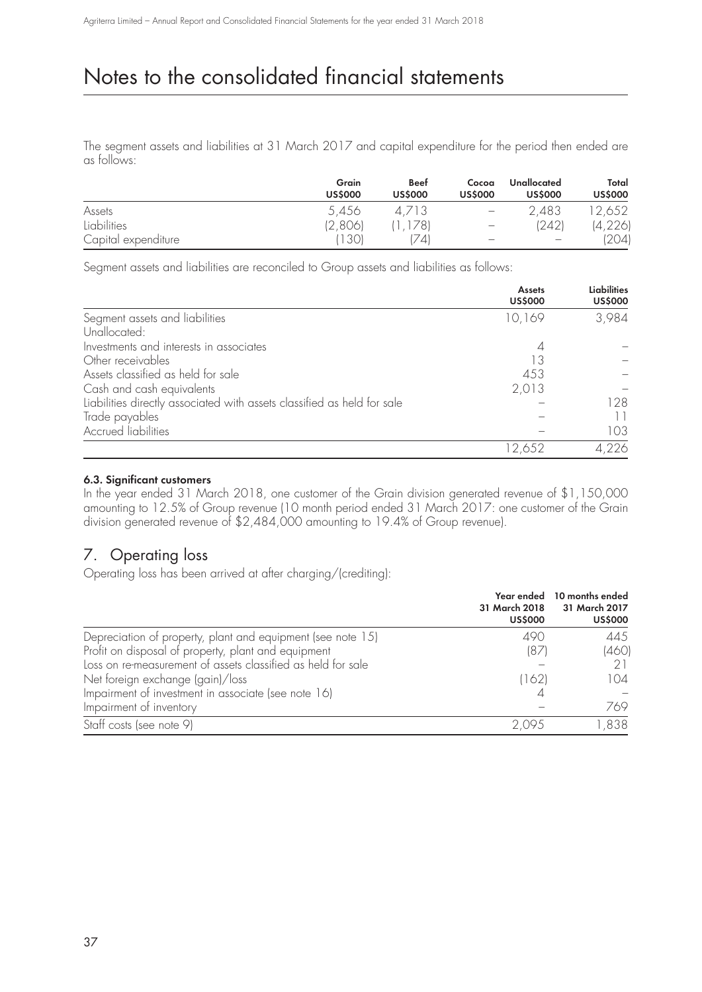The segment assets and liabilities at 31 March 2017 and capital expenditure for the period then ended are as follows:

|                     | Grain<br><b>US\$000</b> | <b>Beef</b><br><b>US\$000</b> | Cocoa<br><b>US\$000</b>  | Unallocated<br><b>US\$000</b> | Total<br><b>US\$000</b> |
|---------------------|-------------------------|-------------------------------|--------------------------|-------------------------------|-------------------------|
| Assets              | 5,456                   | 4.713                         | $\overline{\phantom{0}}$ | 2,483                         | 12,652                  |
| Liabilities         | (2,806)                 | , 178)                        | $\overline{\phantom{a}}$ | (242)                         | (4, 226)                |
| Capital expenditure | 1301                    | 741                           |                          |                               | (204)                   |

Segment assets and liabilities are reconciled to Group assets and liabilities as follows:

|                                                                         | <b>Assets</b><br><b>US\$000</b> | <b>Liabilities</b><br><b>US\$000</b> |
|-------------------------------------------------------------------------|---------------------------------|--------------------------------------|
| Segment assets and liabilities                                          | 10,169                          | 3,984                                |
| Unallocated:                                                            |                                 |                                      |
| Investments and interests in associates                                 |                                 |                                      |
| Other receivables                                                       | 13                              |                                      |
| Assets classified as held for sale                                      | 453                             |                                      |
| Cash and cash equivalents                                               | 2,013                           |                                      |
| Liabilities directly associated with assets classified as held for sale |                                 | 128                                  |
| Trade payables                                                          |                                 |                                      |
| <b>Accrued liabilities</b>                                              |                                 | 103                                  |
|                                                                         | 12,652                          | 4.226                                |

### **6.3. Significant customers**

In the year ended 31 March 2018, one customer of the Grain division generated revenue of \$1,150,000 amounting to 12.5% of Group revenue (10 month period ended 31 March 2017: one customer of the Grain division generated revenue of \$2,484,000 amounting to 19.4% of Group revenue).

## 7. Operating loss

Operating loss has been arrived at after charging/(crediting):

|                                                              | 31 March 2018<br><b>US\$000</b> | Year ended 10 months ended<br>31 March 2017<br><b>US\$000</b> |
|--------------------------------------------------------------|---------------------------------|---------------------------------------------------------------|
| Depreciation of property, plant and equipment (see note 15)  | 490                             | 445                                                           |
| Profit on disposal of property, plant and equipment          | (87)                            | (460)                                                         |
| Loss on re-measurement of assets classified as held for sale |                                 |                                                               |
| Net foreign exchange (gain)/loss                             | (162)                           | 104                                                           |
| Impairment of investment in associate (see note 16)          |                                 |                                                               |
| Impairment of inventory                                      |                                 | 769                                                           |
| Staff costs (see note 9)                                     | 2 09.5                          | ,838                                                          |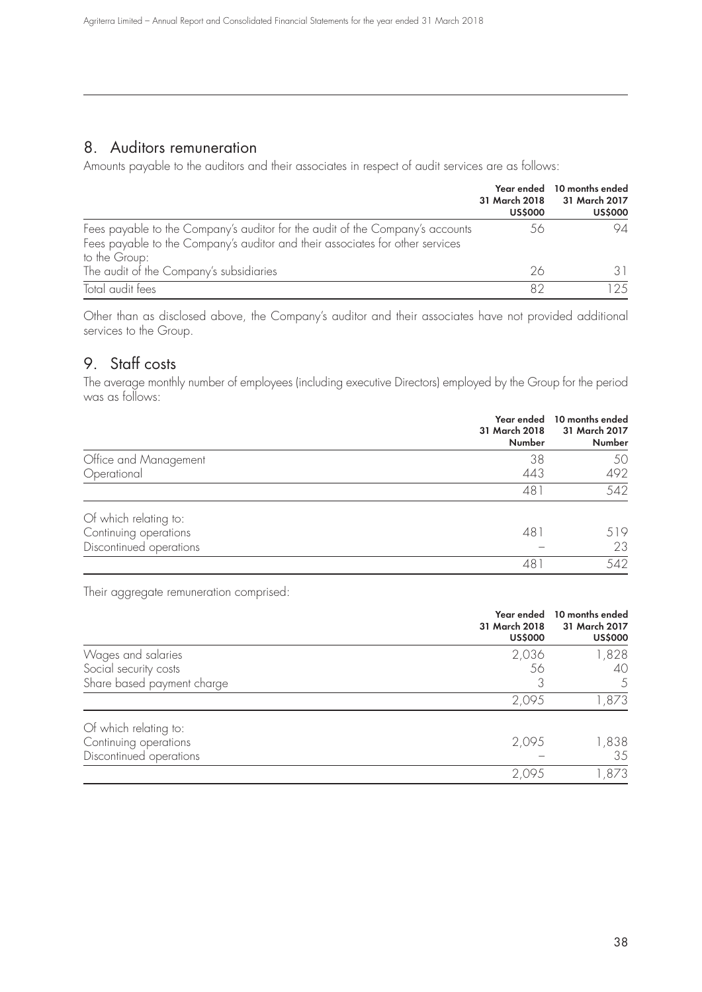### 8. Auditors remuneration

Amounts payable to the auditors and their associates in respect of audit services are as follows:

|                                                                                                                                                                                 | <b>US\$000</b> | Year ended 10 months ended<br>31 March 2018 31 March 2017<br><b>US\$000</b> |
|---------------------------------------------------------------------------------------------------------------------------------------------------------------------------------|----------------|-----------------------------------------------------------------------------|
| Fees payable to the Company's auditor for the audit of the Company's accounts<br>Fees payable to the Company's auditor and their associates for other services<br>to the Group: | 56             | 94                                                                          |
| The audit of the Company's subsidiaries                                                                                                                                         | 26             |                                                                             |
| Total audit fees                                                                                                                                                                | 82             | 125                                                                         |

Other than as disclosed above, the Company's auditor and their associates have not provided additional services to the Group.

## 9. Staff costs

The average monthly number of employees (including executive Directors) employed by the Group for the period was as follows:

|                         | Year ended<br>31 March 2018<br>Number | 10 months ended<br>31 March 2017<br>Number |
|-------------------------|---------------------------------------|--------------------------------------------|
| Office and Management   | 38                                    | 50                                         |
| Operational             | 443                                   | 492                                        |
|                         | 481                                   | 542                                        |
| Of which relating to:   |                                       |                                            |
| Continuing operations   | 481                                   | 519                                        |
| Discontinued operations |                                       | 23                                         |
|                         | 48                                    | 542                                        |

Their aggregate remuneration comprised:

|                            | Year ended<br>31 March 2018<br><b>US\$000</b> | 10 months ended<br>31 March 2017<br><b>US\$000</b> |
|----------------------------|-----------------------------------------------|----------------------------------------------------|
| Wages and salaries         | 2,036                                         | 1,828                                              |
| Social security costs      | 56                                            | 40                                                 |
| Share based payment charge | 3                                             | 5                                                  |
|                            | 2,095                                         | 1,873                                              |
| Of which relating to:      |                                               |                                                    |
| Continuing operations      | 2,095                                         | 1,838                                              |
| Discontinued operations    |                                               | 35                                                 |
|                            | 2,095                                         | 1,873                                              |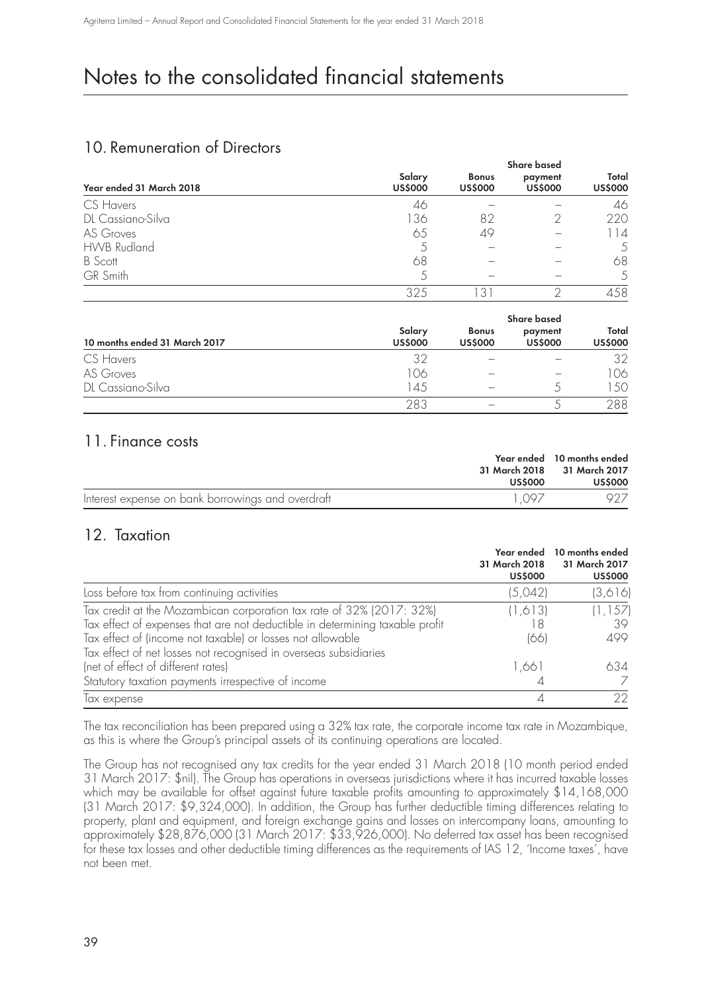## 10. Remuneration of Directors

|                          | <b>Share based</b>       |                                |                           |                         |
|--------------------------|--------------------------|--------------------------------|---------------------------|-------------------------|
| Year ended 31 March 2018 | Salary<br><b>US\$000</b> | <b>Bonus</b><br><b>US\$000</b> | payment<br><b>US\$000</b> | Total<br><b>US\$000</b> |
| CS Havers                | 46                       |                                |                           | 46                      |
| DL Cassiano-Silva        | 136                      | 82                             |                           | 220                     |
| AS Groves                | 65                       | 49                             |                           |                         |
| <b>HWB Rudland</b>       |                          |                                |                           | 5                       |
| <b>B</b> Scott           | 68                       |                                |                           | 68                      |
| <b>GR</b> Smith          | 5                        |                                |                           | 5                       |
|                          | 325                      | 3                              |                           | 458                     |

|                               | Share based              |                                |                           |                         |
|-------------------------------|--------------------------|--------------------------------|---------------------------|-------------------------|
| 10 months ended 31 March 2017 | Salary<br><b>US\$000</b> | <b>Bonus</b><br><b>US\$000</b> | payment<br><b>US\$000</b> | Total<br><b>US\$000</b> |
| CS Havers                     | 32                       |                                |                           | 32                      |
| AS Groves                     | 106                      |                                |                           | 106                     |
| DL Cassiano-Silva             | 145                      |                                |                           | 150                     |
|                               | 283                      |                                |                           | 288                     |

### 11. Finance costs

| US\$000                                                    | Year ended 10 months ended<br>31 March 2018 31 March 2017<br><b>US\$000</b> |
|------------------------------------------------------------|-----------------------------------------------------------------------------|
| Interest expense on bank borrowings and overdraft<br>1 097 |                                                                             |

## 12. Taxation

|                                                                              | Year ended<br>31 March 2018<br><b>US\$000</b> | 10 months ended<br>31 March 2017<br><b>US\$000</b> |
|------------------------------------------------------------------------------|-----------------------------------------------|----------------------------------------------------|
| Loss before tax from continuing activities                                   | (5,042)                                       | (3,616)                                            |
| Tax credit at the Mozambican corporation tax rate of 32% (2017: 32%)         | (1,613)                                       | (1, 157)                                           |
| Tax effect of expenses that are not deductible in determining taxable profit | 18                                            | 39                                                 |
| Tax effect of (income not taxable) or losses not allowable                   | (66)                                          | 499                                                |
| Tax effect of net losses not recognised in overseas subsidiaries             |                                               |                                                    |
| (net of effect of different rates)                                           | 1,661                                         | 634                                                |
| Statutory taxation payments irrespective of income                           |                                               |                                                    |
| lax expense                                                                  |                                               | 22                                                 |

The tax reconciliation has been prepared using a 32% tax rate, the corporate income tax rate in Mozambique, as this is where the Group's principal assets of its continuing operations are located.

The Group has not recognised any tax credits for the year ended 31 March 2018 (10 month period ended 31 March 2017: \$nil). The Group has operations in overseas jurisdictions where it has incurred taxable losses which may be available for offset against future taxable profits amounting to approximately \$14,168,000 (31 March 2017: \$9,324,000). In addition, the Group has further deductible timing differences relating to property, plant and equipment, and foreign exchange gains and losses on intercompany loans, amounting to approximately \$28,876,000 (31 March 2017: \$33,926,000). No deferred tax asset has been recognised for these tax losses and other deductible timing differences as the requirements of IAS 12, 'Income taxes', have not been met.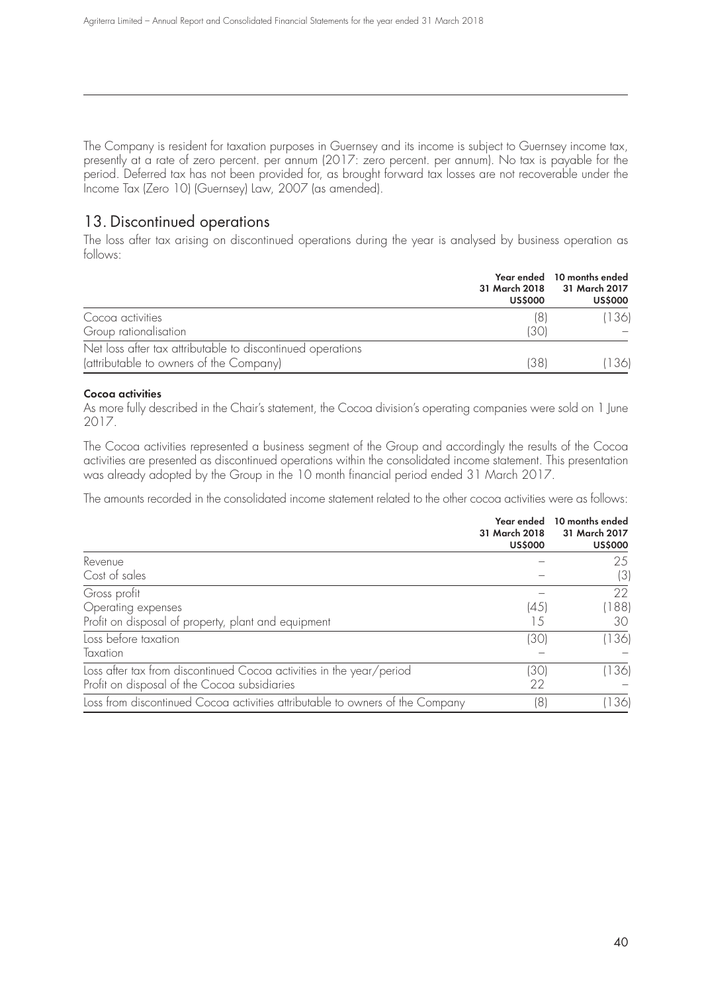The Company is resident for taxation purposes in Guernsey and its income is subject to Guernsey income tax, presently at a rate of zero percent. per annum (2017: zero percent. per annum). No tax is payable for the period. Deferred tax has not been provided for, as brought forward tax losses are not recoverable under the Income Tax (Zero 10) (Guernsey) Law, 2007 (as amended).

## 13. Discontinued operations

The loss after tax arising on discontinued operations during the year is analysed by business operation as follows:

|                                                            | <b>US\$000</b> | Year ended 10 months ended<br>31 March 2018 31 March 2017<br><b>US\$000</b> |
|------------------------------------------------------------|----------------|-----------------------------------------------------------------------------|
| Cocoa activities                                           | (8)            | 136                                                                         |
| Group rationalisation                                      | 1301           |                                                                             |
| Net loss after tax attributable to discontinued operations |                |                                                                             |
| (attributable to owners of the Company)                    | (38)           | 136                                                                         |

### **Cocoa activities**

As more fully described in the Chair's statement, the Cocoa division's operating companies were sold on 1 June 2017.

The Cocoa activities represented a business segment of the Group and accordingly the results of the Cocoa activities are presented as discontinued operations within the consolidated income statement. This presentation was already adopted by the Group in the 10 month financial period ended 31 March 2017.

The amounts recorded in the consolidated income statement related to the other cocoa activities were as follows:

|                                                                               | Year ended<br>31 March 2018<br><b>US\$000</b> | 10 months ended<br>31 March 2017<br><b>US\$000</b> |
|-------------------------------------------------------------------------------|-----------------------------------------------|----------------------------------------------------|
| Revenue                                                                       |                                               | 25                                                 |
| Cost of sales                                                                 |                                               | (3)                                                |
| Gross profit                                                                  |                                               | 22                                                 |
| Operating expenses                                                            | (45)                                          | 188                                                |
| Profit on disposal of property, plant and equipment                           | 15                                            | 30                                                 |
| Loss before taxation                                                          | [30]                                          | (136)                                              |
| Taxation                                                                      |                                               |                                                    |
| Loss after tax from discontinued Cocoa activities in the year/period          | [30]                                          | 136                                                |
| Profit on disposal of the Cocoa subsidiaries                                  | 22                                            |                                                    |
| Loss from discontinued Cocoa activities attributable to owners of the Company | (8)                                           | 136)                                               |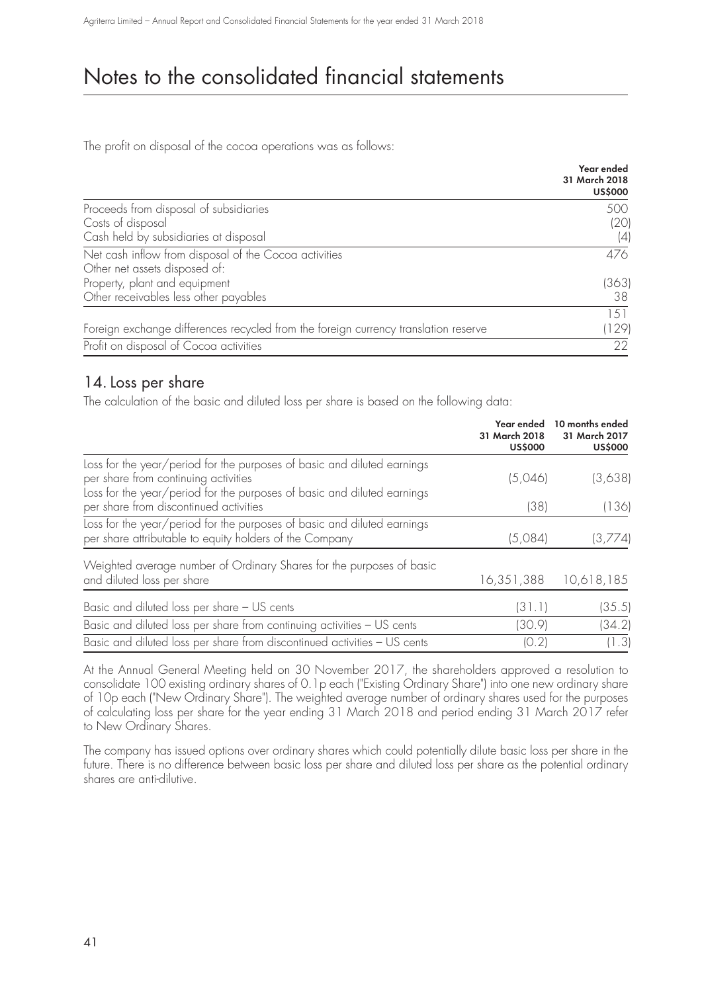The profit on disposal of the cocoa operations was as follows:

|                                                                                     | Year ended<br>31 March 2018<br><b>US\$000</b> |
|-------------------------------------------------------------------------------------|-----------------------------------------------|
| Proceeds from disposal of subsidiaries                                              | 500                                           |
| Costs of disposal                                                                   | (20)                                          |
| Cash held by subsidiaries at disposal                                               | (4)                                           |
| Net cash inflow from disposal of the Cocoa activities                               | 476                                           |
| Other net assets disposed of:                                                       |                                               |
| Property, plant and equipment                                                       | (363)                                         |
| Other receivables less other payables                                               | 38                                            |
|                                                                                     | 1.51                                          |
| Foreign exchange differences recycled from the foreign currency translation reserve | (129)                                         |
| Profit on disposal of Cocoa activities                                              | 22                                            |

### 14. Loss per share

The calculation of the basic and diluted loss per share is based on the following data:

|                                                                                                                                                                                            | Year ended<br>31 March 2018<br><b>US\$000</b> | 10 months ended<br>31 March 2017<br><b>US\$000</b> |
|--------------------------------------------------------------------------------------------------------------------------------------------------------------------------------------------|-----------------------------------------------|----------------------------------------------------|
| Loss for the year/period for the purposes of basic and diluted earnings<br>per share from continuing activities<br>Loss for the year/period for the purposes of basic and diluted earnings | (5,046)                                       | (3,638)                                            |
| per share from discontinued activities                                                                                                                                                     | (38)                                          | (136)                                              |
| Loss for the year/period for the purposes of basic and diluted earnings<br>per share attributable to equity holders of the Company                                                         | (5,084)                                       | (3,774)                                            |
| Weighted average number of Ordinary Shares for the purposes of basic<br>and diluted loss per share                                                                                         | 16,351,388                                    | 10,618,185                                         |
| Basic and diluted loss per share - US cents                                                                                                                                                | (31.1)                                        | (35.5)                                             |
| Basic and diluted loss per share from continuing activities - US cents                                                                                                                     | (30.9)                                        | (34.2)                                             |
| Basic and diluted loss per share from discontinued activities - US cents                                                                                                                   | (0.2)                                         | (1.3)                                              |

At the Annual General Meeting held on 30 November 2017, the shareholders approved a resolution to consolidate 100 existing ordinary shares of 0.1p each ("Existing Ordinary Share") into one new ordinary share of 10p each ("New Ordinary Share"). The weighted average number of ordinary shares used for the purposes of calculating loss per share for the year ending 31 March 2018 and period ending 31 March 2017 refer to New Ordinary Shares.

The company has issued options over ordinary shares which could potentially dilute basic loss per share in the future. There is no difference between basic loss per share and diluted loss per share as the potential ordinary shares are anti-dilutive.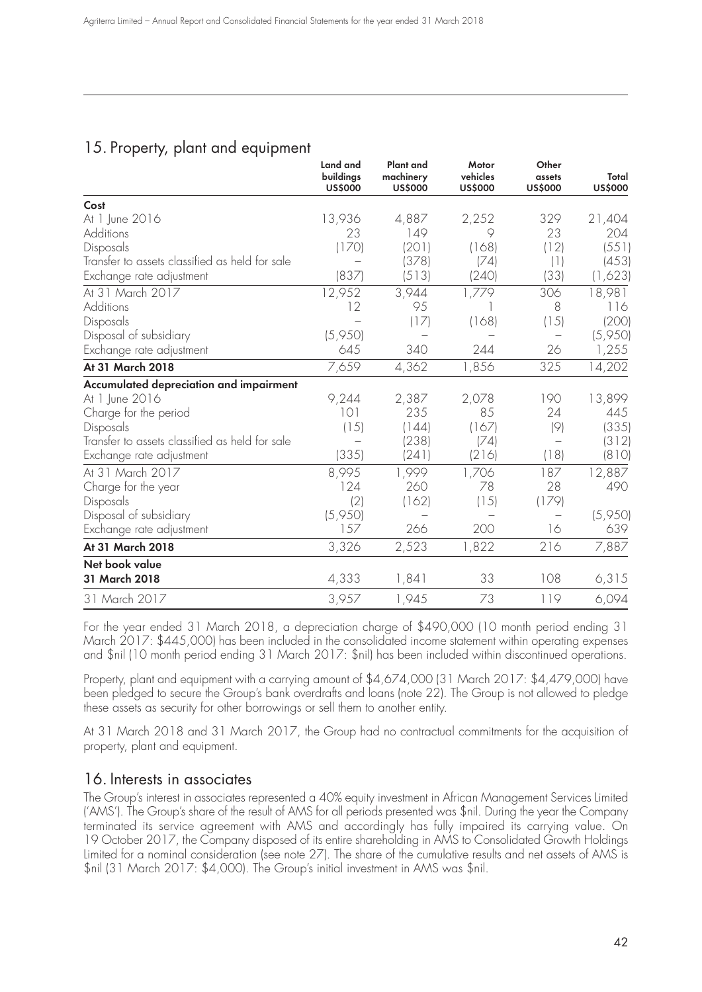## 15. Property, plant and equipment

|                                                | Land and<br>buildings<br><b>US\$000</b> | Plant and<br>machinery<br><b>US\$000</b> | Motor<br>vehicles<br><b>US\$000</b> | Other<br>assets<br><b>US\$000</b> | Total<br><b>US\$000</b> |
|------------------------------------------------|-----------------------------------------|------------------------------------------|-------------------------------------|-----------------------------------|-------------------------|
| Cost                                           |                                         |                                          |                                     |                                   |                         |
| At 1 June 2016                                 | 13,936                                  | 4,887                                    | 2,252                               | 329                               | 21,404                  |
| Additions                                      | 23                                      | 149                                      | 9                                   | 23                                | 204                     |
| Disposals                                      | (170)                                   | (201)                                    | (168)                               | (12)                              | (551)                   |
| Transfer to assets classified as held for sale |                                         | (378)                                    | (74)                                | (1)                               | (453)                   |
| Exchange rate adjustment                       | (837)                                   | (513)                                    | (240)                               | (33)                              | (1,623)                 |
| At 31 March 2017                               | 12,952                                  | 3,944                                    | 1,779                               | 306                               | 18,981                  |
| Additions                                      | 12                                      | 95                                       |                                     | 8                                 | 116                     |
| Disposals                                      |                                         | (17)                                     | (168)                               | (15)                              | (200)                   |
| Disposal of subsidiary                         | (5,950)                                 |                                          |                                     |                                   | (5,950)                 |
| Exchange rate adjustment                       | 645                                     | 340                                      | 244                                 | 26                                | 1,255                   |
| At 31 March 2018                               | 7,659                                   | 4,362                                    | 1,856                               | 325                               | 14,202                  |
| Accumulated depreciation and impairment        |                                         |                                          |                                     |                                   |                         |
| At 1 June 2016                                 | 9,244                                   | 2,387                                    | 2,078                               | 190                               | 13,899                  |
| Charge for the period                          | 101                                     | 235                                      | 85                                  | 24                                | 445                     |
| Disposals                                      | (15)                                    | (144)                                    | (167)                               | (9)                               | (335)                   |
| Transfer to assets classified as held for sale |                                         | (238)                                    | (74)                                |                                   | (312)                   |
| Exchange rate adjustment                       | (335)                                   | (241)                                    | (216)                               | (18)                              | (810)                   |
| At 31 March 2017                               | 8,995                                   | 1,999                                    | 1,706                               | 187                               | 12,887                  |
| Charge for the year                            | 124                                     | 260                                      | 78                                  | 28                                | 490                     |
| Disposals                                      | (2)                                     | (162)                                    | (15)                                | (179)                             |                         |
| Disposal of subsidiary                         | (5,950)                                 |                                          |                                     |                                   | (5,950)                 |
| Exchange rate adjustment                       | 157                                     | 266                                      | 200                                 | 16                                | 639                     |
| At 31 March 2018                               | 3,326                                   | 2,523                                    | 1,822                               | 216                               | 7,887                   |
| Net book value                                 |                                         |                                          |                                     |                                   |                         |
| 31 March 2018                                  | 4,333                                   | 1,841                                    | 33                                  | 108                               | 6,315                   |
| 31 March 2017                                  | 3,957                                   | 1,945                                    | 73                                  | 119                               | 6,094                   |

For the year ended 31 March 2018, a depreciation charge of \$490,000 (10 month period ending 31 March 2017: \$445,000) has been included in the consolidated income statement within operating expenses and \$nil (10 month period ending 31 March 2017: \$nil) has been included within discontinued operations.

Property, plant and equipment with a carrying amount of \$4,674,000 (31 March 2017: \$4,479,000) have been pledged to secure the Group's bank overdrafts and loans (note 22). The Group is not allowed to pledge these assets as security for other borrowings or sell them to another entity.

At 31 March 2018 and 31 March 2017, the Group had no contractual commitments for the acquisition of property, plant and equipment.

### 16. Interests in associates

The Group's interest in associates represented a 40% equity investment in African Management Services Limited ('AMS'). The Group's share of the result of AMS for all periods presented was \$nil. During the year the Company terminated its service agreement with AMS and accordingly has fully impaired its carrying value. On 19 October 2017, the Company disposed of its entire shareholding in AMS to Consolidated Growth Holdings Limited for a nominal consideration (see note 27). The share of the cumulative results and net assets of AMS is \$nil (31 March 2017: \$4,000). The Group's initial investment in AMS was \$nil.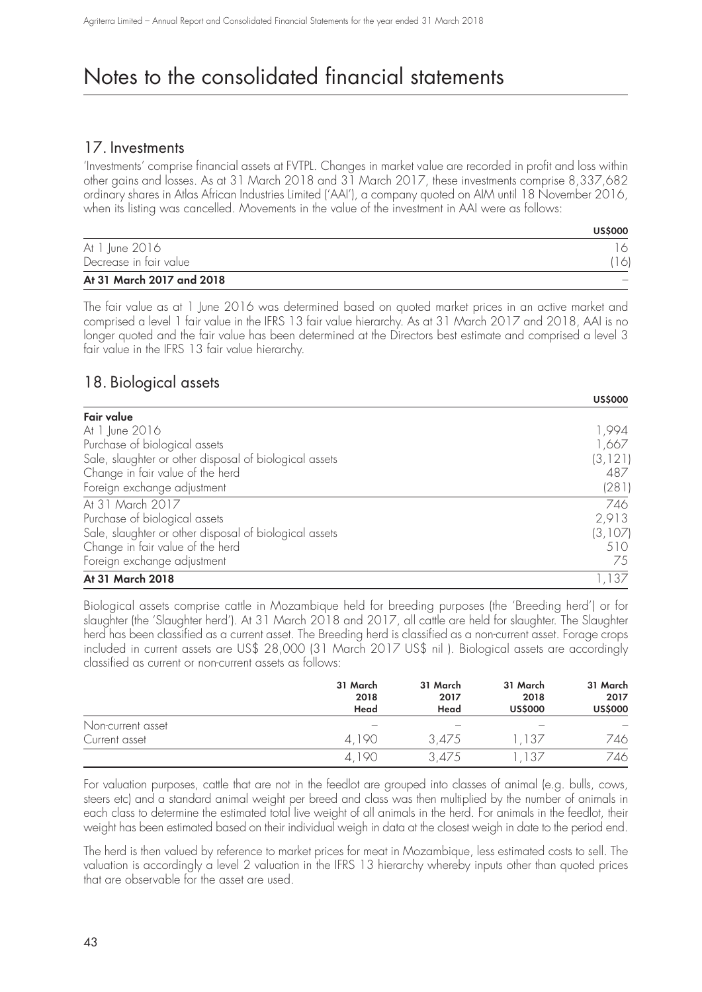### 17. Investments

'Investments' comprise financial assets at FVTPL. Changes in market value are recorded in profit and loss within other gains and losses. As at 31 March 2018 and 31 March 2017, these investments comprise 8,337,682 ordinary shares in Atlas African Industries Limited ('AAI'), a company quoted on AIM until 18 November 2016, when its listing was cancelled. Movements in the value of the investment in AAI were as follows:

|                           | <b>USS000</b> |
|---------------------------|---------------|
| At 1 June 2016            |               |
| Decrease in fair value    | 16            |
| At 31 March 2017 and 2018 |               |

**US\$000**

**US\$000**

The fair value as at 1 June 2016 was determined based on quoted market prices in an active market and comprised a level 1 fair value in the IFRS 13 fair value hierarchy. As at 31 March 2017 and 2018, AAI is no longer quoted and the fair value has been determined at the Directors best estimate and comprised a level 3 fair value in the IFRS 13 fair value hierarchy.

### 18. Biological assets

|                                                        | <b>USS000</b> |
|--------------------------------------------------------|---------------|
| Fair value                                             |               |
| At 1 June 2016                                         | 1,994         |
| Purchase of biological assets                          | 1,667         |
| Sale, slaughter or other disposal of biological assets | (3, 121)      |
| Change in fair value of the herd                       | 487           |
| Foreign exchange adjustment                            | (281)         |
| At 31 March 2017                                       | 746           |
| Purchase of biological assets                          | 2,913         |
| Sale, slaughter or other disposal of biological assets | (3,107)       |
| Change in fair value of the herd                       | 510           |
| Foreign exchange adjustment                            | 75            |
| At 31 March 2018                                       | 1,137         |

Biological assets comprise cattle in Mozambique held for breeding purposes (the 'Breeding herd') or for slaughter (the 'Slaughter herd'). At 31 March 2018 and 2017, all cattle are held for slaughter. The Slaughter herd has been classified as a current asset. The Breeding herd is classified as a non-current asset. Forage crops included in current assets are US\$ 28,000 (31 March 2017 US\$ nil ). Biological assets are accordingly classified as current or non-current assets as follows:

|                   | 31 March<br>2018<br>Head | 31 March<br>2017<br>Head | 31 March<br>2018<br><b>US\$000</b> | 31 March<br>2017<br><b>US\$000</b> |
|-------------------|--------------------------|--------------------------|------------------------------------|------------------------------------|
| Non-current asset |                          |                          |                                    |                                    |
| Current asset     | 4.190                    | 3.475                    | 137                                | 746                                |
|                   | 4,190                    | 3.475                    | 37 ا                               | 746                                |

For valuation purposes, cattle that are not in the feedlot are grouped into classes of animal (e.g. bulls, cows, steers etc) and a standard animal weight per breed and class was then multiplied by the number of animals in each class to determine the estimated total live weight of all animals in the herd. For animals in the feedlot, their weight has been estimated based on their individual weigh in data at the closest weigh in date to the period end.

The herd is then valued by reference to market prices for meat in Mozambique, less estimated costs to sell. The valuation is accordingly a level 2 valuation in the IFRS 13 hierarchy whereby inputs other than quoted prices that are observable for the asset are used.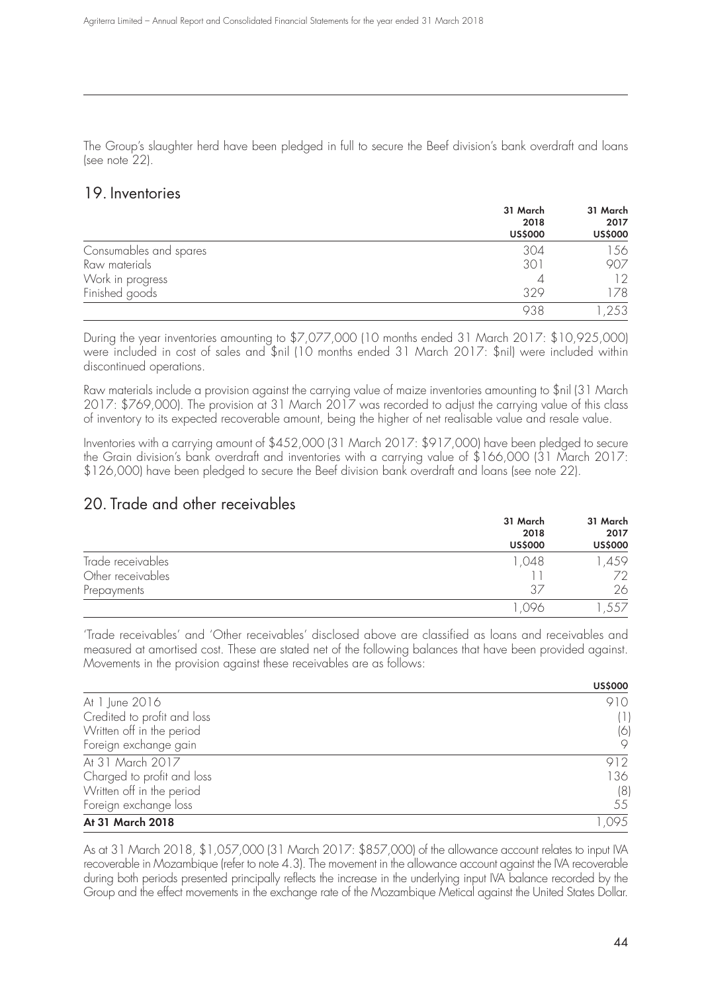The Group's slaughter herd have been pledged in full to secure the Beef division's bank overdraft and loans (see note 22).

## 19. Inventories

|                        | 31 March<br>2018<br><b>US\$000</b> | 31 March<br>2017<br><b>US\$000</b> |
|------------------------|------------------------------------|------------------------------------|
| Consumables and spares | 304                                | 156                                |
| Raw materials          | 301                                | 907                                |
| Work in progress       |                                    | 12                                 |
| Finished goods         | 329                                | 178                                |
|                        | 938                                | ,253                               |

During the year inventories amounting to \$7,077,000 (10 months ended 31 March 2017: \$10,925,000) were included in cost of sales and \$nil (10 months ended 31 March 2017: \$nil) were included within discontinued operations.

Raw materials include a provision against the carrying value of maize inventories amounting to \$nil (31 March 2017: \$769,000). The provision at 31 March 2017 was recorded to adjust the carrying value of this class of inventory to its expected recoverable amount, being the higher of net realisable value and resale value.

Inventories with a carrying amount of \$452,000 (31 March 2017: \$917,000) have been pledged to secure the Grain division's bank overdraft and inventories with a carrying value of \$166,000 (31 March 2017: \$126,000) have been pledged to secure the Beef division bank overdraft and loans (see note 22).

## 20. Trade and other receivables

|                   | 31 March<br>2018<br><b>US\$000</b> | 31 March<br>2017<br><b>US\$000</b> |
|-------------------|------------------------------------|------------------------------------|
| Trade receivables | 1,048                              | ,459                               |
| Other receivables |                                    | 72                                 |
| Prepayments       | 37                                 | 26                                 |
|                   | 096                                | 557                                |

'Trade receivables' and 'Other receivables' disclosed above are classified as loans and receivables and measured at amortised cost. These are stated net of the following balances that have been provided against. Movements in the provision against these receivables are as follows:

|                             | <b>US\$000</b> |
|-----------------------------|----------------|
| At 1 June 2016              | 910            |
| Credited to profit and loss | (1)            |
| Written off in the period   | (6)            |
| Foreign exchange gain       | 9              |
| At 31 March 2017            | 912            |
| Charged to profit and loss  | 136            |
| Written off in the period   | (8)            |
| Foreign exchange loss       | 55             |
| At 31 March 2018            | ,095           |

As at 31 March 2018, \$1,057,000 (31 March 2017: \$857,000) of the allowance account relates to input IVA recoverable in Mozambique (refer to note 4.3). The movement in the allowance account against the IVA recoverable during both periods presented principally reflects the increase in the underlying input IVA balance recorded by the Group and the effect movements in the exchange rate of the Mozambique Metical against the United States Dollar.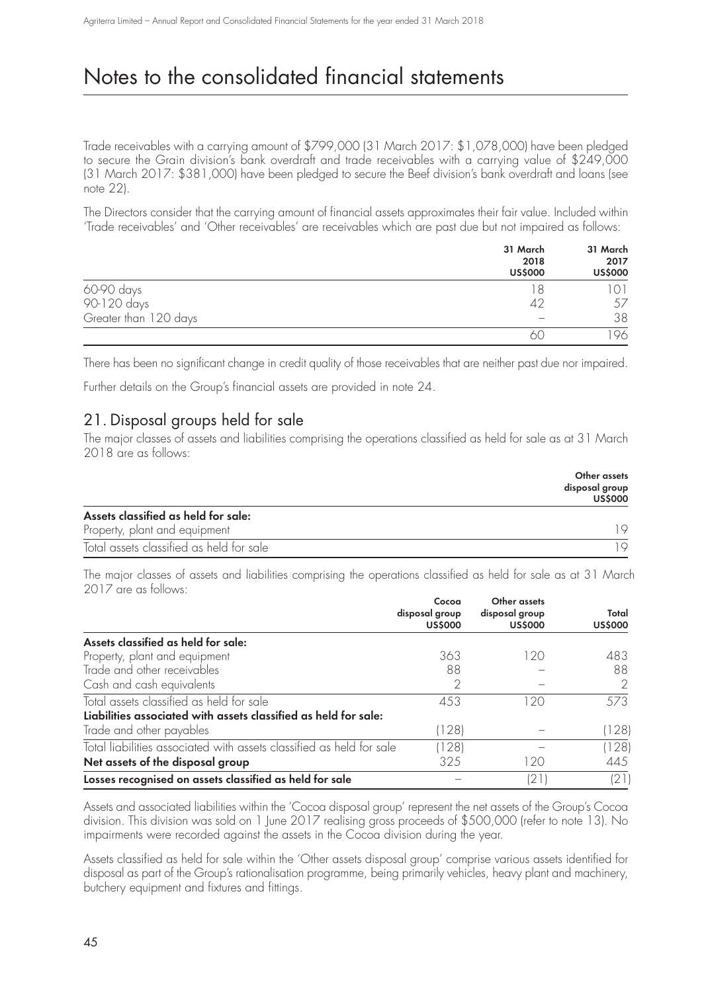Trade receivables with a carrying amount of \$799,000 (31 March 2017: \$1,078,000) have been pledged to secure the Grain division's bank overdraft and trade receivables with a carrying value of \$249,000 (31 March 2017: \$381,000) have been pledged to secure the Beef division's bank overdraft and loans (see note 22).

The Directors consider that the carrying amount of financial assets approximates their fair value. Included within 'Trade receivables' and 'Other receivables' are receivables which are past due but not impaired as follows:

|                       | 31 March<br>2018<br><b>US\$000</b> | 31 March<br>2017<br><b>US\$000</b> |
|-----------------------|------------------------------------|------------------------------------|
| 60-90 days            | 18                                 |                                    |
| 90-120 days           | 42                                 | 57                                 |
| Greater than 120 days |                                    | 38                                 |
|                       | 61                                 | ' 96.                              |

There has been no significant change in credit quality of those receivables that are neither past due nor impaired.

Further details on the Group's financial assets are provided in note 24.

## 21. Disposal groups held for sale

The major classes of assets and liabilities comprising the operations classified as held for sale as at 31 March 2018 are as follows:

|                                          | Other assets<br>disposal group<br><b>US\$000</b> |
|------------------------------------------|--------------------------------------------------|
| Assets classified as held for sale:      |                                                  |
| Property, plant and equipment            |                                                  |
| Total assets classified as held for sale |                                                  |

The major classes of assets and liabilities comprising the operations classified as held for sale as at 31 March 2017 are as follows:

|                                                                      | Cocoa<br>disposal group<br><b>US\$000</b> | Other assets<br>disposal group<br><b>US\$000</b> | Total<br><b>US\$000</b> |
|----------------------------------------------------------------------|-------------------------------------------|--------------------------------------------------|-------------------------|
| Assets classified as held for sale:                                  |                                           |                                                  |                         |
| Property, plant and equipment                                        | 363                                       | 120                                              | 483                     |
| Trade and other receivables                                          | 88                                        |                                                  | 88                      |
| Cash and cash equivalents                                            |                                           |                                                  |                         |
| Total assets classified as held for sale                             | 453                                       | 20                                               | 573                     |
| Liabilities associated with assets classified as held for sale:      |                                           |                                                  |                         |
| Trade and other payables                                             | (128)                                     |                                                  | (128)                   |
| Total liabilities associated with assets classified as held for sale | (128)                                     |                                                  | (128)                   |
| Net assets of the disposal group                                     | 325                                       | 120                                              | 445                     |
| Losses recognised on assets classified as held for sale              |                                           | '21                                              | (21)                    |

Assets and associated liabilities within the 'Cocoa disposal group' represent the net assets of the Group's Cocoa division. This division was sold on 1 June 2017 realising gross proceeds of \$500,000 (refer to note 13). No impairments were recorded against the assets in the Cocoa division during the year.

Assets classified as held for sale within the 'Other assets disposal group' comprise various assets identified for disposal as part of the Group's rationalisation programme, being primarily vehicles, heavy plant and machinery, butchery equipment and fixtures and fittings.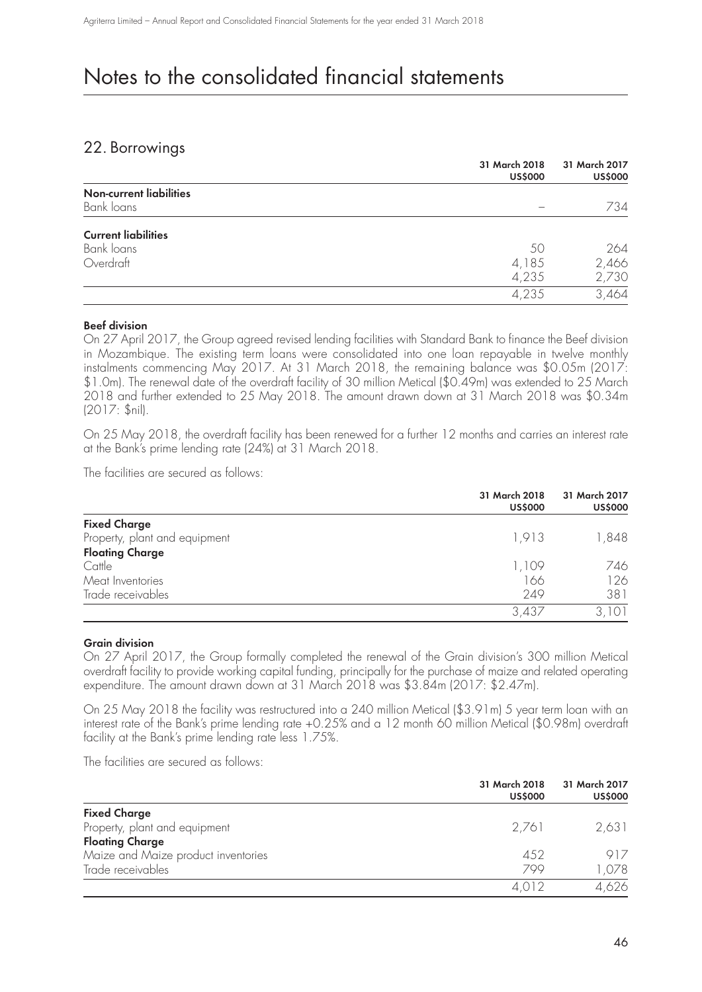## 22. Borrowings

|                                              | 31 March 2018<br><b>US\$000</b> | 31 March 2017<br><b>US\$000</b> |
|----------------------------------------------|---------------------------------|---------------------------------|
| <b>Non-current liabilities</b><br>Bank loans |                                 | 734                             |
| <b>Current liabilities</b>                   |                                 |                                 |
| Bank loans                                   | 50                              | 264                             |
| Overdraft                                    | 4,185                           | 2,466                           |
|                                              | 4,235                           | 2,730                           |
|                                              | 4,235                           | 3,464                           |

#### **Beef division**

On 27 April 2017, the Group agreed revised lending facilities with Standard Bank to finance the Beef division in Mozambique. The existing term loans were consolidated into one loan repayable in twelve monthly instalments commencing May 2017. At 31 March 2018, the remaining balance was \$0.05m (2017: \$1.0m). The renewal date of the overdraft facility of 30 million Metical (\$0.49m) was extended to 25 March 2018 and further extended to 25 May 2018. The amount drawn down at 31 March 2018 was \$0.34m (2017: \$nil).

On 25 May 2018, the overdraft facility has been renewed for a further 12 months and carries an interest rate at the Bank's prime lending rate (24%) at 31 March 2018.

The facilities are secured as follows:

|                               | 31 March 2018<br><b>US\$000</b> | 31 March 2017<br><b>US\$000</b> |
|-------------------------------|---------------------------------|---------------------------------|
| <b>Fixed Charge</b>           |                                 |                                 |
| Property, plant and equipment | 1,913                           | 848,                            |
| <b>Floating Charge</b>        |                                 |                                 |
| Cattle                        | 1,109                           | 746                             |
| Meat Inventories              | 166                             | 126                             |
| Trade receivables             | 249                             | 381                             |
|                               | 3,437                           | 3,101                           |

### **Grain division**

On 27 April 2017, the Group formally completed the renewal of the Grain division's 300 million Metical overdraft facility to provide working capital funding, principally for the purchase of maize and related operating expenditure. The amount drawn down at 31 March 2018 was \$3.84m (2017: \$2.47m).

On 25 May 2018 the facility was restructured into a 240 million Metical (\$3.91m) 5 year term loan with an interest rate of the Bank's prime lending rate +0.25% and a 12 month 60 million Metical (\$0.98m) overdraft facility at the Bank's prime lending rate less 1.75%.

The facilities are secured as follows:

|                                     | 31 March 2018<br><b>US\$000</b> | 31 March 2017<br><b>US\$000</b> |
|-------------------------------------|---------------------------------|---------------------------------|
| <b>Fixed Charge</b>                 |                                 |                                 |
| Property, plant and equipment       | 2.761                           | 2,631                           |
| <b>Floating Charge</b>              |                                 |                                 |
| Maize and Maize product inventories | 452                             | 917                             |
| Trade receivables                   | 799                             | 1,078                           |
|                                     | 4.012                           | 4,626                           |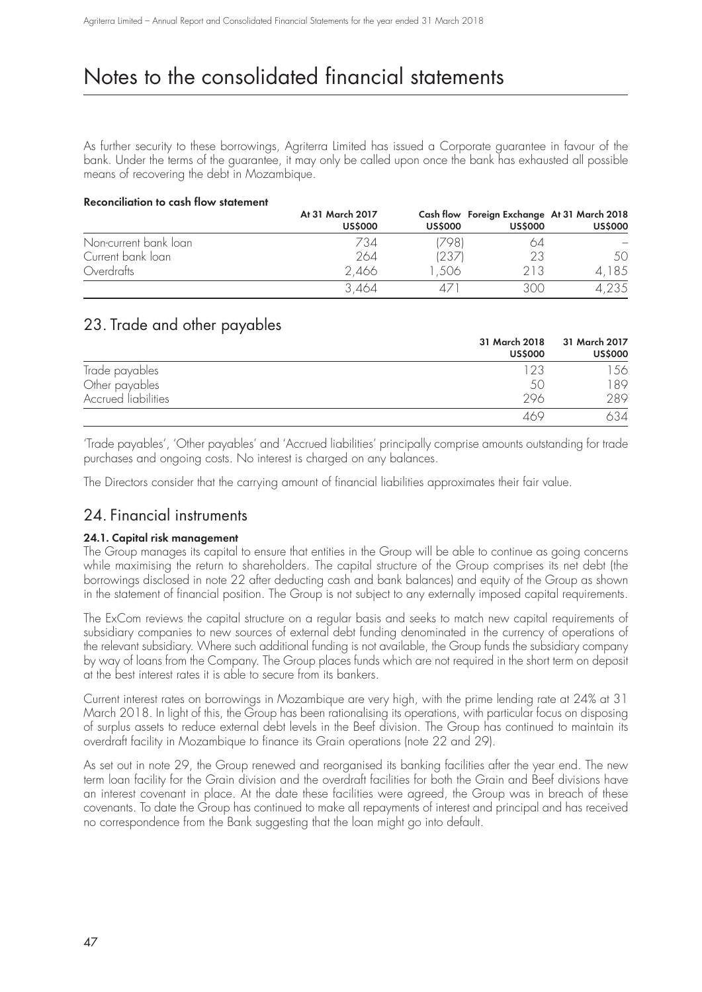As further security to these borrowings, Agriterra Limited has issued a Corporate guarantee in favour of the bank. Under the terms of the guarantee, it may only be called upon once the bank has exhausted all possible means of recovering the debt in Mozambique.

#### **Reconciliation to cash flow statement**

|                       | At 31 March 2017<br><b>US\$000</b> | <b>US\$000</b> | <b>US\$000</b> | Cash flow Foreign Exchange At 31 March 2018<br><b>US\$000</b> |
|-----------------------|------------------------------------|----------------|----------------|---------------------------------------------------------------|
| Non-current bank loan | 734                                | 7981           | 64             |                                                               |
| Current bank loan     | 264                                | (237)          | 23             | 50                                                            |
| Overdrafts            | 2,466                              | .506           | 213            | 4,185                                                         |
|                       | 3.464                              |                | 300            | 4,235                                                         |

## 23. Trade and other payables

|                     | 31 March 2018<br><b>US\$000</b> | 31 March 2017<br><b>US\$000</b> |
|---------------------|---------------------------------|---------------------------------|
| Trade payables      | 123                             | 56                              |
| Other payables      | 50                              | 89                              |
| Accrued liabilities | 296                             | 289                             |
|                     | 16G                             | 534                             |

'Trade payables', 'Other payables' and 'Accrued liabilities' principally comprise amounts outstanding for trade purchases and ongoing costs. No interest is charged on any balances.

The Directors consider that the carrying amount of financial liabilities approximates their fair value.

### 24. Financial instruments

### **24.1. Capital risk management**

The Group manages its capital to ensure that entities in the Group will be able to continue as going concerns while maximising the return to shareholders. The capital structure of the Group comprises its net debt (the borrowings disclosed in note 22 after deducting cash and bank balances) and equity of the Group as shown in the statement of financial position. The Group is not subject to any externally imposed capital requirements.

The ExCom reviews the capital structure on a regular basis and seeks to match new capital requirements of subsidiary companies to new sources of external debt funding denominated in the currency of operations of the relevant subsidiary. Where such additional funding is not available, the Group funds the subsidiary company by way of loans from the Company. The Group places funds which are not required in the short term on deposit at the best interest rates it is able to secure from its bankers.

Current interest rates on borrowings in Mozambique are very high, with the prime lending rate at 24% at 31 March 2018. In light of this, the Group has been rationalising its operations, with particular focus on disposing of surplus assets to reduce external debt levels in the Beef division. The Group has continued to maintain its overdraft facility in Mozambique to finance its Grain operations (note 22 and 29).

As set out in note 29, the Group renewed and reorganised its banking facilities after the year end. The new term loan facility for the Grain division and the overdraft facilities for both the Grain and Beef divisions have an interest covenant in place. At the date these facilities were agreed, the Group was in breach of these covenants. To date the Group has continued to make all repayments of interest and principal and has received no correspondence from the Bank suggesting that the loan might go into default.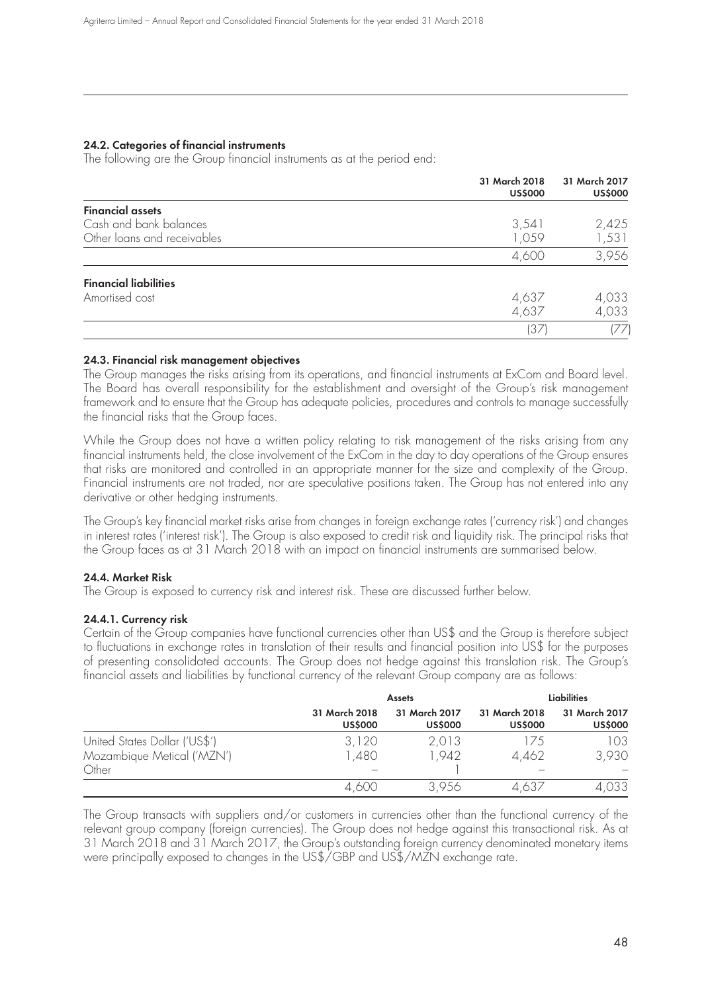#### **24.2. Categories of financial instruments**

The following are the Group financial instruments as at the period end:

|                              | 31 March 2018<br><b>US\$000</b> | 31 March 2017<br><b>US\$000</b> |
|------------------------------|---------------------------------|---------------------------------|
| <b>Financial assets</b>      |                                 |                                 |
| Cash and bank balances       | 3,541                           | 2,425                           |
| Other loans and receivables  | 1,059                           | 1,531                           |
|                              | 4,600                           | 3,956                           |
| <b>Financial liabilities</b> |                                 |                                 |
| Amortised cost               | 4,637                           | 4,033                           |
|                              | 4,637                           | 4,033                           |
|                              | (37)                            | (77)                            |

#### **24.3. Financial risk management objectives**

The Group manages the risks arising from its operations, and financial instruments at ExCom and Board level. The Board has overall responsibility for the establishment and oversight of the Group's risk management framework and to ensure that the Group has adequate policies, procedures and controls to manage successfully the financial risks that the Group faces.

While the Group does not have a written policy relating to risk management of the risks arising from any financial instruments held, the close involvement of the ExCom in the day to day operations of the Group ensures that risks are monitored and controlled in an appropriate manner for the size and complexity of the Group. Financial instruments are not traded, nor are speculative positions taken. The Group has not entered into any derivative or other hedging instruments.

The Group's key financial market risks arise from changes in foreign exchange rates ('currency risk') and changes in interest rates ('interest risk'). The Group is also exposed to credit risk and liquidity risk. The principal risks that the Group faces as at 31 March 2018 with an impact on financial instruments are summarised below.

### **24.4. Market Risk**

The Group is exposed to currency risk and interest risk. These are discussed further below.

#### **24.4.1. Currency risk**

Certain of the Group companies have functional currencies other than US\$ and the Group is therefore subject to fluctuations in exchange rates in translation of their results and financial position into US\$ for the purposes of presenting consolidated accounts. The Group does not hedge against this translation risk. The Group's financial assets and liabilities by functional currency of the relevant Group company are as follows:

|                               | <b>Assets</b>                   |                                 | <b>Liabilities</b>              |                                 |
|-------------------------------|---------------------------------|---------------------------------|---------------------------------|---------------------------------|
|                               | 31 March 2018<br><b>US\$000</b> | 31 March 2017<br><b>US\$000</b> | 31 March 2018<br><b>US\$000</b> | 31 March 2017<br><b>US\$000</b> |
| United States Dollar ('US\$') | 3,120                           | 2,013                           | 175                             | 103                             |
| Mozambique Metical ('MZN')    | 1,480                           | 1.942                           | 4,462                           | 3,930                           |
| Other                         |                                 |                                 |                                 |                                 |
|                               | 4,600                           | 3,956                           | 4.637                           | 4,033                           |

The Group transacts with suppliers and/or customers in currencies other than the functional currency of the relevant group company (foreign currencies). The Group does not hedge against this transactional risk. As at 31 March 2018 and 31 March 2017, the Group's outstanding foreign currency denominated monetary items were principally exposed to changes in the US\$/GBP and US\$/MZN exchange rate.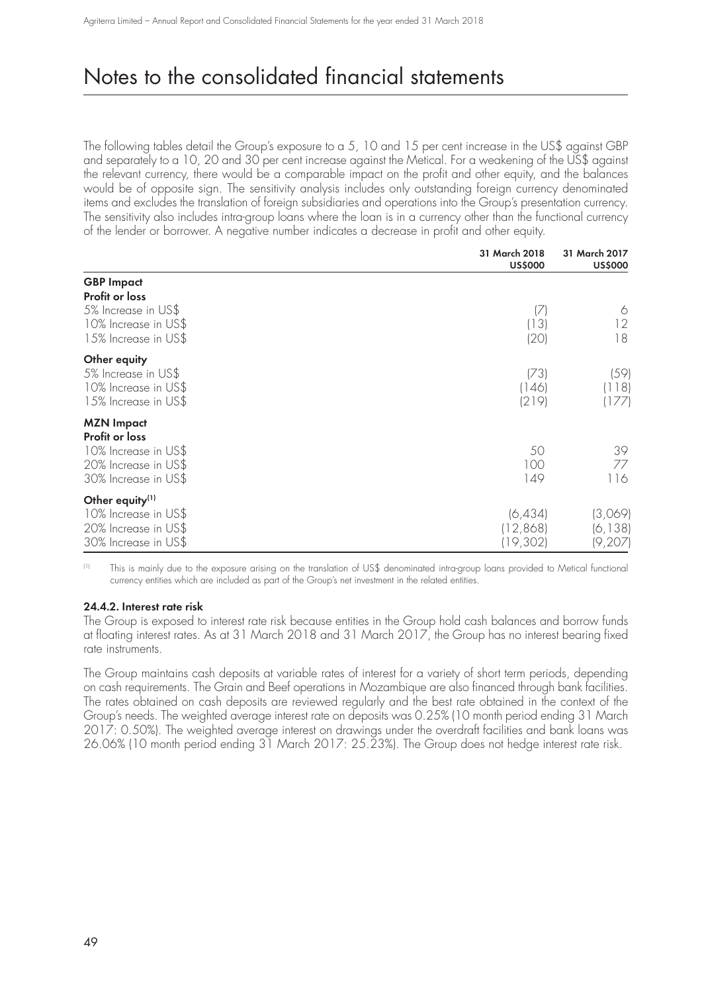The following tables detail the Group's exposure to a 5, 10 and 15 per cent increase in the US\$ against GBP and separately to a 10, 20 and 30 per cent increase against the Metical. For a weakening of the US\$ against the relevant currency, there would be a comparable impact on the profit and other equity, and the balances would be of opposite sign. The sensitivity analysis includes only outstanding foreign currency denominated items and excludes the translation of foreign subsidiaries and operations into the Group's presentation currency. The sensitivity also includes intra-group loans where the loan is in a currency other than the functional currency of the lender or borrower. A negative number indicates a decrease in profit and other equity.

|                                                                                                             | 31 March 2018<br><b>US\$000</b> | 31 March 2017<br><b>US\$000</b> |
|-------------------------------------------------------------------------------------------------------------|---------------------------------|---------------------------------|
| <b>GBP</b> Impact                                                                                           |                                 |                                 |
| Profit or loss<br>5% Increase in US\$<br>10% Increase in US\$<br>15% Increase in US\$                       | 17<br>(13)<br>(20)              | 6<br>12<br>18                   |
| Other equity<br>5% Increase in US\$<br>10% Increase in US\$<br>15% Increase in US\$                         | (73)<br> 146 <br>(219)          | (59)<br>(118)<br>(177)          |
| <b>MZN Impact</b><br>Profit or loss<br>10% Increase in US\$<br>20% Increase in US\$<br>30% Increase in US\$ | 50<br>100<br>149                | 39<br>77<br>116                 |
| Other equity <sup>(1)</sup><br>10% Increase in US\$<br>20% Increase in US\$<br>30% Increase in US\$         | (6, 434)<br>(12,868)<br>19,302) | (3,069)<br>(6, 138)<br>(9, 207) |

(1) This is mainly due to the exposure arising on the translation of US\$ denominated intra-group loans provided to Metical functional currency entities which are included as part of the Group's net investment in the related entities.

### **24.4.2. Interest rate risk**

The Group is exposed to interest rate risk because entities in the Group hold cash balances and borrow funds at floating interest rates. As at 31 March 2018 and 31 March 2017, the Group has no interest bearing fixed rate instruments.

The Group maintains cash deposits at variable rates of interest for a variety of short term periods, depending on cash requirements. The Grain and Beef operations in Mozambique are also financed through bank facilities. The rates obtained on cash deposits are reviewed regularly and the best rate obtained in the context of the Group's needs. The weighted average interest rate on deposits was 0.25% (10 month period ending 31 March 2017: 0.50%). The weighted average interest on drawings under the overdraft facilities and bank loans was 26.06% (10 month period ending 31 March 2017: 25.23%). The Group does not hedge interest rate risk.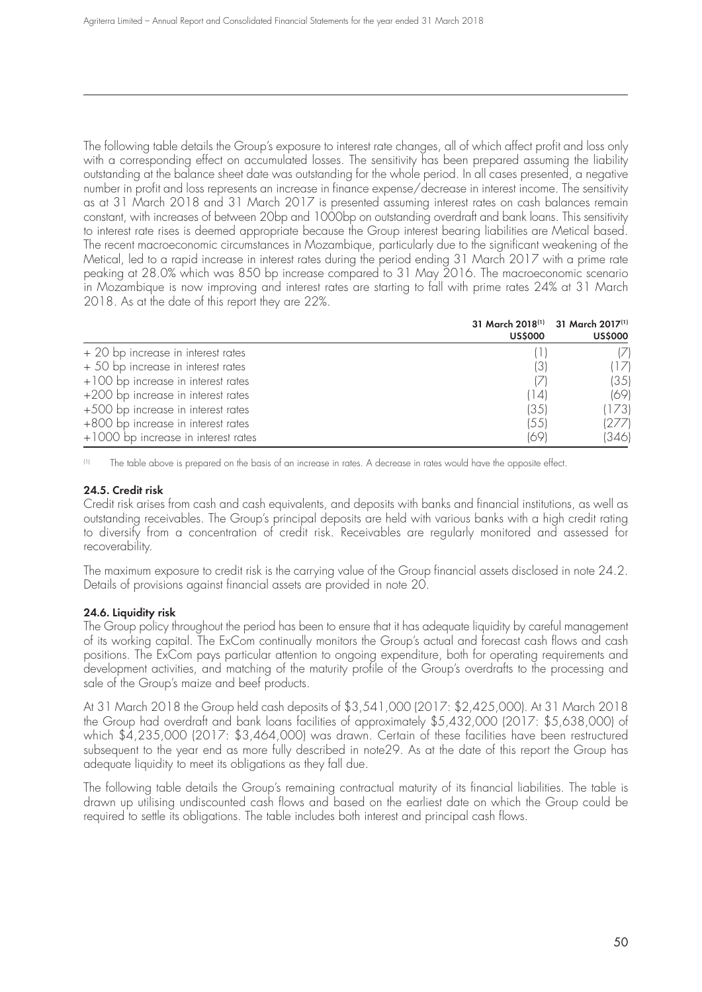The following table details the Group's exposure to interest rate changes, all of which affect profit and loss only with a corresponding effect on accumulated losses. The sensitivity has been prepared assuming the liability outstanding at the balance sheet date was outstanding for the whole period. In all cases presented, a negative number in profit and loss represents an increase in finance expense/decrease in interest income. The sensitivity as at 31 March 2018 and 31 March 2017 is presented assuming interest rates on cash balances remain constant, with increases of between 20bp and 1000bp on outstanding overdraft and bank loans. This sensitivity to interest rate rises is deemed appropriate because the Group interest bearing liabilities are Metical based. The recent macroeconomic circumstances in Mozambique, particularly due to the significant weakening of the Metical, led to a rapid increase in interest rates during the period ending 31 March 2017 with a prime rate peaking at 28.0% which was 850 bp increase compared to 31 May 2016. The macroeconomic scenario in Mozambique is now improving and interest rates are starting to fall with prime rates 24% at 31 March 2018. As at the date of this report they are 22%.

|                                     | 31 March 2018 <sup>(1)</sup> 31 March 2017 <sup>(1)</sup><br><b>US\$000</b> | <b>US\$000</b> |
|-------------------------------------|-----------------------------------------------------------------------------|----------------|
| + 20 bp increase in interest rates  |                                                                             |                |
| + 50 bp increase in interest rates  | (3)                                                                         | (1/)           |
| +100 bp increase in interest rates  | $\sqrt{}$                                                                   | (35)           |
| +200 bp increase in interest rates  | 14                                                                          | 1691           |
| +500 bp increase in interest rates  | (35)                                                                        | (173)          |
| +800 bp increase in interest rates  | (55)                                                                        | (277)          |
| +1000 bp increase in interest rates | (69)                                                                        | (346)          |

(1) The table above is prepared on the basis of an increase in rates. A decrease in rates would have the opposite effect.

### **24.5. Credit risk**

Credit risk arises from cash and cash equivalents, and deposits with banks and financial institutions, as well as outstanding receivables. The Group's principal deposits are held with various banks with a high credit rating to diversify from a concentration of credit risk. Receivables are regularly monitored and assessed for recoverability.

The maximum exposure to credit risk is the carrying value of the Group financial assets disclosed in note 24.2. Details of provisions against financial assets are provided in note 20.

### **24.6. Liquidity risk**

The Group policy throughout the period has been to ensure that it has adequate liquidity by careful management of its working capital. The ExCom continually monitors the Group's actual and forecast cash flows and cash positions. The ExCom pays particular attention to ongoing expenditure, both for operating requirements and development activities, and matching of the maturity profile of the Group's overdrafts to the processing and sale of the Group's maize and beef products.

At 31 March 2018 the Group held cash deposits of \$3,541,000 (2017: \$2,425,000). At 31 March 2018 the Group had overdraft and bank loans facilities of approximately \$5,432,000 (2017: \$5,638,000) of which \$4,235,000 (2017: \$3,464,000) was drawn. Certain of these facilities have been restructured subsequent to the year end as more fully described in note29. As at the date of this report the Group has adequate liquidity to meet its obligations as they fall due.

The following table details the Group's remaining contractual maturity of its financial liabilities. The table is drawn up utilising undiscounted cash flows and based on the earliest date on which the Group could be required to settle its obligations. The table includes both interest and principal cash flows.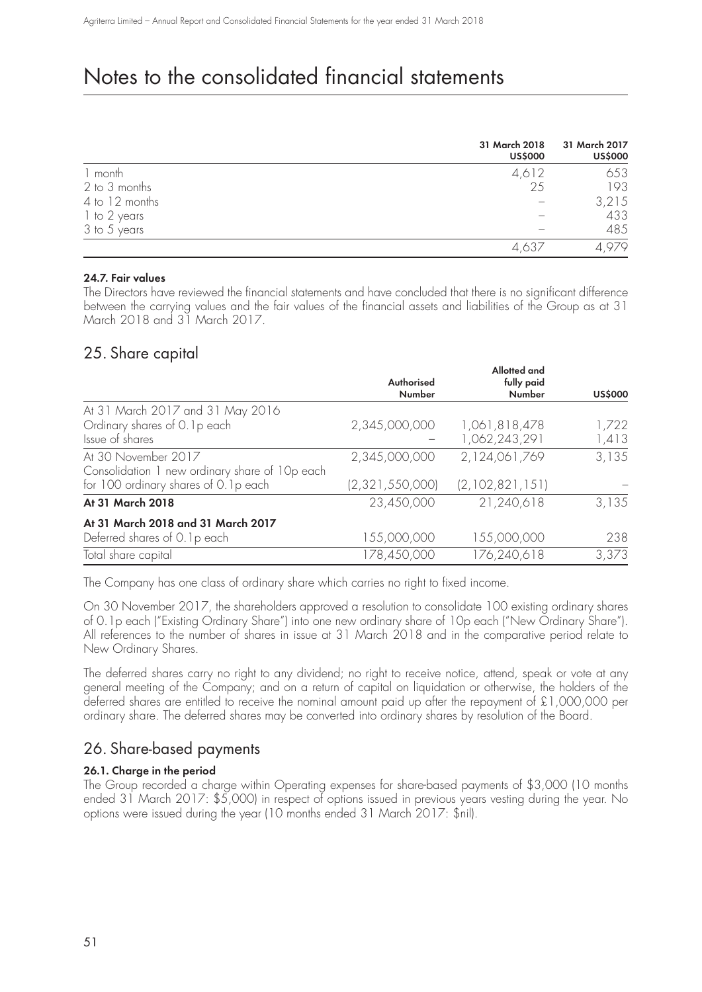|                | 31 March 2018<br><b>US\$000</b> | 31 March 2017<br><b>US\$000</b> |
|----------------|---------------------------------|---------------------------------|
| 1 month        | 4,612                           | 653                             |
| 2 to 3 months  | 25                              | 193                             |
| 4 to 12 months |                                 | 3,215                           |
| 1 to 2 years   |                                 | 433                             |
| 3 to 5 years   |                                 | 485                             |
|                |                                 |                                 |

### **24.7. Fair values**

The Directors have reviewed the financial statements and have concluded that there is no significant difference between the carrying values and the fair values of the financial assets and liabilities of the Group as at 31 March 2018 and 31 March 2017.

### 25. Share capital

|                                                | Authorised<br><b>Number</b> | Allotted and<br>fully paid<br>Number | <b>US\$000</b> |
|------------------------------------------------|-----------------------------|--------------------------------------|----------------|
| At 31 March 2017 and 31 May 2016               |                             |                                      |                |
| Ordinary shares of 0.1p each                   | 2,345,000,000               | 1,061,818,478                        | 1,722          |
| Issue of shares                                |                             | 1,062,243,291                        | 1,413          |
| At 30 November 2017                            | 2,345,000,000               | 2,124,061,769                        | 3,135          |
| Consolidation 1 new ordinary share of 10p each |                             |                                      |                |
| for 100 ordinary shares of 0.1p each           | (2, 321, 550, 000)          | (2, 102, 821, 151)                   |                |
| At 31 March 2018                               | 23,450,000                  | 21,240,618                           | 3,135          |
| At 31 March 2018 and 31 March 2017             |                             |                                      |                |
| Deferred shares of 0.1p each                   | 155,000,000                 | 155,000,000                          | 238            |
| Total share capital                            | 178,450,000                 | 176,240,618                          | 3,373          |
|                                                |                             |                                      |                |

The Company has one class of ordinary share which carries no right to fixed income.

On 30 November 2017, the shareholders approved a resolution to consolidate 100 existing ordinary shares of 0.1p each ("Existing Ordinary Share") into one new ordinary share of 10p each ("New Ordinary Share"). All references to the number of shares in issue at 31 March 2018 and in the comparative period relate to New Ordinary Shares.

The deferred shares carry no right to any dividend; no right to receive notice, attend, speak or vote at any general meeting of the Company; and on a return of capital on liquidation or otherwise, the holders of the deferred shares are entitled to receive the nominal amount paid up after the repayment of £1,000,000 per ordinary share. The deferred shares may be converted into ordinary shares by resolution of the Board.

## 26. Share-based payments

### **26.1. Charge in the period**

The Group recorded a charge within Operating expenses for share-based payments of \$3,000 (10 months ended 31 March 2017: \$5,000) in respect of options issued in previous years vesting during the year. No options were issued during the year (10 months ended 31 March 2017: \$nil).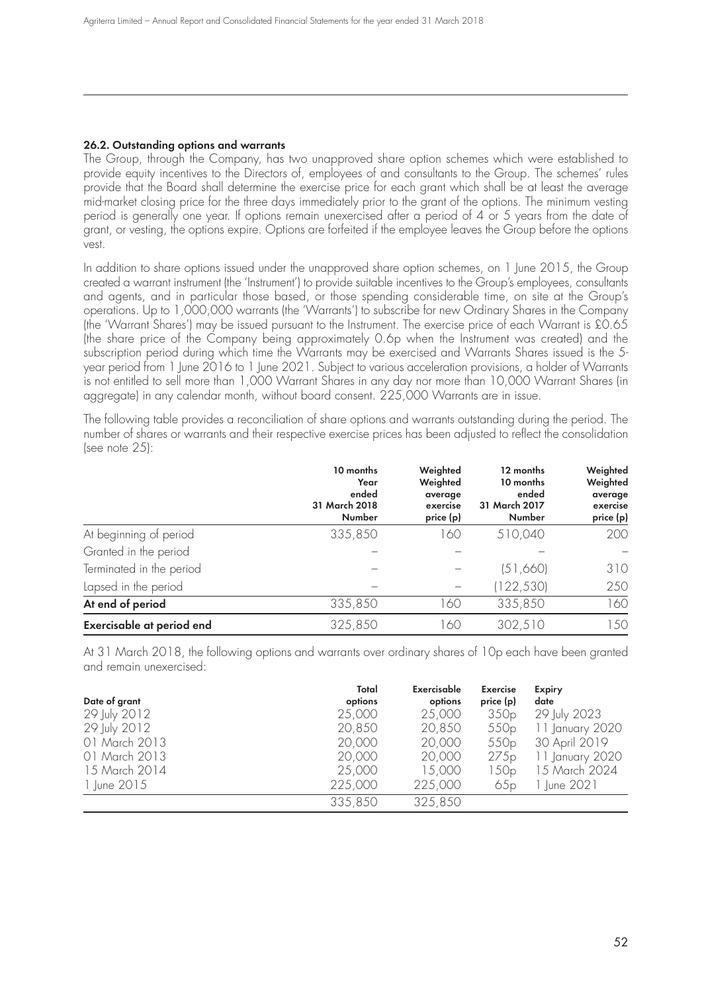#### **26.2. Outstanding options and warrants**

The Group, through the Company, has two unapproved share option schemes which were established to provide equity incentives to the Directors of, employees of and consultants to the Group. The schemes' rules provide that the Board shall determine the exercise price for each grant which shall be at least the average mid-market closing price for the three days immediately prior to the grant of the options. The minimum vesting period is generally one year. If options remain unexercised after a period of 4 or 5 years from the date of grant, or vesting, the options expire. Options are forfeited if the employee leaves the Group before the options vest.

In addition to share options issued under the unapproved share option schemes, on 1 June 2015, the Group created a warrant instrument (the 'Instrument') to provide suitable incentives to the Group's employees, consultants and agents, and in particular those based, or those spending considerable time, on site at the Group's operations. Up to 1,000,000 warrants (the 'Warrants') to subscribe for new Ordinary Shares in the Company (the 'Warrant Shares') may be issued pursuant to the Instrument. The exercise price of each Warrant is £0.65 (the share price of the Company being approximately 0.6p when the Instrument was created) and the subscription period during which time the Warrants may be exercised and Warrants Shares issued is the 5 year period from 1 June 2016 to 1 June 2021. Subject to various acceleration provisions, a holder of Warrants is not entitled to sell more than 1,000 Warrant Shares in any day nor more than 10,000 Warrant Shares (in aggregate) in any calendar month, without board consent. 225,000 Warrants are in issue.

The following table provides a reconciliation of share options and warrants outstanding during the period. The number of shares or warrants and their respective exercise prices has been adjusted to reflect the consolidation (see note 25):

|                           | 10 months<br>Year<br>ended<br>31 March 2018<br>Number | Weighted<br>Weighted<br>average<br>exercise<br>price (p) | 12 months<br>10 months<br>ended<br>31 March 2017<br>Number | Weighted<br>Weighted<br>average<br>exercise<br>price (p) |
|---------------------------|-------------------------------------------------------|----------------------------------------------------------|------------------------------------------------------------|----------------------------------------------------------|
| At beginning of period    | 335,850                                               | 160                                                      | 510,040                                                    | 200                                                      |
| Granted in the period     |                                                       |                                                          |                                                            |                                                          |
| Terminated in the period  |                                                       |                                                          | (51,660)                                                   | 310                                                      |
| Lapsed in the period      |                                                       |                                                          | (122, 530)                                                 | 250                                                      |
| At end of period          | 335,850                                               | 160                                                      | 335,850                                                    | 160                                                      |
| Exercisable at period end | 325,850                                               | 60                                                       | 302,510                                                    | 150                                                      |

At 31 March 2018, the following options and warrants over ordinary shares of 10p each have been granted and remain unexercised:

|               | Total   | Exercisable | <b>Exercise</b>  | <b>Expiry</b>   |
|---------------|---------|-------------|------------------|-----------------|
| Date of grant | options | options     | price (p)        | date            |
| 29 July 2012  | 25,000  | 25,000      | 350p             | 29 July 2023    |
| 29 July 2012  | 20,850  | 20,850      | 550 <sub>p</sub> | 11 January 2020 |
| 01 March 2013 | 20,000  | 20,000      | 550 <sub>p</sub> | 30 April 2019   |
| 01 March 2013 | 20,000  | 20,000      | 275p             | 11 January 2020 |
| 15 March 2014 | 25,000  | 15,000      | 150p             | 15 March 2024   |
| 1 June 2015   | 225,000 | 225,000     | 65p              | ∣ June 2021     |
|               | 335,850 | 325,850     |                  |                 |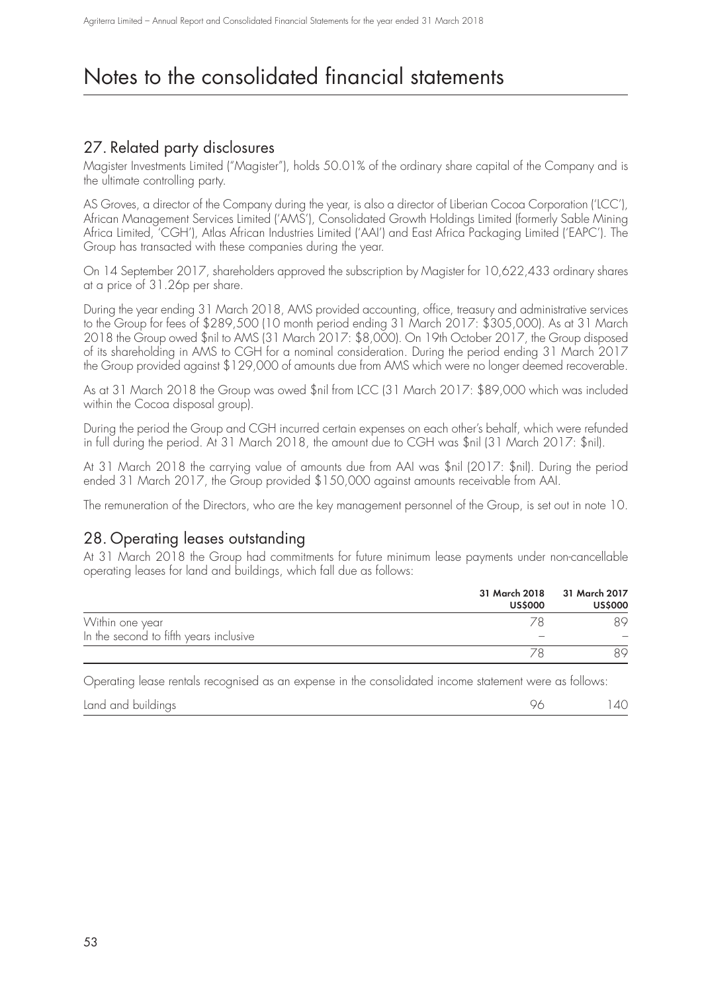## 27. Related party disclosures

Magister Investments Limited ("Magister"), holds 50.01% of the ordinary share capital of the Company and is the ultimate controlling party.

AS Groves, a director of the Company during the year, is also a director of Liberian Cocoa Corporation ('LCC'), African Management Services Limited ('AMS'), Consolidated Growth Holdings Limited (formerly Sable Mining Africa Limited, 'CGH'), Atlas African Industries Limited ('AAI') and East Africa Packaging Limited ('EAPC'). The Group has transacted with these companies during the year.

On 14 September 2017, shareholders approved the subscription by Magister for 10,622,433 ordinary shares at a price of 31.26p per share.

During the year ending 31 March 2018, AMS provided accounting, office, treasury and administrative services to the Group for fees of \$289,500 (10 month period ending 31 March 2017: \$305,000). As at 31 March 2018 the Group owed \$nil to AMS (31 March 2017: \$8,000). On 19th October 2017, the Group disposed of its shareholding in AMS to CGH for a nominal consideration. During the period ending 31 March 2017 the Group provided against \$129,000 of amounts due from AMS which were no longer deemed recoverable.

As at 31 March 2018 the Group was owed \$nil from LCC (31 March 2017: \$89,000 which was included within the Cocoa disposal group).

During the period the Group and CGH incurred certain expenses on each other's behalf, which were refunded in full during the period. At 31 March 2018, the amount due to CGH was \$nil (31 March 2017: \$nil).

At 31 March 2018 the carrying value of amounts due from AAI was \$nil (2017: \$nil). During the period ended 31 March 2017, the Group provided \$150,000 against amounts receivable from AAI.

The remuneration of the Directors, who are the key management personnel of the Group, is set out in note 10.

### 28. Operating leases outstanding

At 31 March 2018 the Group had commitments for future minimum lease payments under non-cancellable operating leases for land and buildings, which fall due as follows:

|                                        | <b>US\$000</b> | 31 March 2018 31 March 2017<br><b>US\$000</b> |
|----------------------------------------|----------------|-----------------------------------------------|
| Within one year                        |                | ЯQ                                            |
| In the second to fifth years inclusive |                |                                               |
|                                        |                | ЯO                                            |
|                                        |                |                                               |

Operating lease rentals recognised as an expense in the consolidated income statement were as follows:

| Land and buildings | 40 |
|--------------------|----|
|                    |    |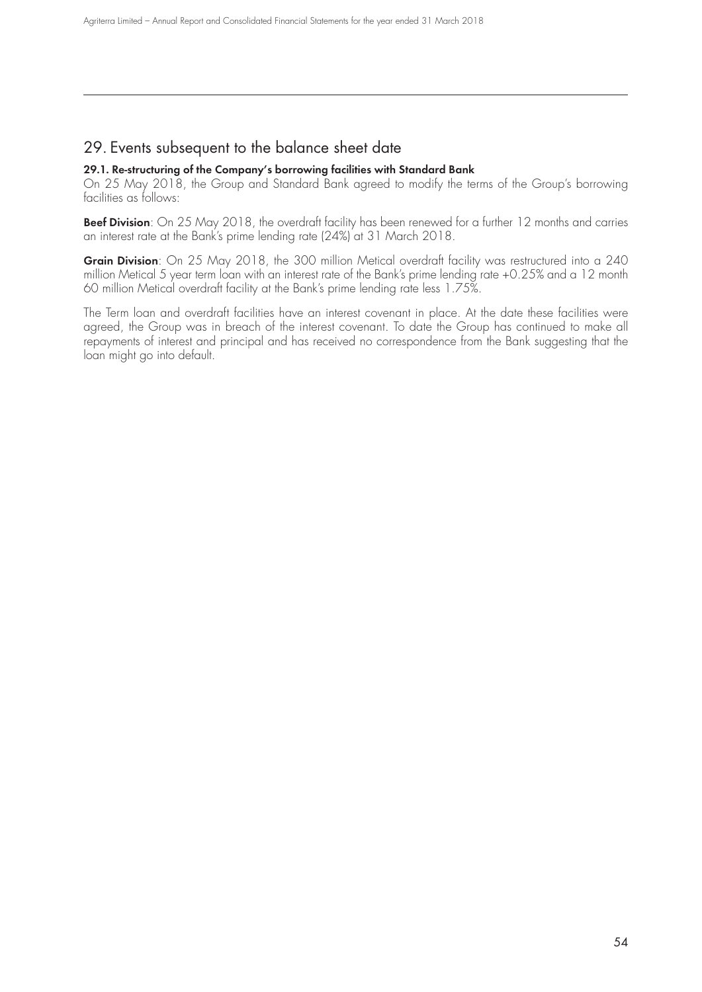## 29. Events subsequent to the balance sheet date

### **29.1. Re-structuring of the Company's borrowing facilities with Standard Bank**

On 25 May 2018, the Group and Standard Bank agreed to modify the terms of the Group's borrowing facilities as follows:

**Beef Division**: On 25 May 2018, the overdraft facility has been renewed for a further 12 months and carries an interest rate at the Bank's prime lending rate (24%) at 31 March 2018.

**Grain Division**: On 25 May 2018, the 300 million Metical overdraft facility was restructured into a 240 million Metical 5 year term loan with an interest rate of the Bank's prime lending rate +0.25% and a 12 month 60 million Metical overdraft facility at the Bank's prime lending rate less 1.75%.

The Term loan and overdraft facilities have an interest covenant in place. At the date these facilities were agreed, the Group was in breach of the interest covenant. To date the Group has continued to make all repayments of interest and principal and has received no correspondence from the Bank suggesting that the loan might go into default.